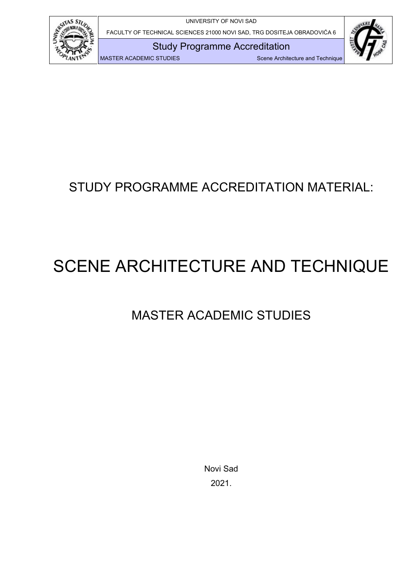

FACULTY OF TECHNICAL SCIENCES 21000 NOVI SAD, TRG DOSITEJA OBRADOVIĆA 6

Study Programme Accreditation



MASTER ACADEMIC STUDIES SCENE Architecture and Technique

# STUDY PROGRAMME ACCREDITATION MATERIAL:

# SCENE ARCHITECTURE AND TECHNIQUE

# MASTER ACADEMIC STUDIES

Novi Sad 2021.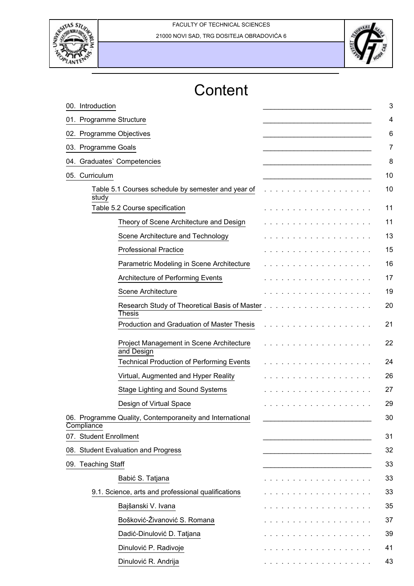



# **Content**

| Research Study of Theoretical Basis of Master                                                                                                                                                                                  |
|--------------------------------------------------------------------------------------------------------------------------------------------------------------------------------------------------------------------------------|
|                                                                                                                                                                                                                                |
|                                                                                                                                                                                                                                |
|                                                                                                                                                                                                                                |
|                                                                                                                                                                                                                                |
|                                                                                                                                                                                                                                |
|                                                                                                                                                                                                                                |
|                                                                                                                                                                                                                                |
|                                                                                                                                                                                                                                |
|                                                                                                                                                                                                                                |
|                                                                                                                                                                                                                                |
| the second contract of the second contract of the second contract of the second contract of the second contract of the second contract of the second contract of the second contract of the second contract of the second cont |
| .                                                                                                                                                                                                                              |
| .                                                                                                                                                                                                                              |
| the contract of the contract of the contract of the contract of the contract of the contract of the contract of                                                                                                                |
| and a series and a series and a series                                                                                                                                                                                         |
| designed and a series of the series                                                                                                                                                                                            |
|                                                                                                                                                                                                                                |
|                                                                                                                                                                                                                                |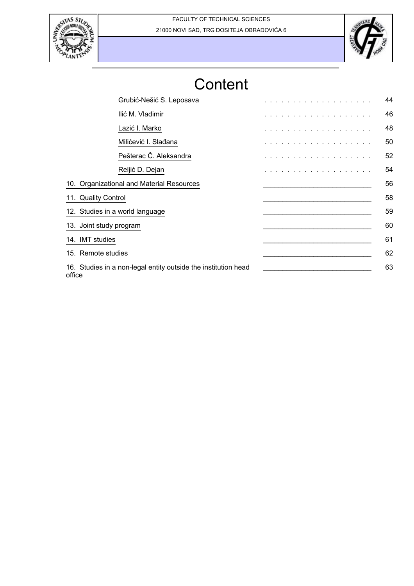



# **Content**

| Grubić-Nešić S. Leposava                                                 | and the state of the state of the | 44 |
|--------------------------------------------------------------------------|-----------------------------------|----|
| Ilić M. Vladimir                                                         | .                                 | 46 |
| Lazić I. Marko                                                           | .                                 | 48 |
| Milićević I. Slađana                                                     | .                                 | 50 |
| Pešterac Č. Aleksandra                                                   | .                                 | 52 |
| Reljić D. Dejan                                                          | .                                 | 54 |
| 10. Organizational and Material Resources                                |                                   | 56 |
| 11. Quality Control                                                      |                                   | 58 |
| 12. Studies in a world language                                          |                                   | 59 |
| 13. Joint study program                                                  |                                   | 60 |
| 14. IMT studies                                                          |                                   | 61 |
| 15. Remote studies                                                       |                                   | 62 |
| 16. Studies in a non-legal entity outside the institution head<br>office |                                   | 63 |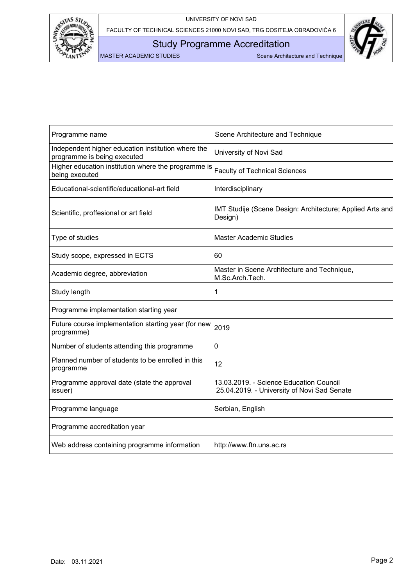

Study Programme Accreditation



| Programme name                                                                    | Scene Architecture and Technique                                                       |
|-----------------------------------------------------------------------------------|----------------------------------------------------------------------------------------|
| Independent higher education institution where the<br>programme is being executed | University of Novi Sad                                                                 |
| Higher education institution where the programme is<br>being executed             | <b>Faculty of Technical Sciences</b>                                                   |
| Educational-scientific/educational-art field                                      | Interdisciplinary                                                                      |
| Scientific, proffesional or art field                                             | IMT Studije (Scene Design: Architecture; Applied Arts and<br>Design)                   |
| Type of studies                                                                   | <b>Master Academic Studies</b>                                                         |
| Study scope, expressed in ECTS                                                    | 60                                                                                     |
| Academic degree, abbreviation                                                     | Master in Scene Architecture and Technique,<br>M.Sc.Arch.Tech.                         |
| Study length                                                                      | 1                                                                                      |
| Programme implementation starting year                                            |                                                                                        |
| Future course implementation starting year (for new<br>programme)                 | 2019                                                                                   |
| Number of students attending this programme                                       | 0                                                                                      |
| Planned number of students to be enrolled in this<br>programme                    | 12                                                                                     |
| Programme approval date (state the approval<br>issuer)                            | 13.03.2019. - Science Education Council<br>25.04.2019. - University of Novi Sad Senate |
| Programme language                                                                | Serbian, English                                                                       |
| Programme accreditation year                                                      |                                                                                        |
| Web address containing programme information                                      | http://www.ftn.uns.ac.rs                                                               |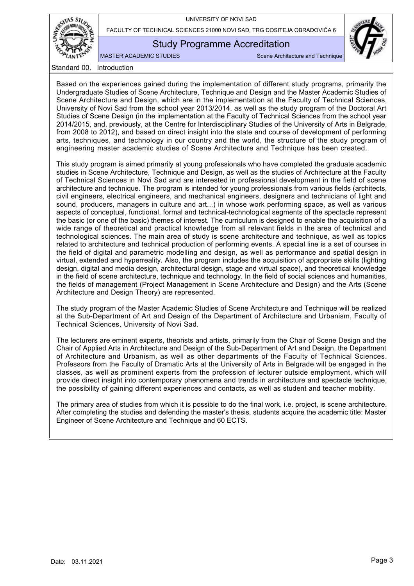

FACULTY OF TECHNICAL SCIENCES 21000 NOVI SAD, TRG DOSITEJA OBRADOVIĆA 6

## Study Programme Accreditation

MASTER ACADEMIC STUDIES Scene Architecture and Technique

Standard 00. Introduction

<span id="page-4-0"></span>Based on the experiences gained during the implementation of different study programs, primarily the Undergraduate Studies of Scene Architecture, Technique and Design and the Master Academic Studies of Scene Architecture and Design, which are in the implementation at the Faculty of Technical Sciences, University of Novi Sad from the school year 2013/2014, as well as the study program of the Doctoral Art Studies of Scene Design (in the implementation at the Faculty of Technical Sciences from the school year 2014/2015, and, previously, at the Centre for Interdisciplinary Studies of the University of Arts in Belgrade, from 2008 to 2012), and based on direct insight into the state and course of development of performing arts, techniques, and technology in our country and the world, the structure of the study program of engineering master academic studies of Scene Architecture and Technique has been created.

This study program is aimed primarily at young professionals who have completed the graduate academic studies in Scene Architecture, Technique and Design, as well as the studies of Architecture at the Faculty of Technical Sciences in Novi Sad and are interested in professional development in the field of scene architecture and technique. The program is intended for young professionals from various fields (architects, civil engineers, electrical engineers, and mechanical engineers, designers and technicians of light and sound, producers, managers in culture and art...) in whose work performing space, as well as various aspects of conceptual, functional, formal and technical-technological segments of the spectacle represent the basic (or one of the basic) themes of interest. The curriculum is designed to enable the acquisition of a wide range of theoretical and practical knowledge from all relevant fields in the area of technical and technological sciences. The main area of study is scene architecture and technique, as well as topics related to architecture and technical production of performing events. A special line is a set of courses in the field of digital and parametric modelling and design, as well as performance and spatial design in virtual, extended and hyperreality. Also, the program includes the acquisition of appropriate skills (lighting design, digital and media design, architectural design, stage and virtual space), and theoretical knowledge in the field of scene architecture, technique and technology. In the field of social sciences and humanities, the fields of management (Project Management in Scene Architecture and Design) and the Arts (Scene Architecture and Design Theory) are represented.

The study program of the Master Academic Studies of Scene Architecture and Technique will be realized at the Sub-Department of Art and Design of the Department of Architecture and Urbanism, Faculty of Technical Sciences, University of Novi Sad.

The lecturers are eminent experts, theorists and artists, primarily from the Chair of Scene Design and the Chair of Applied Arts in Architecture and Design of the Sub-Department of Art and Design, the Department of Architecture and Urbanism, as well as other departments of the Faculty of Technical Sciences. Professors from the Faculty of Dramatic Arts at the University of Arts in Belgrade will be engaged in the classes, as well as prominent experts from the profession of lecturer outside employment, which will provide direct insight into contemporary phenomena and trends in architecture and spectacle technique, the possibility of gaining different experiences and contacts, as well as student and teacher mobility.

The primary area of studies from which it is possible to do the final work, i.e. project, is scene architecture. After completing the studies and defending the master's thesis, students acquire the academic title: Master Engineer of Scene Architecture and Technique and 60 ECTS.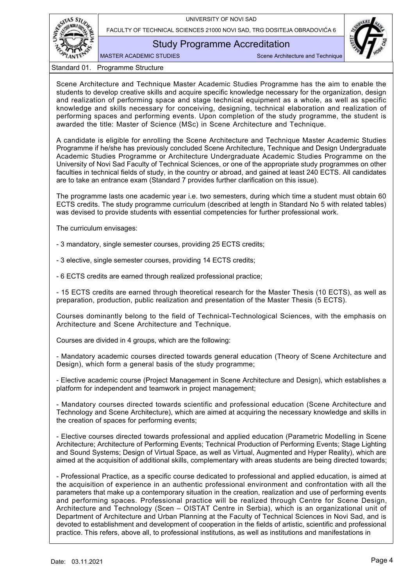

FACULTY OF TECHNICAL SCIENCES 21000 NOVI SAD, TRG DOSITEJA OBRADOVIĆA 6

Study Programme Accreditation

MASTER ACADEMIC STUDIES SCENE Architecture and Technique

Standard 01. Programme Structure

<span id="page-5-0"></span>Scene Architecture and Technique Master Academic Studies Programme has the aim to enable the students to develop creative skills and acquire specific knowledge necessary for the organization, design and realization of performing space and stage technical equipment as a whole, as well as specific knowledge and skills necessary for conceiving, designing, technical elaboration and realization of performing spaces and performing events. Upon completion of the study programme, the student is awarded the title: Master of Science (MSc) in Scene Architecture and Technique.

A candidate is eligible for enrolling the Scene Architecture and Technique Master Academic Studies Programme if he/she has previously concluded Scene Architecture, Technique and Design Undergraduate Academic Studies Programme or Architecture Undergraduate Academic Studies Programme on the University of Novi Sad Faculty of Technical Sciences, or one of the appropriate study programmes on other faculties in technical fields of study, in the country or abroad, and gained at least 240 ECTS. All candidates are to take an entrance exam (Standard 7 provides further clarification on this issue).

The programme lasts one academic year i.e. two semesters, during which time a student must obtain 60 ECTS credits. The study programme curriculum (described at length in Standard No 5 with related tables) was devised to provide students with essential competencies for further professional work.

The curriculum envisages:

- 3 mandatory, single semester courses, providing 25 ECTS credits;

- 3 elective, single semester courses, providing 14 ECTS credits;

- 6 ECTS credits are earned through realized professional practice;

- 15 ECTS credits are earned through theoretical research for the Master Thesis (10 ECTS), as well as preparation, production, public realization and presentation of the Master Thesis (5 ECTS).

Courses dominantly belong to the field of Technical-Technological Sciences, with the emphasis on Architecture and Scene Architecture and Technique.

Courses are divided in 4 groups, which are the following:

- Mandatory academic courses directed towards general education (Theory of Scene Architecture and Design), which form a general basis of the study programme;

- Elective academic course (Project Management in Scene Architecture and Design), which establishes a platform for independent and teamwork in project management;

- Mandatory courses directed towards scientific and professional education (Scene Architecture and Technology and Scene Architecture), which are aimed at acquiring the necessary knowledge and skills in the creation of spaces for performing events;

- Elective courses directed towards professional and applied education (Parametric Modelling in Scene Architecture; Architecture of Performing Events; Technical Production of Performing Events; Stage Lighting and Sound Systems; Design of Virtual Space, as well as Virtual, Augmented and Hyper Reality), which are aimed at the acquisition of additional skills, complementary with areas students are being directed towards;

- Professional Practice, as a specific course dedicated to professional and applied education, is aimed at the acquisition of experience in an authentic professional environment and confrontation with all the parameters that make up a contemporary situation in the creation, realization and use of performing events and performing spaces. Professional practice will be realized through Centre for Scene Design, Architecture and Technology (Scen – OISTAT Centre in Serbia), which is an organizational unit of Department of Architecture and Urban Planning at the Faculty of Technical Sciences in Novi Sad, and is devoted to establishment and development of cooperation in the fields of artistic, scientific and professional practice. This refers, above all, to professional institutions, as well as institutions and manifestations in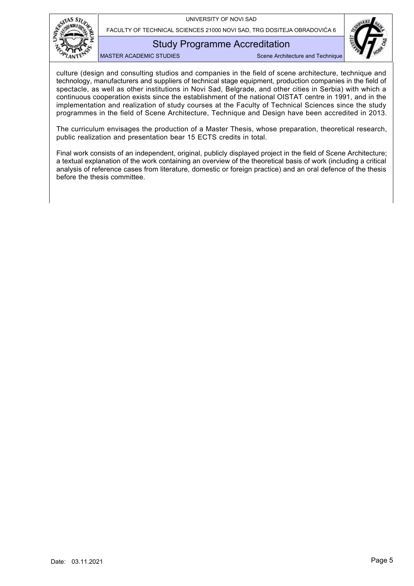

FACULTY OF TECHNICAL SCIENCES 21000 NOVI SAD, TRG DOSITEJA OBRADOVIĆA 6

## Study Programme Accreditation

MASTER ACADEMIC STUDIES SCENE Architecture and Technique



The curriculum envisages the production of a Master Thesis, whose preparation, theoretical research, public realization and presentation bear 15 ECTS credits in total.

Final work consists of an independent, original, publicly displayed project in the field of Scene Architecture; a textual explanation of the work containing an overview of the theoretical basis of work (including a critical analysis of reference cases from literature, domestic or foreign practice) and an oral defence of the thesis before the thesis committee.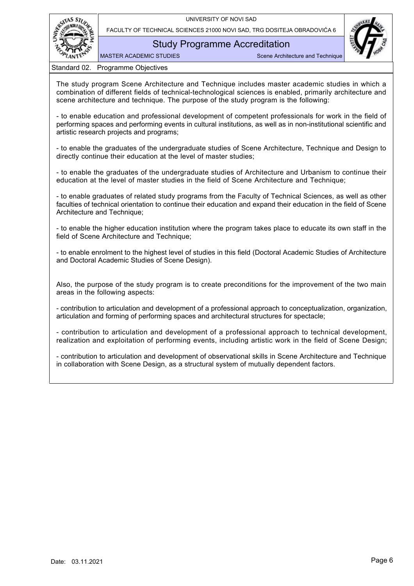



Study Programme Accreditation

MASTER ACADEMIC STUDIES SCENE Architecture and Technique

Standard 02. Programme Objectives

<span id="page-7-0"></span>The study program Scene Architecture and Technique includes master academic studies in which a combination of different fields of technical-technological sciences is enabled, primarily architecture and scene architecture and technique. The purpose of the study program is the following:

- to enable education and professional development of competent professionals for work in the field of performing spaces and performing events in cultural institutions, as well as in non-institutional scientific and artistic research projects and programs;

- to enable the graduates of the undergraduate studies of Scene Architecture, Technique and Design to directly continue their education at the level of master studies;

- to enable the graduates of the undergraduate studies of Architecture and Urbanism to continue their education at the level of master studies in the field of Scene Architecture and Technique;

- to enable graduates of related study programs from the Faculty of Technical Sciences, as well as other faculties of technical orientation to continue their education and expand their education in the field of Scene Architecture and Technique:

- to enable the higher education institution where the program takes place to educate its own staff in the field of Scene Architecture and Technique;

- to enable enrolment to the highest level of studies in this field (Doctoral Academic Studies of Architecture and Doctoral Academic Studies of Scene Design).

Also, the purpose of the study program is to create preconditions for the improvement of the two main areas in the following aspects:

- contribution to articulation and development of a professional approach to conceptualization, organization, articulation and forming of performing spaces and architectural structures for spectacle;

- contribution to articulation and development of a professional approach to technical development, realization and exploitation of performing events, including artistic work in the field of Scene Design;

- contribution to articulation and development of observational skills in Scene Architecture and Technique in collaboration with Scene Design, as a structural system of mutually dependent factors.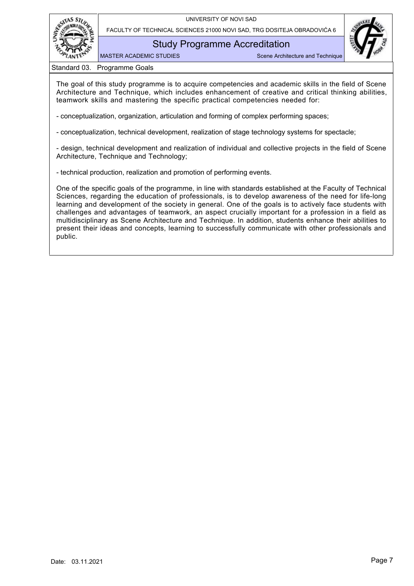



Study Programme Accreditation

MASTER ACADEMIC STUDIES Scene Architecture and Technique

Standard 03. Programme Goals

<span id="page-8-0"></span>The goal of this study programme is to acquire competencies and academic skills in the field of Scene Architecture and Technique, which includes enhancement of creative and critical thinking abilities, teamwork skills and mastering the specific practical competencies needed for:

- conceptualization, organization, articulation and forming of complex performing spaces;

- conceptualization, technical development, realization of stage technology systems for spectacle;

- design, technical development and realization of individual and collective projects in the field of Scene Architecture, Technique and Technology;

- technical production, realization and promotion of performing events.

One of the specific goals of the programme, in line with standards established at the Faculty of Technical Sciences, regarding the education of professionals, is to develop awareness of the need for life-long learning and development of the society in general. One of the goals is to actively face students with challenges and advantages of teamwork, an aspect crucially important for a profession in a field as multidisciplinary as Scene Architecture and Technique. In addition, students enhance their abilities to present their ideas and concepts, learning to successfully communicate with other professionals and public.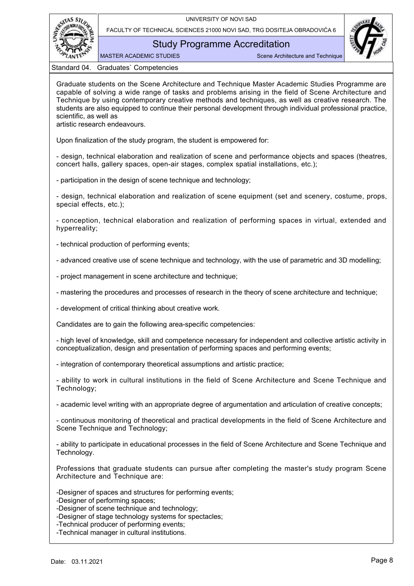



## Study Programme Accreditation

MASTER ACADEMIC STUDIES Scene Architecture and Technique

Standard 04. Graduates` Competencies

<span id="page-9-0"></span>Graduate students on the Scene Architecture and Technique Master Academic Studies Programme are capable of solving a wide range of tasks and problems arising in the field of Scene Architecture and Technique by using contemporary creative methods and techniques, as well as creative research. The students are also equipped to continue their personal development through individual professional practice, scientific, as well as

artistic research endeavours.

Upon finalization of the study program, the student is empowered for:

- design, technical elaboration and realization of scene and performance objects and spaces (theatres, concert halls, gallery spaces, open-air stages, complex spatial installations, etc.);

- participation in the design of scene technique and technology;

- design, technical elaboration and realization of scene equipment (set and scenery, costume, props, special effects, etc.);

- conception, technical elaboration and realization of performing spaces in virtual, extended and hyperreality;

- technical production of performing events;

- advanced creative use of scene technique and technology, with the use of parametric and 3D modelling;

- project management in scene architecture and technique;

- mastering the procedures and processes of research in the theory of scene architecture and technique;

- development of critical thinking about creative work.

Candidates are to gain the following area-specific competencies:

- high level of knowledge, skill and competence necessary for independent and collective artistic activity in conceptualization, design and presentation of performing spaces and performing events;

- integration of contemporary theoretical assumptions and artistic practice;

- ability to work in cultural institutions in the field of Scene Architecture and Scene Technique and Technology;

- academic level writing with an appropriate degree of argumentation and articulation of creative concepts;

- continuous monitoring of theoretical and practical developments in the field of Scene Architecture and Scene Technique and Technology;

- ability to participate in educational processes in the field of Scene Architecture and Scene Technique and Technology.

Professions that graduate students can pursue after completing the master's study program Scene Architecture and Technique are:

-Designer of spaces and structures for performing events;

-Designer of performing spaces;

-Designer of scene technique and technology;

-Designer of stage technology systems for spectacles;

-Technical producer of performing events;

-Technical manager in cultural institutions.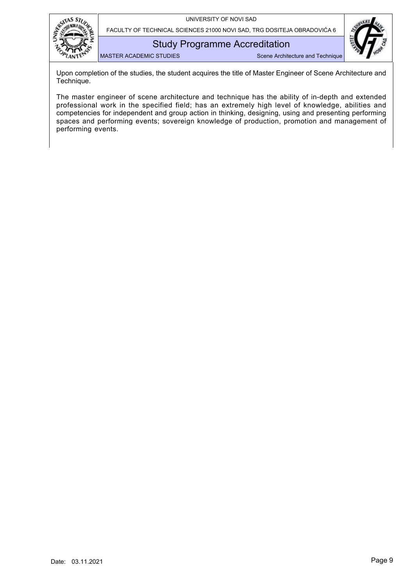



Study Programme Accreditation

MASTER ACADEMIC STUDIES SCENE Architecture and Technique

Upon completion of the studies, the student acquires the title of Master Engineer of Scene Architecture and Technique.

The master engineer of scene architecture and technique has the ability of in-depth and extended professional work in the specified field; has an extremely high level of knowledge, abilities and competencies for independent and group action in thinking, designing, using and presenting performing spaces and performing events; sovereign knowledge of production, promotion and management of performing events.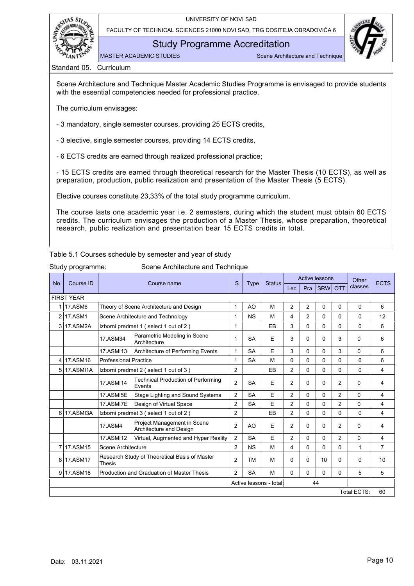



Study Programme Accreditation

MASTER ACADEMIC STUDIES Scene Architecture and Technique

Standard 05. Curriculum

<span id="page-11-0"></span>Scene Architecture and Technique Master Academic Studies Programme is envisaged to provide students with the essential competencies needed for professional practice.

The curriculum envisages:

- 3 mandatory, single semester courses, providing 25 ECTS credits,

- 3 elective, single semester courses, providing 14 ECTS credits,

- 6 ECTS credits are earned through realized professional practice;

- 15 ECTS credits are earned through theoretical research for the Master Thesis (10 ECTS), as well as preparation, production, public realization and presentation of the Master Thesis (5 ECTS).

Elective courses constitute 23,33% of the total study programme curriculum.

The course lasts one academic year i.e. 2 semesters, during which the student must obtain 60 ECTS credits. The curriculum envisages the production of a Master Thesis, whose preparation, theoretical research, public realization and presentation bear 15 ECTS credits in total.

<span id="page-11-1"></span>Table 5.1 Courses schedule by semester and year of study

Study programme: Scene Architecture and Technique

| Course ID<br>No. |                                                                     |                                                                  |                                                        | S              | <b>Type</b> | <b>Status</b>           |                |                | <b>Active lessons</b> |                | Other              | <b>ECTS</b>    |
|------------------|---------------------------------------------------------------------|------------------------------------------------------------------|--------------------------------------------------------|----------------|-------------|-------------------------|----------------|----------------|-----------------------|----------------|--------------------|----------------|
|                  |                                                                     |                                                                  | Course name                                            |                |             |                         | Lec            | Pra            | <b>SRW</b>            | <b>OTT</b>     | classes            |                |
|                  | <b>FIRST YEAR</b>                                                   |                                                                  |                                                        |                |             |                         |                |                |                       |                |                    |                |
| 1                | <b>17.ASM6</b>                                                      |                                                                  | Theory of Scene Architecture and Design                | 1              | AO          | M                       | $\overline{2}$ | 2              | 0                     | 0              | 0                  | 6              |
| $\overline{2}$   | <b>17.ASM1</b>                                                      |                                                                  | Scene Architecture and Technology                      | 1              | <b>NS</b>   | M                       | 4              | $\overline{2}$ | $\Omega$              | 0              | $\Omega$           | 12             |
| 3                | 17.ASM2A                                                            |                                                                  | Izborni predmet 1 (select 1 out of 2)                  | 1              |             | EB                      | 3              | 0              | 0                     | 0              | 0                  | 6              |
|                  |                                                                     | 17.ASM34                                                         | Parametric Modeling in Scene<br>Architecture           | $\mathbf{1}$   | <b>SA</b>   | E                       | 3              | 0              | 0                     | 3              | $\Omega$           | 6              |
|                  |                                                                     | 17.ASMI13                                                        | Architecture of Performing Events                      | 1              | <b>SA</b>   | F                       | 3              | $\Omega$       | $\Omega$              | 3              | $\Omega$           | 6              |
| 4                | 17.ASM16                                                            | <b>Professional Practice</b>                                     | 1                                                      | <b>SA</b>      | M           | $\Omega$                | 0              | $\Omega$       | 0                     | 6              | 6                  |                |
| 5                | 17.ASMI1A                                                           | Izborni predmet 2 (select 1 out of 3)                            | 2                                                      |                | EB          | 2                       | 0              | 0              | 0                     | 0              | 4                  |                |
|                  |                                                                     | <b>Technical Production of Performing</b><br>17.ASMI14<br>Events |                                                        | $\overline{2}$ | <b>SA</b>   | E                       | $\overline{2}$ | $\Omega$       | $\Omega$              | $\overline{2}$ | $\Omega$           | 4              |
|                  |                                                                     | 17.ASMI5E                                                        | $\overline{2}$                                         | <b>SA</b>      | F           | $\overline{2}$          | $\Omega$       | $\Omega$       | $\overline{2}$        | $\Omega$       | 4                  |                |
|                  |                                                                     | 17.ASMI7E                                                        | Design of Virtual Space                                | $\overline{2}$ | <b>SA</b>   | E                       | $\overline{2}$ | $\Omega$       | $\Omega$              | $\overline{2}$ | $\Omega$           | 4              |
| 6                | 17.ASMI3A                                                           |                                                                  | Izborni predmet 3 (select 1 out of 2)                  | $\overline{2}$ |             | EB                      | $\overline{2}$ | $\Omega$       | $\Omega$              | $\Omega$       | $\Omega$           | 4              |
|                  |                                                                     | <b>17.ASM4</b>                                                   | Project Management in Scene<br>Architecture and Design | $\overline{2}$ | AO          | E                       | $\overline{2}$ | $\Omega$       | 0                     | $\overline{2}$ | $\Omega$           | 4              |
|                  |                                                                     | 17.ASMI12                                                        | Virtual, Augmented and Hyper Reality                   | $\overline{2}$ | <b>SA</b>   | E                       | $\overline{2}$ | $\Omega$       | $\Omega$              | $\overline{2}$ | $\Omega$           | 4              |
| 7                | 17.ASM15                                                            | Scene Architecture                                               |                                                        | $\overline{2}$ | <b>NS</b>   | M                       | 4              | $\Omega$       | $\Omega$              | 0              | 1                  | $\overline{7}$ |
| 8                | Research Study of Theoretical Basis of Master<br>17.ASM17<br>Thesis |                                                                  |                                                        |                | <b>TM</b>   | М                       | $\Omega$       | 0              | 10                    | $\Omega$       | $\Omega$           | 10             |
| 9                | 17.ASM18                                                            |                                                                  | Production and Graduation of Master Thesis             | 2              | <b>SA</b>   | M                       | $\Omega$       | 0              | $\Omega$              | $\Omega$       | 5                  | 5              |
|                  |                                                                     |                                                                  |                                                        |                |             | Active lessons - total: |                |                | 44                    |                |                    |                |
|                  |                                                                     |                                                                  |                                                        |                |             |                         |                |                |                       |                | <b>Total ECTS:</b> | 60             |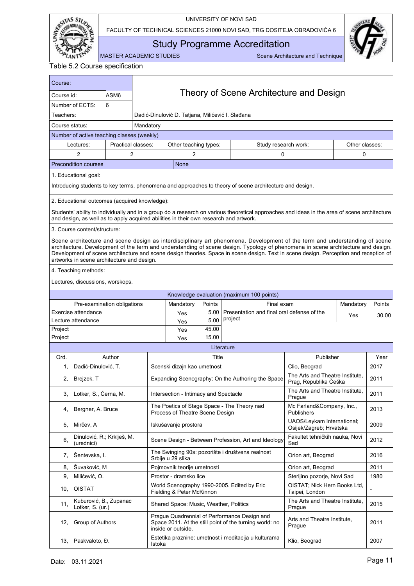

FACULTY OF TECHNICAL SCIENCES 21000 NOVI SAD, TRG DOSITEJA OBRADOVIĆA 6



<span id="page-12-1"></span>Study Programme Accreditation

MASTER ACADEMIC STUDIES Scene Architecture and Technique

<span id="page-12-0"></span>

| Course:                                                                                                 | Theory of Scene Architecture and Design       |                    |        |                                                                                       |                |                                                                                                                                                                                                                                                                                                                                                                                                         |                                                          |                     |       |
|---------------------------------------------------------------------------------------------------------|-----------------------------------------------|--------------------|--------|---------------------------------------------------------------------------------------|----------------|---------------------------------------------------------------------------------------------------------------------------------------------------------------------------------------------------------------------------------------------------------------------------------------------------------------------------------------------------------------------------------------------------------|----------------------------------------------------------|---------------------|-------|
| ASM <sub>6</sub><br>Course id:                                                                          |                                               |                    |        |                                                                                       |                |                                                                                                                                                                                                                                                                                                                                                                                                         |                                                          |                     |       |
|                                                                                                         | Number of ECTS:                               | 6                  |        |                                                                                       |                |                                                                                                                                                                                                                                                                                                                                                                                                         |                                                          |                     |       |
| Teachers:<br>Dadić-Dinulović D. Tatjana, Milićević I. Slađana                                           |                                               |                    |        |                                                                                       |                |                                                                                                                                                                                                                                                                                                                                                                                                         |                                                          |                     |       |
| Course status:<br>Mandatory                                                                             |                                               |                    |        |                                                                                       |                |                                                                                                                                                                                                                                                                                                                                                                                                         |                                                          |                     |       |
|                                                                                                         | Number of active teaching classes (weekly)    |                    |        |                                                                                       |                |                                                                                                                                                                                                                                                                                                                                                                                                         |                                                          |                     |       |
|                                                                                                         | Lectures:                                     | Practical classes: |        | Other teaching types:                                                                 |                | Study research work:                                                                                                                                                                                                                                                                                                                                                                                    |                                                          | Other classes:      |       |
|                                                                                                         | 2                                             | 2                  |        | 2                                                                                     |                | 0                                                                                                                                                                                                                                                                                                                                                                                                       |                                                          | 0                   |       |
| <b>Precondition courses</b><br><b>None</b>                                                              |                                               |                    |        |                                                                                       |                |                                                                                                                                                                                                                                                                                                                                                                                                         |                                                          |                     |       |
| 1. Educational goal:                                                                                    |                                               |                    |        |                                                                                       |                |                                                                                                                                                                                                                                                                                                                                                                                                         |                                                          |                     |       |
| Introducing students to key terms, phenomena and approaches to theory of scene architecture and design. |                                               |                    |        |                                                                                       |                |                                                                                                                                                                                                                                                                                                                                                                                                         |                                                          |                     |       |
|                                                                                                         | 2. Educational outcomes (acquired knowledge): |                    |        |                                                                                       |                |                                                                                                                                                                                                                                                                                                                                                                                                         |                                                          |                     |       |
|                                                                                                         |                                               |                    |        | and design, as well as to apply acquired abilities in their own research and artwork. |                | Students' ability to individually and in a group do a research on various theoretical approaches and ideas in the area of scene architecture                                                                                                                                                                                                                                                            |                                                          |                     |       |
|                                                                                                         | 3. Course content/structure:                  |                    |        |                                                                                       |                |                                                                                                                                                                                                                                                                                                                                                                                                         |                                                          |                     |       |
|                                                                                                         | artworks in scene architecture and design.    |                    |        |                                                                                       |                | Scene architecture and scene design as interdisciplinary art phenomena. Development of the term and understanding of scene<br>architecture. Development of the term and understanding of scene design. Typology of phenomena in scene architecture and design.<br>Development of scene architecture and scene design theories. Space in scene design. Text in scene design. Perception and reception of |                                                          |                     |       |
|                                                                                                         | 4. Teaching methods:                          |                    |        |                                                                                       |                |                                                                                                                                                                                                                                                                                                                                                                                                         |                                                          |                     |       |
|                                                                                                         | Lectures, discussions, worskops.              |                    |        |                                                                                       |                |                                                                                                                                                                                                                                                                                                                                                                                                         |                                                          |                     |       |
|                                                                                                         |                                               |                    |        |                                                                                       |                | Knowledge evaluation (maximum 100 points)                                                                                                                                                                                                                                                                                                                                                               |                                                          |                     |       |
|                                                                                                         | Pre-examination obligations                   |                    |        | Mandatory                                                                             | Points         | Final exam                                                                                                                                                                                                                                                                                                                                                                                              |                                                          | Mandatory<br>Points |       |
|                                                                                                         | Exercise attendance                           |                    |        | Yes                                                                                   | 5.00           | Presentation and final oral defense of the                                                                                                                                                                                                                                                                                                                                                              |                                                          | Yes                 | 30.00 |
|                                                                                                         | Lecture attendance                            |                    |        | Yes                                                                                   | 5.00           | project                                                                                                                                                                                                                                                                                                                                                                                                 |                                                          |                     |       |
| Project<br>Project                                                                                      |                                               |                    |        | Yes                                                                                   | 45.00<br>15.00 |                                                                                                                                                                                                                                                                                                                                                                                                         |                                                          |                     |       |
|                                                                                                         |                                               |                    |        | Yes                                                                                   |                | Literature                                                                                                                                                                                                                                                                                                                                                                                              |                                                          |                     |       |
| Ord.                                                                                                    |                                               | Author             |        |                                                                                       | Title          |                                                                                                                                                                                                                                                                                                                                                                                                         | Publisher                                                | Year                |       |
| 1,                                                                                                      | Dadić-Dinulović, T.                           |                    |        | Scenski dizajn kao umetnost                                                           |                |                                                                                                                                                                                                                                                                                                                                                                                                         | Clio, Beograd                                            | 2017                |       |
| 2.                                                                                                      | Brejzek, T                                    |                    |        |                                                                                       |                | Expanding Scenography: On the Authoring the Space                                                                                                                                                                                                                                                                                                                                                       | The Arts and Theatre Institute.<br>Prag, Republika Češka |                     | 2011  |
| 3.                                                                                                      | Lotker, S., Černa, M.                         |                    |        | Intersection - Intimacy and Spectacle                                                 |                |                                                                                                                                                                                                                                                                                                                                                                                                         | The Arts and Theatre Institute.<br>Prague                |                     | 2011  |
| 4,                                                                                                      | Bergner, A. Bruce                             |                    |        | Process of Theatre Scene Design                                                       |                | The Poetics of Stage Space - The Theory nad                                                                                                                                                                                                                                                                                                                                                             | Mc Farland&Company, Inc.,<br>Publishers                  |                     | 2013  |
| 5.                                                                                                      | Mirčev, A                                     |                    |        | Iskušavanje prostora                                                                  |                |                                                                                                                                                                                                                                                                                                                                                                                                         | UAOS/Leykam International;<br>Osijek/Zagreb; Hrvatska    |                     | 2009  |
| 6.                                                                                                      | Dinulović, R.; Krklješ, M.<br>(urednici)      |                    |        |                                                                                       |                | Scene Design - Between Profession, Art and Ideology                                                                                                                                                                                                                                                                                                                                                     | Fakultet tehničkih nauka, Novi<br>Sad                    |                     | 2012  |
| 7,                                                                                                      | Šentevska, I.                                 |                    |        | Srbije u 29 slika                                                                     |                | The Swinging 90s: pozorište i društvena realnost                                                                                                                                                                                                                                                                                                                                                        | Orion art, Beograd                                       |                     | 2016  |
| 8.                                                                                                      | Šuvaković, M                                  |                    |        | Pojmovnik teorije umetnosti                                                           |                |                                                                                                                                                                                                                                                                                                                                                                                                         | Orion art, Beograd                                       |                     | 2011  |
| 9.                                                                                                      | Milićević, O.                                 |                    |        | Prostor - dramsko lice                                                                |                |                                                                                                                                                                                                                                                                                                                                                                                                         | Sterijino pozorje, Novi Sad                              |                     | 1980  |
| 10,                                                                                                     | <b>OISTAT</b>                                 |                    |        | Fielding & Peter McKinnon                                                             |                | World Scenography 1990-2005. Edited by Eric                                                                                                                                                                                                                                                                                                                                                             | OISTAT; Nick Hern Books Ltd,<br>Taipei, London           |                     |       |
| 11,                                                                                                     | Kuburović, B., Zupanac<br>Lotker, S. (ur.)    |                    |        | Shared Space: Music, Weather, Politics                                                |                |                                                                                                                                                                                                                                                                                                                                                                                                         | The Arts and Theatre Institute,<br>Prague                |                     | 2015  |
| 12,                                                                                                     | Group of Authors                              |                    |        | inside or outside.                                                                    |                | Prague Quadrennial of Performance Design and<br>Space 2011. At the still point of the turning world: no                                                                                                                                                                                                                                                                                                 | Arts and Theatre Institute,<br>Prague                    |                     | 2011  |
| 13,                                                                                                     | Paskvaloto, Đ.                                |                    | Istoka |                                                                                       |                | Estetika praznine: umetnost i meditacija u kulturama                                                                                                                                                                                                                                                                                                                                                    | Klio, Beograd                                            |                     | 2007  |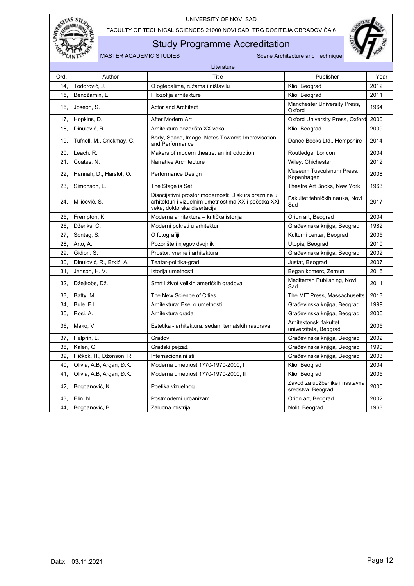

FACULTY OF TECHNICAL SCIENCES 21000 NOVI SAD, TRG DOSITEJA OBRADOVIĆA 6

## Study Programme Accreditation



|      |                           | Literature                                                                                                                                  |                                                 |      |
|------|---------------------------|---------------------------------------------------------------------------------------------------------------------------------------------|-------------------------------------------------|------|
| Ord. | Author                    | Title                                                                                                                                       | Publisher                                       | Year |
| 14.  | Todorović, J.             | O ogledalima, ružama i ništavilu                                                                                                            | Klio, Beograd                                   | 2012 |
| 15.  | Bendžamin, E.             | Filozofija arhitekture                                                                                                                      | Klio, Beograd                                   | 2011 |
| 16.  | Joseph, S.                | <b>Actor and Architect</b>                                                                                                                  | Manchester University Press,<br>Oxford          | 1964 |
| 17,  | Hopkins, D.               | After Modern Art                                                                                                                            | Oxford University Press, Oxford                 | 2000 |
| 18.  | Dinulović, R.             | Arhitektura pozorišta XX veka                                                                                                               | Klio, Beograd                                   | 2009 |
| 19.  | Tufnell, M., Crickmay, C. | Body, Space, Image: Notes Towards Improvisation<br>and Performance                                                                          | Dance Books Ltd., Hempshire                     | 2014 |
| 20.  | Leach, R.                 | Makers of modern theatre: an introduction                                                                                                   | Routledge, London                               | 2004 |
| 21,  | Coates, N.                | Narrative Architecture                                                                                                                      | Wiley, Chichester                               | 2012 |
| 22,  | Hannah, D., Harslof, O.   | Performance Design                                                                                                                          | Museum Tusculanum Press,<br>Kopenhagen          | 2008 |
| 23.  | Simonson. L.              | The Stage is Set                                                                                                                            | Theatre Art Books, New York                     | 1963 |
| 24.  | Milićević, S.             | Disocijativni prostor modernosti: Diskurs praznine u<br>arhitekturi i vizuelnim umetnostima XX i početka XXI<br>veka; doktorska disertacija | Fakultet tehničkih nauka. Novi<br>Sad           | 2017 |
| 25,  | Frempton, K.              | Moderna arhitektura - kritička istorija                                                                                                     | Orion art, Beograd                              | 2004 |
| 26.  | Dženks. Č.                | Moderni pokreti u arhitekturi                                                                                                               | Građevinska knjiga, Beograd                     | 1982 |
| 27,  | Sontag, S.                | O fotografiji                                                                                                                               | Kulturni centar, Beograd                        | 2005 |
| 28.  | Arto, A.                  | Pozorište i njegov dvojnik                                                                                                                  | Utopia, Beograd                                 | 2010 |
| 29.  | Gidion, S.                | Prostor, vreme i arhitektura                                                                                                                | Građevinska knjiga, Beograd                     | 2002 |
| 30.  | Dinulović, R., Brkić, A.  | Teatar-politika-grad                                                                                                                        | Justat, Beograd                                 | 2007 |
| 31.  | Janson, H. V.             | Istorija umetnosti                                                                                                                          | Began komerc, Zemun                             | 2016 |
| 32,  | Džejkobs, Dž.             | Smrt i život velikih američkih gradova                                                                                                      | Mediterran Publishing, Novi<br>Sad              | 2011 |
| 33,  | Batty, M.                 | The New Science of Cities                                                                                                                   | The MIT Press, Massachusetts                    | 2013 |
| 34.  | Bule, E.L.                | Arhitektura: Esej o umetnosti                                                                                                               | Građevinska knjiga, Beograd                     | 1999 |
| 35,  | Rosi, A.                  | Arhitektura grada                                                                                                                           | Građevinska knjiga, Beograd                     | 2006 |
| 36.  | Mako, V.                  | Estetika - arhitektura: sedam tematskih rasprava                                                                                            | Arhitektonski fakultet<br>univerziteta, Beograd | 2005 |
| 37,  | Halprin, L.               | Gradovi                                                                                                                                     | Građevinska knjiga, Beograd                     | 2002 |
| 38.  | Kalen, G.                 | Gradski pejzaž                                                                                                                              | Građevinska knjiga, Beograd                     | 1990 |
| 39.  | Hičkok, H., Džonson, R.   | Internacionalni stil                                                                                                                        | Građevinska knjiga, Beograd                     | 2003 |
| 40.  | Olivia, A.B. Argan, Đ.K.  | Moderna umetnost 1770-1970-2000, I                                                                                                          | Klio, Beograd                                   | 2004 |
| 41,  | Olivia, A.B. Argan, Đ.K.  | Moderna umetnost 1770-1970-2000, II                                                                                                         | Klio, Beograd                                   | 2005 |
| 42,  | Bogdanović, K.            | Zavod za udžbenike i nastavna<br>Poetika vizuelnog<br>sredstva, Beograd                                                                     |                                                 | 2005 |
| 43.  | Elin, N.                  | Postmoderni urbanizam                                                                                                                       | Orion art, Beograd                              | 2002 |
| 44,  | Bogdanović, B.            | Zaludna mistrija                                                                                                                            | Nolit, Beograd                                  | 1963 |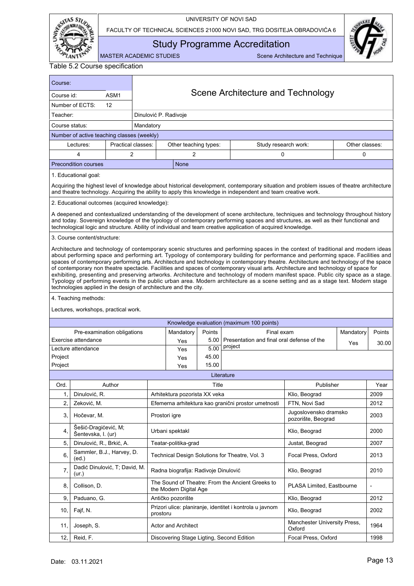

FACULTY OF TECHNICAL SCIENCES 21000 NOVI SAD, TRG DOSITEJA OBRADOVIĆA 6



<span id="page-14-0"></span>Study Programme Accreditation

| Table 5.2 Course specification |  |
|--------------------------------|--|
|--------------------------------|--|

| Course:                                                                                                                                                                                                                                                  |                                                                                                                                                                                                                                                                                                                                                                                                                                                                                                                                                                                                                                                                                                                                                                                                                                   |                    |                                   |                                           |                |                                                          |                                             |                |        |
|----------------------------------------------------------------------------------------------------------------------------------------------------------------------------------------------------------------------------------------------------------|-----------------------------------------------------------------------------------------------------------------------------------------------------------------------------------------------------------------------------------------------------------------------------------------------------------------------------------------------------------------------------------------------------------------------------------------------------------------------------------------------------------------------------------------------------------------------------------------------------------------------------------------------------------------------------------------------------------------------------------------------------------------------------------------------------------------------------------|--------------------|-----------------------------------|-------------------------------------------|----------------|----------------------------------------------------------|---------------------------------------------|----------------|--------|
| ASM1<br>Course id:                                                                                                                                                                                                                                       |                                                                                                                                                                                                                                                                                                                                                                                                                                                                                                                                                                                                                                                                                                                                                                                                                                   |                    | Scene Architecture and Technology |                                           |                |                                                          |                                             |                |        |
| Number of ECTS:<br>12                                                                                                                                                                                                                                    |                                                                                                                                                                                                                                                                                                                                                                                                                                                                                                                                                                                                                                                                                                                                                                                                                                   |                    |                                   |                                           |                |                                                          |                                             |                |        |
| Teacher:<br>Dinulović P. Radivoje                                                                                                                                                                                                                        |                                                                                                                                                                                                                                                                                                                                                                                                                                                                                                                                                                                                                                                                                                                                                                                                                                   |                    |                                   |                                           |                |                                                          |                                             |                |        |
| Course status:                                                                                                                                                                                                                                           |                                                                                                                                                                                                                                                                                                                                                                                                                                                                                                                                                                                                                                                                                                                                                                                                                                   |                    | Mandatory                         |                                           |                |                                                          |                                             |                |        |
| Number of active teaching classes (weekly)                                                                                                                                                                                                               |                                                                                                                                                                                                                                                                                                                                                                                                                                                                                                                                                                                                                                                                                                                                                                                                                                   |                    |                                   |                                           |                |                                                          |                                             |                |        |
|                                                                                                                                                                                                                                                          | Lectures:                                                                                                                                                                                                                                                                                                                                                                                                                                                                                                                                                                                                                                                                                                                                                                                                                         | Practical classes: |                                   | Other teaching types:                     |                | Study research work:                                     |                                             | Other classes: |        |
|                                                                                                                                                                                                                                                          | 4                                                                                                                                                                                                                                                                                                                                                                                                                                                                                                                                                                                                                                                                                                                                                                                                                                 | $\overline{c}$     |                                   | 2                                         |                | $\Omega$                                                 |                                             | 0              |        |
| <b>Precondition courses</b><br><b>None</b>                                                                                                                                                                                                               |                                                                                                                                                                                                                                                                                                                                                                                                                                                                                                                                                                                                                                                                                                                                                                                                                                   |                    |                                   |                                           |                |                                                          |                                             |                |        |
| 1. Educational goal:                                                                                                                                                                                                                                     |                                                                                                                                                                                                                                                                                                                                                                                                                                                                                                                                                                                                                                                                                                                                                                                                                                   |                    |                                   |                                           |                |                                                          |                                             |                |        |
| Acquiring the highest level of knowledge about historical development, contemporary situation and problem issues of theatre architecture<br>and theatre technology. Acquiring the ability to apply this knowledge in independent and team creative work. |                                                                                                                                                                                                                                                                                                                                                                                                                                                                                                                                                                                                                                                                                                                                                                                                                                   |                    |                                   |                                           |                |                                                          |                                             |                |        |
|                                                                                                                                                                                                                                                          | 2. Educational outcomes (acquired knowledge):                                                                                                                                                                                                                                                                                                                                                                                                                                                                                                                                                                                                                                                                                                                                                                                     |                    |                                   |                                           |                |                                                          |                                             |                |        |
|                                                                                                                                                                                                                                                          | A deepened and contextualized understanding of the development of scene architecture, techniques and technology throughout history<br>and today. Sovereign knowledge of the typology of contemporary performing spaces and structures, as well as their functional and<br>technological logic and structure. Ability of individual and team creative application of acquired knowledge.                                                                                                                                                                                                                                                                                                                                                                                                                                           |                    |                                   |                                           |                |                                                          |                                             |                |        |
|                                                                                                                                                                                                                                                          | 3. Course content/structure:                                                                                                                                                                                                                                                                                                                                                                                                                                                                                                                                                                                                                                                                                                                                                                                                      |                    |                                   |                                           |                |                                                          |                                             |                |        |
|                                                                                                                                                                                                                                                          | Architecture and technology of contemporary scenic structures and performing spaces in the context of traditional and modern ideas<br>about performing space and performing art. Typology of contemporary building for performance and performing space. Facilities and<br>spaces of contemporary performing arts. Architecture and technology in contemporary theatre. Architecture and technology of the space<br>of contemporary non theatre spectacle. Facilities and spaces of contemporary visual arts. Architecture and technology of space for<br>exhibiting, presenting and preserving artworks. Architecture and technology of modern manifest space. Public city space as a stage.<br>Typology of performing events in the public urban area. Modern architecture as a scene setting and as a stage text. Modern stage |                    |                                   |                                           |                |                                                          |                                             |                |        |
|                                                                                                                                                                                                                                                          | technologies applied in the design of architecture and the city.                                                                                                                                                                                                                                                                                                                                                                                                                                                                                                                                                                                                                                                                                                                                                                  |                    |                                   |                                           |                |                                                          |                                             |                |        |
|                                                                                                                                                                                                                                                          | 4. Teaching methods:                                                                                                                                                                                                                                                                                                                                                                                                                                                                                                                                                                                                                                                                                                                                                                                                              |                    |                                   |                                           |                |                                                          |                                             |                |        |
|                                                                                                                                                                                                                                                          | Lectures, workshops, practical work.                                                                                                                                                                                                                                                                                                                                                                                                                                                                                                                                                                                                                                                                                                                                                                                              |                    |                                   |                                           |                |                                                          |                                             |                |        |
|                                                                                                                                                                                                                                                          |                                                                                                                                                                                                                                                                                                                                                                                                                                                                                                                                                                                                                                                                                                                                                                                                                                   |                    |                                   |                                           |                | Knowledge evaluation (maximum 100 points)                |                                             |                |        |
|                                                                                                                                                                                                                                                          | Pre-examination obligations                                                                                                                                                                                                                                                                                                                                                                                                                                                                                                                                                                                                                                                                                                                                                                                                       |                    |                                   | Mandatory                                 | Points         | Final exam                                               |                                             | Mandatory      | Points |
|                                                                                                                                                                                                                                                          | Exercise attendance                                                                                                                                                                                                                                                                                                                                                                                                                                                                                                                                                                                                                                                                                                                                                                                                               |                    |                                   | Yes                                       | 5.00           | Presentation and final oral defense of the<br>Yes        |                                             |                | 30.00  |
|                                                                                                                                                                                                                                                          | Lecture attendance                                                                                                                                                                                                                                                                                                                                                                                                                                                                                                                                                                                                                                                                                                                                                                                                                |                    |                                   | Yes                                       | 5.00           | project                                                  |                                             |                |        |
| Project<br>Project                                                                                                                                                                                                                                       |                                                                                                                                                                                                                                                                                                                                                                                                                                                                                                                                                                                                                                                                                                                                                                                                                                   |                    |                                   | Yes                                       | 45.00<br>15.00 |                                                          |                                             |                |        |
|                                                                                                                                                                                                                                                          |                                                                                                                                                                                                                                                                                                                                                                                                                                                                                                                                                                                                                                                                                                                                                                                                                                   |                    |                                   | Yes                                       |                | Literature                                               |                                             |                |        |
| Ord.                                                                                                                                                                                                                                                     |                                                                                                                                                                                                                                                                                                                                                                                                                                                                                                                                                                                                                                                                                                                                                                                                                                   | Author             |                                   |                                           | Title          |                                                          | Publisher                                   |                | Year   |
| 1.                                                                                                                                                                                                                                                       | Dinulović, R.                                                                                                                                                                                                                                                                                                                                                                                                                                                                                                                                                                                                                                                                                                                                                                                                                     |                    |                                   | Arhitektura pozorista XX veka             |                |                                                          | Klio, Beograd                               |                | 2009   |
| 2.                                                                                                                                                                                                                                                       | Zeković, M.                                                                                                                                                                                                                                                                                                                                                                                                                                                                                                                                                                                                                                                                                                                                                                                                                       |                    |                                   |                                           |                | Efemerna arhitektura kao granični prostor umetnosti      | FTN, Novi Sad                               |                | 2012   |
| 3,                                                                                                                                                                                                                                                       | Hočevar, M.                                                                                                                                                                                                                                                                                                                                                                                                                                                                                                                                                                                                                                                                                                                                                                                                                       |                    |                                   | Prostori igre                             |                |                                                          | Jugoslovensko dramsko<br>pozorište, Beograd |                | 2003   |
| 4,                                                                                                                                                                                                                                                       | Šešić-Dragićević, M;<br>Šentevska, I. (ur)                                                                                                                                                                                                                                                                                                                                                                                                                                                                                                                                                                                                                                                                                                                                                                                        |                    |                                   | Klio, Beograd<br>Urbani spektakl          |                |                                                          |                                             |                | 2000   |
| 5.                                                                                                                                                                                                                                                       | Dinulović, R., Brkić, A.                                                                                                                                                                                                                                                                                                                                                                                                                                                                                                                                                                                                                                                                                                                                                                                                          |                    |                                   | Teatar-politika-grad                      |                |                                                          | Justat, Beograd                             |                | 2007   |
| 6,                                                                                                                                                                                                                                                       | Sammler, B.J., Harvey, D.<br>(ed.)                                                                                                                                                                                                                                                                                                                                                                                                                                                                                                                                                                                                                                                                                                                                                                                                |                    |                                   |                                           |                | Technical Design Solutions for Theatre, Vol. 3           | Focal Press, Oxford                         |                | 2013   |
| 7,                                                                                                                                                                                                                                                       | Dadić Dinulović, T; David, M.<br>(ur.)                                                                                                                                                                                                                                                                                                                                                                                                                                                                                                                                                                                                                                                                                                                                                                                            |                    |                                   | Radna biografija: Radivoje Dinulović      |                |                                                          | Klio, Beograd                               |                | 2010   |
| 8.                                                                                                                                                                                                                                                       | Collison, D.                                                                                                                                                                                                                                                                                                                                                                                                                                                                                                                                                                                                                                                                                                                                                                                                                      |                    |                                   | the Modern Digital Age                    |                | The Sound of Theatre: From the Ancient Greeks to         | PLASA Limited, Eastbourne                   |                |        |
| 9,                                                                                                                                                                                                                                                       | Paduano, G.                                                                                                                                                                                                                                                                                                                                                                                                                                                                                                                                                                                                                                                                                                                                                                                                                       |                    |                                   | Antičko pozorište                         |                |                                                          | Klio, Beograd                               |                | 2012   |
| 10,                                                                                                                                                                                                                                                      | Fajf, N.                                                                                                                                                                                                                                                                                                                                                                                                                                                                                                                                                                                                                                                                                                                                                                                                                          |                    | prostoru                          |                                           |                | Prizori ulice: planiranje, identitet i kontrola u javnom | Klio, Beograd                               |                | 2002   |
| 11,                                                                                                                                                                                                                                                      | Joseph, S.                                                                                                                                                                                                                                                                                                                                                                                                                                                                                                                                                                                                                                                                                                                                                                                                                        |                    |                                   | Actor and Architect                       |                |                                                          | Manchester University Press,<br>Oxford      |                | 1964   |
| 12,                                                                                                                                                                                                                                                      | Reid, F.                                                                                                                                                                                                                                                                                                                                                                                                                                                                                                                                                                                                                                                                                                                                                                                                                          |                    |                                   | Discovering Stage Ligting, Second Edition |                |                                                          | Focal Press, Oxford                         |                | 1998   |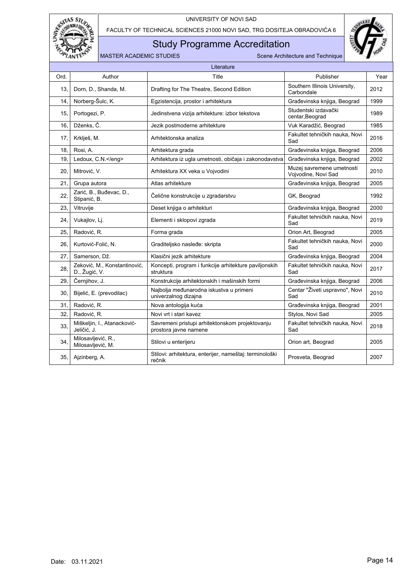

FACULTY OF TECHNICAL SCIENCES 21000 NOVI SAD, TRG DOSITEJA OBRADOVIĆA 6

## Study Programme Accreditation



|      | Literature                                    |                                                                          |                                                  |      |  |  |  |  |  |
|------|-----------------------------------------------|--------------------------------------------------------------------------|--------------------------------------------------|------|--|--|--|--|--|
| Ord. | Author                                        | Title                                                                    | Publisher                                        | Year |  |  |  |  |  |
| 13,  | Dorn, D., Shanda, M.                          | Drafting for The Theatre, Second Edition                                 | Southern Illinois University,<br>Carbondale      | 2012 |  |  |  |  |  |
| 14,  | Norberg-Šulc, K.                              | Egzistencija, prostor i arhitektura                                      | Građevinska knjiga, Beograd                      | 1999 |  |  |  |  |  |
| 15.  | Portogezi, P.                                 | Jedinstvena vizija arhitekture: izbor tekstova                           | Studentski izdavački<br>centar, Beograd          | 1989 |  |  |  |  |  |
| 16.  | Dženks, Č.                                    | Jezik postmoderne arhitekture                                            | Vuk Karadžić, Beograd                            | 1985 |  |  |  |  |  |
| 17,  | Krklješ, M.                                   | Arhitektonska analiza                                                    | Fakultet tehničkih nauka, Novi<br>Sad            | 2016 |  |  |  |  |  |
| 18.  | Rosi, A.                                      | Arhitektura grada                                                        | Građevinska knjiga, Beograd                      | 2006 |  |  |  |  |  |
| 19.  | Ledoux, C.N.                                  | Arhitektura iz ugla umetnosti, običaja i zakonodavstva                   | Građevinska knjiga, Beograd                      | 2002 |  |  |  |  |  |
| 20,  | Mitrović, V.                                  | Arhitektura XX veka u Vojvodini                                          | Muzej savremene umetnosti<br>Vojvodine, Novi Sad | 2010 |  |  |  |  |  |
| 21.  | Grupa autora                                  | Atlas arhitekture                                                        | Građevinska knjiga, Beograd                      | 2005 |  |  |  |  |  |
| 22,  | Zarić, B., Buđevac, D.,<br>Stipanić, B.       | Čelične konstrukcije u zgradarstvu                                       | GK, Beograd                                      | 1992 |  |  |  |  |  |
| 23,  | Vitruvije                                     | Deset knjiga o arhitekturi                                               | Građevinska knjiga, Beograd                      | 2000 |  |  |  |  |  |
| 24.  | Vukajlov, Lj.                                 | Elementi i sklopovi zgrada                                               | Fakultet tehničkih nauka, Novi<br>Sad            | 2019 |  |  |  |  |  |
| 25.  | Radović, R.                                   | Forma grada                                                              | Orion Art, Beograd                               | 2005 |  |  |  |  |  |
| 26.  | Kurtović-Folić, N.                            | Graditeljsko nasleđe: skripta                                            | Fakultet tehničkih nauka, Novi<br>Sad            | 2000 |  |  |  |  |  |
| 27,  | Samerson, Dž.                                 | Klasični jezik arhitekture                                               | Građevinska knjiga, Beograd                      | 2004 |  |  |  |  |  |
| 28,  | Zeković, M., Konstantinović,<br>D., Žugić, V. | Koncepti, program i funkcije arhitekture paviljonskih<br>struktura       | Fakultet tehničkih nauka, Novi<br>Sad            | 2017 |  |  |  |  |  |
| 29,  | Černjihov, J.                                 | Konstrukcije arhitektonskih i mašinskih formi                            | Građevinska knjiga, Beograd                      | 2006 |  |  |  |  |  |
| 30,  | Bijelić, E. (prevodilac)                      | Najbolja međunarodna iskustva u primeni<br>univerzalnog dizajna          | Centar "Živeti uspravno", Novi<br>Sad            | 2010 |  |  |  |  |  |
| 31.  | Radović, R.                                   | Nova antologija kuća                                                     | Građevinska knjiga, Beograd                      | 2001 |  |  |  |  |  |
| 32.  | Radović, R.                                   | Novi vrt i stari kavez                                                   | Stylos, Novi Sad                                 | 2005 |  |  |  |  |  |
| 33,  | Miškeljin, I., Atanacković-<br>Jeličić, J.    | Savremeni pristupi arhitektonskom projektovanju<br>prostora javne namene | Fakultet tehničkih nauka. Novi<br>Sad            | 2018 |  |  |  |  |  |
| 34,  | Milosavljević, R.,<br>Milosavljević, M.       | Stilovi u enterijeru                                                     | Orion art, Beograd                               | 2005 |  |  |  |  |  |
| 35,  | Ajzinberg, A.                                 | Stilovi: arhitektura, enterijer, nameštaj: terminološki<br>rečnik        | Prosveta, Beograd                                | 2007 |  |  |  |  |  |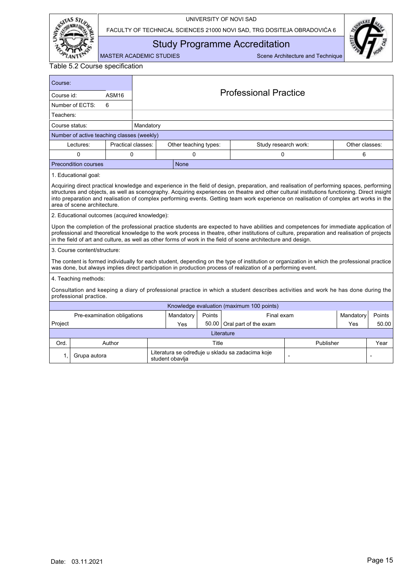

FACULTY OF TECHNICAL SCIENCES 21000 NOVI SAD, TRG DOSITEJA OBRADOVIĆA 6



<span id="page-16-0"></span>Study Programme Accreditation

MASTER ACADEMIC STUDIES Scene Architecture and Technique

Table 5.2 Course specification

| Course:                                                                                                                                                                                                                                                                                                                                                                                                                                                            |                                                                                                                                                             |                    |           |                              |        |                                                                                                                                                                                                                                                                                                                                                                                                          |  |                |        |  |  |
|--------------------------------------------------------------------------------------------------------------------------------------------------------------------------------------------------------------------------------------------------------------------------------------------------------------------------------------------------------------------------------------------------------------------------------------------------------------------|-------------------------------------------------------------------------------------------------------------------------------------------------------------|--------------------|-----------|------------------------------|--------|----------------------------------------------------------------------------------------------------------------------------------------------------------------------------------------------------------------------------------------------------------------------------------------------------------------------------------------------------------------------------------------------------------|--|----------------|--------|--|--|
| Course id:                                                                                                                                                                                                                                                                                                                                                                                                                                                         |                                                                                                                                                             | ASM <sub>16</sub>  |           | <b>Professional Practice</b> |        |                                                                                                                                                                                                                                                                                                                                                                                                          |  |                |        |  |  |
|                                                                                                                                                                                                                                                                                                                                                                                                                                                                    | Number of ECTS:                                                                                                                                             | 6                  |           |                              |        |                                                                                                                                                                                                                                                                                                                                                                                                          |  |                |        |  |  |
| Teachers:                                                                                                                                                                                                                                                                                                                                                                                                                                                          |                                                                                                                                                             |                    |           |                              |        |                                                                                                                                                                                                                                                                                                                                                                                                          |  |                |        |  |  |
| Course status:                                                                                                                                                                                                                                                                                                                                                                                                                                                     |                                                                                                                                                             |                    | Mandatory |                              |        |                                                                                                                                                                                                                                                                                                                                                                                                          |  |                |        |  |  |
|                                                                                                                                                                                                                                                                                                                                                                                                                                                                    | Number of active teaching classes (weekly)                                                                                                                  |                    |           |                              |        |                                                                                                                                                                                                                                                                                                                                                                                                          |  |                |        |  |  |
|                                                                                                                                                                                                                                                                                                                                                                                                                                                                    | Lectures:                                                                                                                                                   | Practical classes: |           | Other teaching types:        |        | Study research work:                                                                                                                                                                                                                                                                                                                                                                                     |  | Other classes: |        |  |  |
|                                                                                                                                                                                                                                                                                                                                                                                                                                                                    | 0                                                                                                                                                           | 0                  |           | 0                            |        | 0                                                                                                                                                                                                                                                                                                                                                                                                        |  | 6              |        |  |  |
|                                                                                                                                                                                                                                                                                                                                                                                                                                                                    | <b>Precondition courses</b>                                                                                                                                 |                    |           | <b>None</b>                  |        |                                                                                                                                                                                                                                                                                                                                                                                                          |  |                |        |  |  |
|                                                                                                                                                                                                                                                                                                                                                                                                                                                                    | 1. Educational goal:                                                                                                                                        |                    |           |                              |        |                                                                                                                                                                                                                                                                                                                                                                                                          |  |                |        |  |  |
| Acquiring direct practical knowledge and experience in the field of design, preparation, and realisation of performing spaces, performing<br>structures and objects, as well as scenography. Acquiring experiences on theatre and other cultural institutions functioning. Direct insight<br>into preparation and realisation of complex performing events. Getting team work experience on realisation of complex art works in the<br>area of scene architecture. |                                                                                                                                                             |                    |           |                              |        |                                                                                                                                                                                                                                                                                                                                                                                                          |  |                |        |  |  |
|                                                                                                                                                                                                                                                                                                                                                                                                                                                                    | 2. Educational outcomes (acquired knowledge):                                                                                                               |                    |           |                              |        |                                                                                                                                                                                                                                                                                                                                                                                                          |  |                |        |  |  |
|                                                                                                                                                                                                                                                                                                                                                                                                                                                                    |                                                                                                                                                             |                    |           |                              |        | Upon the completion of the professional practice students are expected to have abilities and competences for immediate application of<br>professional and theoretical knowledge to the work process in theatre, other institutions of culture, preparation and realisation of projects<br>in the field of art and culture, as well as other forms of work in the field of scene architecture and design. |  |                |        |  |  |
|                                                                                                                                                                                                                                                                                                                                                                                                                                                                    | 3. Course content/structure:                                                                                                                                |                    |           |                              |        |                                                                                                                                                                                                                                                                                                                                                                                                          |  |                |        |  |  |
|                                                                                                                                                                                                                                                                                                                                                                                                                                                                    |                                                                                                                                                             |                    |           |                              |        | The content is formed individually for each student, depending on the type of institution or organization in which the professional practice<br>was done, but always implies direct participation in production process of realization of a performing event.                                                                                                                                            |  |                |        |  |  |
|                                                                                                                                                                                                                                                                                                                                                                                                                                                                    | 4. Teaching methods:                                                                                                                                        |                    |           |                              |        |                                                                                                                                                                                                                                                                                                                                                                                                          |  |                |        |  |  |
|                                                                                                                                                                                                                                                                                                                                                                                                                                                                    | Consultation and keeping a diary of professional practice in which a student describes activities and work he has done during the<br>professional practice. |                    |           |                              |        |                                                                                                                                                                                                                                                                                                                                                                                                          |  |                |        |  |  |
|                                                                                                                                                                                                                                                                                                                                                                                                                                                                    |                                                                                                                                                             |                    |           |                              |        | Knowledge evaluation (maximum 100 points)                                                                                                                                                                                                                                                                                                                                                                |  |                |        |  |  |
|                                                                                                                                                                                                                                                                                                                                                                                                                                                                    | Pre-examination obligations                                                                                                                                 |                    |           | Mandatory                    | Points | Final exam                                                                                                                                                                                                                                                                                                                                                                                               |  | Mandatory      | Points |  |  |
| Project                                                                                                                                                                                                                                                                                                                                                                                                                                                            |                                                                                                                                                             |                    |           | Yes                          | 50.00  | Oral part of the exam                                                                                                                                                                                                                                                                                                                                                                                    |  | Yes            | 50.00  |  |  |
|                                                                                                                                                                                                                                                                                                                                                                                                                                                                    |                                                                                                                                                             |                    |           |                              |        | Literature                                                                                                                                                                                                                                                                                                                                                                                               |  |                |        |  |  |
| Ord.                                                                                                                                                                                                                                                                                                                                                                                                                                                               |                                                                                                                                                             | Author             |           | Publisher<br>Title           |        |                                                                                                                                                                                                                                                                                                                                                                                                          |  | Year           |        |  |  |

1, Grupa autora Literatura se određuje u skladu sa zadacima koje student obavlja - -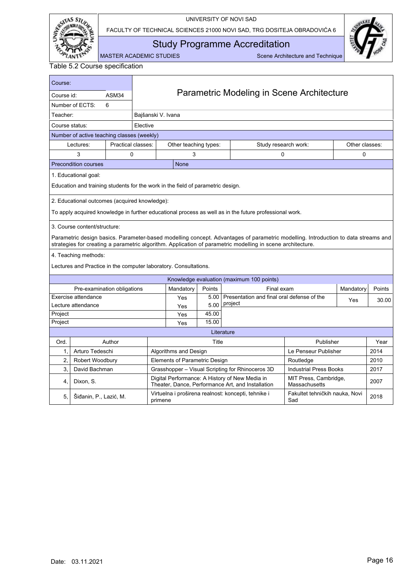

FACULTY OF TECHNICAL SCIENCES 21000 NOVI SAD, TRG DOSITEJA OBRADOVIĆA 6



<span id="page-17-0"></span>Study Programme Accreditation

MASTER ACADEMIC STUDIES Scene Architecture and Technique

| Course:        |                                                                                 |                    |                                           |                               |        |                                                                                                                                                                                                                                                 |                                        |                |              |  |
|----------------|---------------------------------------------------------------------------------|--------------------|-------------------------------------------|-------------------------------|--------|-------------------------------------------------------------------------------------------------------------------------------------------------------------------------------------------------------------------------------------------------|----------------------------------------|----------------|--------------|--|
| Course id:     |                                                                                 | ASM34              | Parametric Modeling in Scene Architecture |                               |        |                                                                                                                                                                                                                                                 |                                        |                |              |  |
|                | Number of ECTS:                                                                 | 6                  |                                           |                               |        |                                                                                                                                                                                                                                                 |                                        |                |              |  |
| Teacher:       |                                                                                 |                    | Bajšanski V. Ivana                        |                               |        |                                                                                                                                                                                                                                                 |                                        |                |              |  |
| Course status: |                                                                                 |                    | Elective                                  |                               |        |                                                                                                                                                                                                                                                 |                                        |                |              |  |
|                | Number of active teaching classes (weekly)                                      |                    |                                           |                               |        |                                                                                                                                                                                                                                                 |                                        |                |              |  |
|                | Lectures:                                                                       | Practical classes: |                                           | Other teaching types:         |        | Study research work:                                                                                                                                                                                                                            |                                        | Other classes: |              |  |
|                | 3                                                                               | 0                  |                                           | 3                             |        | 0                                                                                                                                                                                                                                               |                                        | 0              |              |  |
|                | <b>Precondition courses</b>                                                     |                    |                                           | <b>None</b>                   |        |                                                                                                                                                                                                                                                 |                                        |                |              |  |
|                | 1. Educational goal:                                                            |                    |                                           |                               |        |                                                                                                                                                                                                                                                 |                                        |                |              |  |
|                | Education and training students for the work in the field of parametric design. |                    |                                           |                               |        |                                                                                                                                                                                                                                                 |                                        |                |              |  |
|                | 2. Educational outcomes (acquired knowledge):                                   |                    |                                           |                               |        |                                                                                                                                                                                                                                                 |                                        |                |              |  |
|                |                                                                                 |                    |                                           |                               |        | To apply acquired knowledge in further educational process as well as in the future professional work.                                                                                                                                          |                                        |                |              |  |
|                | 3. Course content/structure:                                                    |                    |                                           |                               |        |                                                                                                                                                                                                                                                 |                                        |                |              |  |
|                |                                                                                 |                    |                                           |                               |        | Parametric design basics. Parameter-based modelling concept. Advantages of parametric modelling. Introduction to data streams and<br>strategies for creating a parametric algorithm. Application of parametric modelling in scene architecture. |                                        |                |              |  |
|                | 4. Teaching methods:                                                            |                    |                                           |                               |        |                                                                                                                                                                                                                                                 |                                        |                |              |  |
|                | Lectures and Practice in the computer laboratory. Consultations.                |                    |                                           |                               |        |                                                                                                                                                                                                                                                 |                                        |                |              |  |
|                |                                                                                 |                    |                                           |                               |        | Knowledge evaluation (maximum 100 points)                                                                                                                                                                                                       |                                        |                |              |  |
|                | Pre-examination obligations                                                     |                    |                                           | Mandatory                     | Points | Final exam                                                                                                                                                                                                                                      |                                        | Mandatory      | Points       |  |
|                | Exercise attendance                                                             |                    |                                           | Yes                           | 5.00   | Presentation and final oral defense of the                                                                                                                                                                                                      |                                        | Yes            | 30.00        |  |
|                | Lecture attendance                                                              |                    |                                           | Yes                           | 5.00   | project                                                                                                                                                                                                                                         |                                        |                |              |  |
| Project        |                                                                                 |                    |                                           | Yes                           | 45.00  |                                                                                                                                                                                                                                                 |                                        |                |              |  |
| Project        |                                                                                 |                    |                                           | Yes                           | 15.00  |                                                                                                                                                                                                                                                 |                                        |                |              |  |
|                |                                                                                 | Author             |                                           |                               | Title  | Literature                                                                                                                                                                                                                                      | Publisher                              |                |              |  |
| Ord.<br>1.     | Arturo Tedeschi                                                                 |                    |                                           | Algorithms and Design         |        |                                                                                                                                                                                                                                                 | Le Penseur Publisher                   |                | Year<br>2014 |  |
| 2.             | Robert Woodbury                                                                 |                    |                                           | Elements of Parametric Design |        |                                                                                                                                                                                                                                                 | Routledge                              |                | 2010         |  |
| 3.             | David Bachman                                                                   |                    |                                           |                               |        | Grasshopper - Visual Scripting for Rhinoceros 3D                                                                                                                                                                                                | <b>Industrial Press Books</b>          |                | 2017         |  |
| 4.             | Dixon, S.                                                                       |                    |                                           |                               |        | Digital Performance: A History of New Media in<br>Theater, Dance, Performance Art, and Installation                                                                                                                                             | MIT Press, Cambridge,<br>Massachusetts |                | 2007         |  |
| 5.             | Šiđanin, P., Lazić, M.                                                          |                    | primene                                   |                               |        | Virtuelna i proširena realnost: koncepti, tehnike i                                                                                                                                                                                             | Fakultet tehničkih nauka. Novi<br>Sad  |                | 2018         |  |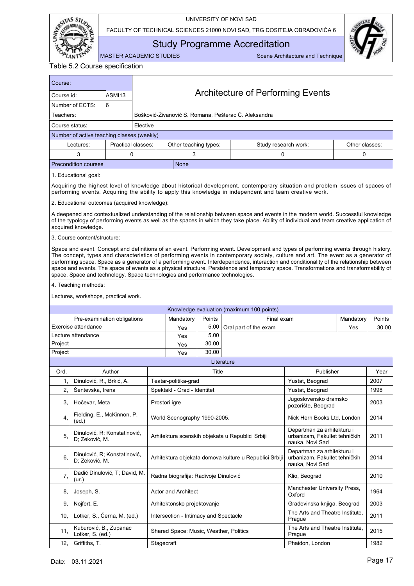

FACULTY OF TECHNICAL SCIENCES 21000 NOVI SAD, TRG DOSITEJA OBRADOVIĆA 6



<span id="page-18-0"></span>Study Programme Accreditation

| Table 5.2 Course specification |  |
|--------------------------------|--|
|--------------------------------|--|

| Course:        |                                                                                                                                                                                                                                                                                                                                                                                                                                                                                                                                                                                                                                                   |                    |                             |                                        |            |                                                                                                                                                                                                                                                                                   |                                                                                |                |        |  |  |  |  |  |
|----------------|---------------------------------------------------------------------------------------------------------------------------------------------------------------------------------------------------------------------------------------------------------------------------------------------------------------------------------------------------------------------------------------------------------------------------------------------------------------------------------------------------------------------------------------------------------------------------------------------------------------------------------------------------|--------------------|-----------------------------|----------------------------------------|------------|-----------------------------------------------------------------------------------------------------------------------------------------------------------------------------------------------------------------------------------------------------------------------------------|--------------------------------------------------------------------------------|----------------|--------|--|--|--|--|--|
| Course id:     |                                                                                                                                                                                                                                                                                                                                                                                                                                                                                                                                                                                                                                                   | ASMI13             |                             |                                        |            | <b>Architecture of Performing Events</b>                                                                                                                                                                                                                                          |                                                                                |                |        |  |  |  |  |  |
|                | Number of ECTS:                                                                                                                                                                                                                                                                                                                                                                                                                                                                                                                                                                                                                                   | 6                  |                             |                                        |            |                                                                                                                                                                                                                                                                                   |                                                                                |                |        |  |  |  |  |  |
| Teachers:      |                                                                                                                                                                                                                                                                                                                                                                                                                                                                                                                                                                                                                                                   |                    |                             |                                        |            | Bošković-Živanović S. Romana, Pešterac Č. Aleksandra                                                                                                                                                                                                                              |                                                                                |                |        |  |  |  |  |  |
| Course status: |                                                                                                                                                                                                                                                                                                                                                                                                                                                                                                                                                                                                                                                   |                    | Elective                    |                                        |            |                                                                                                                                                                                                                                                                                   |                                                                                |                |        |  |  |  |  |  |
|                | Number of active teaching classes (weekly)                                                                                                                                                                                                                                                                                                                                                                                                                                                                                                                                                                                                        |                    |                             |                                        |            |                                                                                                                                                                                                                                                                                   |                                                                                |                |        |  |  |  |  |  |
|                | Lectures:                                                                                                                                                                                                                                                                                                                                                                                                                                                                                                                                                                                                                                         | Practical classes: |                             | Other teaching types:                  |            | Study research work:                                                                                                                                                                                                                                                              |                                                                                | Other classes: |        |  |  |  |  |  |
|                | 3                                                                                                                                                                                                                                                                                                                                                                                                                                                                                                                                                                                                                                                 | 0                  |                             | 3                                      |            | 0                                                                                                                                                                                                                                                                                 |                                                                                | 0              |        |  |  |  |  |  |
|                | <b>Precondition courses</b>                                                                                                                                                                                                                                                                                                                                                                                                                                                                                                                                                                                                                       |                    |                             | None                                   |            |                                                                                                                                                                                                                                                                                   |                                                                                |                |        |  |  |  |  |  |
|                | 1. Educational goal:                                                                                                                                                                                                                                                                                                                                                                                                                                                                                                                                                                                                                              |                    |                             |                                        |            |                                                                                                                                                                                                                                                                                   |                                                                                |                |        |  |  |  |  |  |
|                |                                                                                                                                                                                                                                                                                                                                                                                                                                                                                                                                                                                                                                                   |                    |                             |                                        |            | Acquiring the highest level of knowledge about historical development, contemporary situation and problem issues of spaces of<br>performing events. Acquiring the ability to apply this knowledge in independent and team creative work.                                          |                                                                                |                |        |  |  |  |  |  |
|                | 2. Educational outcomes (acquired knowledge):                                                                                                                                                                                                                                                                                                                                                                                                                                                                                                                                                                                                     |                    |                             |                                        |            |                                                                                                                                                                                                                                                                                   |                                                                                |                |        |  |  |  |  |  |
|                | acquired knowledge.                                                                                                                                                                                                                                                                                                                                                                                                                                                                                                                                                                                                                               |                    |                             |                                        |            | A deepened and contextualized understanding of the relationship between space and events in the modern world. Successful knowledge<br>of the typology of performing events as well as the spaces in which they take place. Ability of individual and team creative application of |                                                                                |                |        |  |  |  |  |  |
|                | 3. Course content/structure:                                                                                                                                                                                                                                                                                                                                                                                                                                                                                                                                                                                                                      |                    |                             |                                        |            |                                                                                                                                                                                                                                                                                   |                                                                                |                |        |  |  |  |  |  |
|                | Space and event. Concept and definitions of an event. Performing event. Development and types of performing events through history.<br>The concept, types and characteristics of performing events in contemporary society, culture and art. The event as a generator of<br>performing space. Space as a generator of a performing event. Interdependence, interaction and conditionality of the relationship between<br>space and events. The space of events as a physical structure. Persistence and temporary space. Transformations and transformability of<br>space. Space and technology. Space technologies and performance technologies. |                    |                             |                                        |            |                                                                                                                                                                                                                                                                                   |                                                                                |                |        |  |  |  |  |  |
|                | 4. Teaching methods:                                                                                                                                                                                                                                                                                                                                                                                                                                                                                                                                                                                                                              |                    |                             |                                        |            |                                                                                                                                                                                                                                                                                   |                                                                                |                |        |  |  |  |  |  |
|                | Lectures, workshops, practical work.                                                                                                                                                                                                                                                                                                                                                                                                                                                                                                                                                                                                              |                    |                             |                                        |            |                                                                                                                                                                                                                                                                                   |                                                                                |                |        |  |  |  |  |  |
|                |                                                                                                                                                                                                                                                                                                                                                                                                                                                                                                                                                                                                                                                   |                    |                             |                                        |            | Knowledge evaluation (maximum 100 points)                                                                                                                                                                                                                                         |                                                                                |                |        |  |  |  |  |  |
|                | Pre-examination obligations                                                                                                                                                                                                                                                                                                                                                                                                                                                                                                                                                                                                                       |                    |                             | Mandatory                              | Points     | Final exam                                                                                                                                                                                                                                                                        |                                                                                | Mandatory      | Points |  |  |  |  |  |
|                | Exercise attendance                                                                                                                                                                                                                                                                                                                                                                                                                                                                                                                                                                                                                               |                    |                             | Yes                                    | 5.00       | Oral part of the exam                                                                                                                                                                                                                                                             |                                                                                | Yes            | 30.00  |  |  |  |  |  |
|                | Lecture attendance                                                                                                                                                                                                                                                                                                                                                                                                                                                                                                                                                                                                                                |                    |                             | Yes                                    | 5.00       |                                                                                                                                                                                                                                                                                   |                                                                                |                |        |  |  |  |  |  |
| Project        |                                                                                                                                                                                                                                                                                                                                                                                                                                                                                                                                                                                                                                                   |                    |                             | Yes                                    | 30.00      |                                                                                                                                                                                                                                                                                   |                                                                                |                |        |  |  |  |  |  |
| Project        |                                                                                                                                                                                                                                                                                                                                                                                                                                                                                                                                                                                                                                                   |                    |                             | Yes                                    | 30.00      |                                                                                                                                                                                                                                                                                   |                                                                                |                |        |  |  |  |  |  |
|                |                                                                                                                                                                                                                                                                                                                                                                                                                                                                                                                                                                                                                                                   |                    |                             |                                        |            |                                                                                                                                                                                                                                                                                   |                                                                                |                |        |  |  |  |  |  |
| Ord.           |                                                                                                                                                                                                                                                                                                                                                                                                                                                                                                                                                                                                                                                   | Author             |                             |                                        | Literature |                                                                                                                                                                                                                                                                                   |                                                                                |                |        |  |  |  |  |  |
| 1.             | Dinulović, R., Brkić, A.                                                                                                                                                                                                                                                                                                                                                                                                                                                                                                                                                                                                                          |                    |                             |                                        |            |                                                                                                                                                                                                                                                                                   | Publisher                                                                      |                | Year   |  |  |  |  |  |
| 2,             | Šentevska, Irena                                                                                                                                                                                                                                                                                                                                                                                                                                                                                                                                                                                                                                  |                    | Spektakl - Grad - Identitet |                                        |            |                                                                                                                                                                                                                                                                                   |                                                                                |                | 2007   |  |  |  |  |  |
| 3.             |                                                                                                                                                                                                                                                                                                                                                                                                                                                                                                                                                                                                                                                   |                    |                             | Teatar-politika-grad                   | Title      |                                                                                                                                                                                                                                                                                   | Yustat, Beograd<br>Yustat, Beograd                                             |                | 1998   |  |  |  |  |  |
|                | Hočevar, Meta                                                                                                                                                                                                                                                                                                                                                                                                                                                                                                                                                                                                                                     |                    |                             | Prostori igre                          |            |                                                                                                                                                                                                                                                                                   | Jugoslovensko dramsko<br>pozorište, Beograd                                    |                | 2003   |  |  |  |  |  |
| 4,             | Fielding, E., McKinnon, P.<br>(ed.)                                                                                                                                                                                                                                                                                                                                                                                                                                                                                                                                                                                                               |                    |                             | World Scenography 1990-2005.           |            |                                                                                                                                                                                                                                                                                   | Nick Hern Books Ltd, London                                                    |                | 2014   |  |  |  |  |  |
| 5 <sub>1</sub> | Dinulović, R; Konstatinović,<br>D; Zeković, M.                                                                                                                                                                                                                                                                                                                                                                                                                                                                                                                                                                                                    |                    |                             |                                        |            | Arhitektura scenskih objekata u Republici Srbiji                                                                                                                                                                                                                                  | Departman za arhitekturu i<br>urbanizam, Fakultet tehničkih<br>nauka, Novi Sad |                | 2011   |  |  |  |  |  |
| 6.             | Dinulović, R; Konstatinović,<br>D; Zeković, M.                                                                                                                                                                                                                                                                                                                                                                                                                                                                                                                                                                                                    |                    |                             |                                        |            | Arhitektura objekata domova kulture u Republici Srbiji                                                                                                                                                                                                                            | Departman za arhitekturu i<br>urbanizam, Fakultet tehničkih<br>nauka, Novi Sad |                | 2014   |  |  |  |  |  |
| 7,             | Dadić Dinulović, T; David, M.<br>(ur.)                                                                                                                                                                                                                                                                                                                                                                                                                                                                                                                                                                                                            |                    |                             | Radna biografija: Radivoje Dinulović   |            |                                                                                                                                                                                                                                                                                   | Klio, Beograd                                                                  |                | 2010   |  |  |  |  |  |
| 8.             | Joseph, S.                                                                                                                                                                                                                                                                                                                                                                                                                                                                                                                                                                                                                                        |                    |                             | <b>Actor and Architect</b>             |            |                                                                                                                                                                                                                                                                                   | Manchester University Press,<br>Oxford                                         |                | 1964   |  |  |  |  |  |
| 9,             | Nojfert, E.                                                                                                                                                                                                                                                                                                                                                                                                                                                                                                                                                                                                                                       |                    |                             | Arhitektonsko projektovanje            |            |                                                                                                                                                                                                                                                                                   | Građevinska knjiga, Beograd                                                    |                | 2003   |  |  |  |  |  |
| 10,            | Lotker, S., Černa, M. (ed.)                                                                                                                                                                                                                                                                                                                                                                                                                                                                                                                                                                                                                       |                    |                             | Intersection - Intimacy and Spectacle  |            |                                                                                                                                                                                                                                                                                   | The Arts and Theatre Institute,<br>Prague                                      |                | 2011   |  |  |  |  |  |
| 11,            | Kuburović, B., Zupanac<br>Lotker, S. (ed.)                                                                                                                                                                                                                                                                                                                                                                                                                                                                                                                                                                                                        |                    |                             | Shared Space: Music, Weather, Politics |            |                                                                                                                                                                                                                                                                                   | The Arts and Theatre Institute,<br>Prague                                      |                | 2015   |  |  |  |  |  |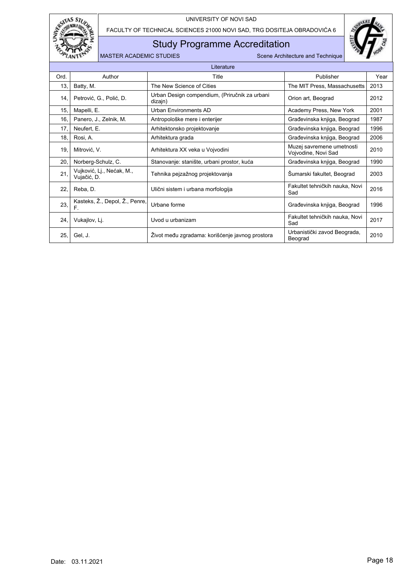

FACULTY OF TECHNICAL SCIENCES 21000 NOVI SAD, TRG DOSITEJA OBRADOVIĆA 6

## Study Programme Accreditation



|      | Literature                               |                                                          |                                                  |      |  |  |  |  |  |  |
|------|------------------------------------------|----------------------------------------------------------|--------------------------------------------------|------|--|--|--|--|--|--|
| Ord. | Author                                   | Title                                                    | Publisher                                        | Year |  |  |  |  |  |  |
| 13,  | Batty, M.                                | The New Science of Cities                                | The MIT Press, Massachusetts                     | 2013 |  |  |  |  |  |  |
| 14,  | Petrović, G., Polić, D.                  | Urban Design compendium, (Priručnik za urbani<br>dizajn) | Orion art, Beograd                               | 2012 |  |  |  |  |  |  |
| 15.  | Mapelli, E.                              | Urban Environments AD                                    | Academy Press, New York                          | 2001 |  |  |  |  |  |  |
| 16.  | Panero, J., Zelnik, M.                   | Antropološke mere i enterijer                            | Građevinska knjiga, Beograd                      | 1987 |  |  |  |  |  |  |
| 17,  | Neufert, E.                              | Arhitektonsko projektovanje                              | Građevinska knjiga, Beograd                      | 1996 |  |  |  |  |  |  |
| 18.  | Rosi, A.                                 | Arhitektura grada                                        | Građevinska knjiga, Beograd                      | 2006 |  |  |  |  |  |  |
| 19.  | Mitrović, V.                             | Arhitektura XX veka u Vojvodini                          | Muzej savremene umetnosti<br>Vojvodine, Novi Sad | 2010 |  |  |  |  |  |  |
| 20.  | Norberg-Schulz, C.                       | Stanovanje: stanište, urbani prostor, kuća               | Građevinska knjiga, Beograd                      | 1990 |  |  |  |  |  |  |
| 21.  | Vujković, Lj., Nećak, M.,<br>Vujačić, D. | Tehnika pejzažnog projektovanja                          | Sumarski fakultet, Beograd                       | 2003 |  |  |  |  |  |  |
| 22,  | Reba, D.                                 | Ulični sistem i urbana morfologija                       | Fakultet tehničkih nauka, Novi<br>Sad            | 2016 |  |  |  |  |  |  |
| 23.  | Kasteks, Ž., Depol, Ž., Penre,<br>F.     | Urbane forme                                             | Građevinska knjiga, Beograd                      | 1996 |  |  |  |  |  |  |
| 24.  | Vukajlov, Lj.                            | Uvod u urbanizam                                         | Fakultet tehničkih nauka, Novi<br>Sad            | 2017 |  |  |  |  |  |  |
| 25,  | Gel, J.                                  | Život među zgradama: korišćenje javnog prostora          | Urbanistički zavod Beograda,<br>Beograd          | 2010 |  |  |  |  |  |  |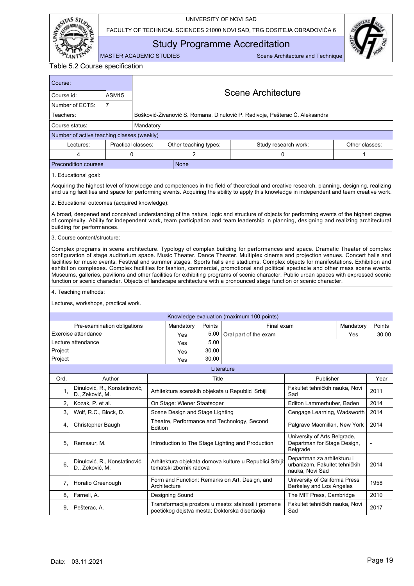

FACULTY OF TECHNICAL SCIENCES 21000 NOVI SAD, TRG DOSITEJA OBRADOVIĆA 6



<span id="page-20-0"></span>Study Programme Accreditation

MASTER ACADEMIC STUDIES Scene Architecture and Technique

| Course:        |                                                                                                                                                                                                                                                                                                                                                                                                                                                                                                                                                                                                                                                                                                                                                                                                                        |                    |           |                                 |        |                                                                                                                                                                                                                                                                                          |                                                                                |                |        |  |  |
|----------------|------------------------------------------------------------------------------------------------------------------------------------------------------------------------------------------------------------------------------------------------------------------------------------------------------------------------------------------------------------------------------------------------------------------------------------------------------------------------------------------------------------------------------------------------------------------------------------------------------------------------------------------------------------------------------------------------------------------------------------------------------------------------------------------------------------------------|--------------------|-----------|---------------------------------|--------|------------------------------------------------------------------------------------------------------------------------------------------------------------------------------------------------------------------------------------------------------------------------------------------|--------------------------------------------------------------------------------|----------------|--------|--|--|
| Course id:     |                                                                                                                                                                                                                                                                                                                                                                                                                                                                                                                                                                                                                                                                                                                                                                                                                        | ASM <sub>15</sub>  |           |                                 |        | <b>Scene Architecture</b>                                                                                                                                                                                                                                                                |                                                                                |                |        |  |  |
|                | Number of ECTS:                                                                                                                                                                                                                                                                                                                                                                                                                                                                                                                                                                                                                                                                                                                                                                                                        | 7                  |           |                                 |        |                                                                                                                                                                                                                                                                                          |                                                                                |                |        |  |  |
| Teachers:      |                                                                                                                                                                                                                                                                                                                                                                                                                                                                                                                                                                                                                                                                                                                                                                                                                        |                    |           |                                 |        | Bošković-Živanović S. Romana, Dinulović P. Radivoje, Pešterac Č. Aleksandra                                                                                                                                                                                                              |                                                                                |                |        |  |  |
| Course status: |                                                                                                                                                                                                                                                                                                                                                                                                                                                                                                                                                                                                                                                                                                                                                                                                                        |                    | Mandatory |                                 |        |                                                                                                                                                                                                                                                                                          |                                                                                |                |        |  |  |
|                | Number of active teaching classes (weekly)                                                                                                                                                                                                                                                                                                                                                                                                                                                                                                                                                                                                                                                                                                                                                                             |                    |           |                                 |        |                                                                                                                                                                                                                                                                                          |                                                                                |                |        |  |  |
|                | Lectures:                                                                                                                                                                                                                                                                                                                                                                                                                                                                                                                                                                                                                                                                                                                                                                                                              | Practical classes: |           | Other teaching types:           |        | Study research work:                                                                                                                                                                                                                                                                     |                                                                                | Other classes: |        |  |  |
|                | 4                                                                                                                                                                                                                                                                                                                                                                                                                                                                                                                                                                                                                                                                                                                                                                                                                      | 0                  |           | $\overline{2}$                  |        | 0                                                                                                                                                                                                                                                                                        |                                                                                | 1              |        |  |  |
|                | <b>Precondition courses</b>                                                                                                                                                                                                                                                                                                                                                                                                                                                                                                                                                                                                                                                                                                                                                                                            |                    |           | <b>None</b>                     |        |                                                                                                                                                                                                                                                                                          |                                                                                |                |        |  |  |
|                | 1. Educational goal:                                                                                                                                                                                                                                                                                                                                                                                                                                                                                                                                                                                                                                                                                                                                                                                                   |                    |           |                                 |        |                                                                                                                                                                                                                                                                                          |                                                                                |                |        |  |  |
|                |                                                                                                                                                                                                                                                                                                                                                                                                                                                                                                                                                                                                                                                                                                                                                                                                                        |                    |           |                                 |        | Acquiring the highest level of knowledge and competences in the field of theoretical and creative research, planning, designing, realizing<br>and using facilities and space for performing events. Acquiring the ability to apply this knowledge in independent and team creative work. |                                                                                |                |        |  |  |
|                | 2. Educational outcomes (acquired knowledge):                                                                                                                                                                                                                                                                                                                                                                                                                                                                                                                                                                                                                                                                                                                                                                          |                    |           |                                 |        |                                                                                                                                                                                                                                                                                          |                                                                                |                |        |  |  |
|                | building for performances.                                                                                                                                                                                                                                                                                                                                                                                                                                                                                                                                                                                                                                                                                                                                                                                             |                    |           |                                 |        | A broad, deepened and conceived understanding of the nature, logic and structure of objects for performing events of the highest degree<br>of complexity. Ability for independent work, team participation and team leadership in planning, designing and realizing architectural        |                                                                                |                |        |  |  |
|                | 3. Course content/structure:                                                                                                                                                                                                                                                                                                                                                                                                                                                                                                                                                                                                                                                                                                                                                                                           |                    |           |                                 |        |                                                                                                                                                                                                                                                                                          |                                                                                |                |        |  |  |
|                | Complex programs in scene architecture. Typology of complex building for performances and space. Dramatic Theater of complex<br>configuration of stage auditorium space. Music Theater. Dance Theater. Multiplex cinema and projection venues. Concert halls and<br>facilities for music events. Festival and summer stages. Sports halls and stadiums. Complex objects for manifestations. Exhibition and<br>exhibition complexes. Complex facilities for fashion, commercial, promotional and political spectacle and other mass scene events.<br>Museums, galleries, pavilions and other facilities for exhibiting programs of scenic character. Public urban spaces with expressed scenic<br>function or scenic character. Objects of landscape architecture with a pronounced stage function or scenic character. |                    |           |                                 |        |                                                                                                                                                                                                                                                                                          |                                                                                |                |        |  |  |
|                | 4. Teaching methods:                                                                                                                                                                                                                                                                                                                                                                                                                                                                                                                                                                                                                                                                                                                                                                                                   |                    |           |                                 |        |                                                                                                                                                                                                                                                                                          |                                                                                |                |        |  |  |
|                | Lectures, workshops, practical work.                                                                                                                                                                                                                                                                                                                                                                                                                                                                                                                                                                                                                                                                                                                                                                                   |                    |           |                                 |        |                                                                                                                                                                                                                                                                                          |                                                                                |                |        |  |  |
|                |                                                                                                                                                                                                                                                                                                                                                                                                                                                                                                                                                                                                                                                                                                                                                                                                                        |                    |           |                                 |        | Knowledge evaluation (maximum 100 points)                                                                                                                                                                                                                                                |                                                                                |                |        |  |  |
|                | Pre-examination obligations                                                                                                                                                                                                                                                                                                                                                                                                                                                                                                                                                                                                                                                                                                                                                                                            |                    |           | Mandatory                       | Points | Final exam                                                                                                                                                                                                                                                                               |                                                                                | Mandatory      | Points |  |  |
|                | Exercise attendance                                                                                                                                                                                                                                                                                                                                                                                                                                                                                                                                                                                                                                                                                                                                                                                                    |                    |           | Yes                             | 5.00   | Oral part of the exam                                                                                                                                                                                                                                                                    |                                                                                | Yes            | 30.00  |  |  |
|                | Lecture attendance                                                                                                                                                                                                                                                                                                                                                                                                                                                                                                                                                                                                                                                                                                                                                                                                     |                    |           | Yes                             | 5.00   |                                                                                                                                                                                                                                                                                          |                                                                                |                |        |  |  |
| Project        |                                                                                                                                                                                                                                                                                                                                                                                                                                                                                                                                                                                                                                                                                                                                                                                                                        |                    |           | Yes                             | 30.00  |                                                                                                                                                                                                                                                                                          |                                                                                |                |        |  |  |
| Project        |                                                                                                                                                                                                                                                                                                                                                                                                                                                                                                                                                                                                                                                                                                                                                                                                                        |                    |           | Yes                             | 30.00  |                                                                                                                                                                                                                                                                                          |                                                                                |                |        |  |  |
|                |                                                                                                                                                                                                                                                                                                                                                                                                                                                                                                                                                                                                                                                                                                                                                                                                                        |                    |           |                                 |        | Literature                                                                                                                                                                                                                                                                               |                                                                                |                |        |  |  |
| Ord.           |                                                                                                                                                                                                                                                                                                                                                                                                                                                                                                                                                                                                                                                                                                                                                                                                                        | Author             |           |                                 | Title  |                                                                                                                                                                                                                                                                                          | Publisher                                                                      |                | Year   |  |  |
| 1,             | Dinulović, R., Konstatinović,<br>D., Zeković, M.                                                                                                                                                                                                                                                                                                                                                                                                                                                                                                                                                                                                                                                                                                                                                                       |                    |           |                                 |        | Arhitektura scenskih objekata u Republici Srbiji                                                                                                                                                                                                                                         | Fakultet tehničkih nauka, Novi<br>Sad                                          |                | 2011   |  |  |
| 2.             | Kozak, P. et al.                                                                                                                                                                                                                                                                                                                                                                                                                                                                                                                                                                                                                                                                                                                                                                                                       |                    |           | On Stage: Wiener Staatsoper     |        |                                                                                                                                                                                                                                                                                          | Editon Lammerhuber, Baden                                                      |                | 2014   |  |  |
| 3.             | Wolf, R.C., Block, D.                                                                                                                                                                                                                                                                                                                                                                                                                                                                                                                                                                                                                                                                                                                                                                                                  |                    |           | Scene Design and Stage Lighting |        |                                                                                                                                                                                                                                                                                          | Cengage Learning, Wadsworth                                                    |                | 2014   |  |  |
| 4,             | Christopher Baugh                                                                                                                                                                                                                                                                                                                                                                                                                                                                                                                                                                                                                                                                                                                                                                                                      |                    | Edition   |                                 |        | Theatre, Performance and Technology, Second                                                                                                                                                                                                                                              | Palgrave Macmillan, New York                                                   |                | 2014   |  |  |
| 5,             | Remsaur, M.                                                                                                                                                                                                                                                                                                                                                                                                                                                                                                                                                                                                                                                                                                                                                                                                            |                    |           |                                 |        | Introduction to The Stage Lighting and Production                                                                                                                                                                                                                                        | University of Arts Belgrade,<br>Departman for Stage Design,<br>Belgrade        |                |        |  |  |
| 6.             | Dinulović, R., Konstatinović,<br>D., Zeković, M.                                                                                                                                                                                                                                                                                                                                                                                                                                                                                                                                                                                                                                                                                                                                                                       |                    |           | tematski zbornik radova         |        | Arhitektura objekata domova kulture u Republici Srbiji:                                                                                                                                                                                                                                  | Departman za arhitekturu i<br>urbanizam, Fakultet tehničkih<br>nauka, Novi Sad |                | 2014   |  |  |
| 7,             | Horatio Greenough                                                                                                                                                                                                                                                                                                                                                                                                                                                                                                                                                                                                                                                                                                                                                                                                      |                    |           | Architecture                    |        | Form and Function: Remarks on Art, Design, and                                                                                                                                                                                                                                           | University of California Press<br>Berkeley and Los Angeles                     |                | 1958   |  |  |
| 8.             | Farnell, A.                                                                                                                                                                                                                                                                                                                                                                                                                                                                                                                                                                                                                                                                                                                                                                                                            |                    |           | Designing Sound                 |        |                                                                                                                                                                                                                                                                                          | The MIT Press, Cambridge                                                       |                | 2010   |  |  |
| 9.             | Pešterac, A.                                                                                                                                                                                                                                                                                                                                                                                                                                                                                                                                                                                                                                                                                                                                                                                                           |                    |           |                                 |        | Transformacija prostora u mesto: stalnosti i promene<br>poetičkog dejstva mesta; Doktorska disertacija                                                                                                                                                                                   | Fakultet tehničkih nauka, Novi<br>Sad                                          |                | 2017   |  |  |
|                |                                                                                                                                                                                                                                                                                                                                                                                                                                                                                                                                                                                                                                                                                                                                                                                                                        |                    |           |                                 |        |                                                                                                                                                                                                                                                                                          |                                                                                |                |        |  |  |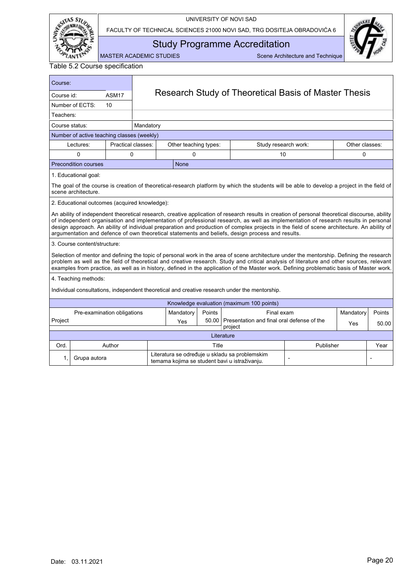

FACULTY OF TECHNICAL SCIENCES 21000 NOVI SAD, TRG DOSITEJA OBRADOVIĆA 6



<span id="page-21-0"></span>Study Programme Accreditation

MASTER ACADEMIC STUDIES Scene Architecture and Technique

| Course:        |                                               |                    |           |                                                      |        |                                                                                                                                                                                                                                                                                                                                                                                                                                                                                                                                         |                |           |        |  |  |
|----------------|-----------------------------------------------|--------------------|-----------|------------------------------------------------------|--------|-----------------------------------------------------------------------------------------------------------------------------------------------------------------------------------------------------------------------------------------------------------------------------------------------------------------------------------------------------------------------------------------------------------------------------------------------------------------------------------------------------------------------------------------|----------------|-----------|--------|--|--|
| Course id:     |                                               | ASM17              |           | Research Study of Theoretical Basis of Master Thesis |        |                                                                                                                                                                                                                                                                                                                                                                                                                                                                                                                                         |                |           |        |  |  |
|                | Number of ECTS:                               | 10 <sup>1</sup>    |           |                                                      |        |                                                                                                                                                                                                                                                                                                                                                                                                                                                                                                                                         |                |           |        |  |  |
| Teachers:      |                                               |                    |           |                                                      |        |                                                                                                                                                                                                                                                                                                                                                                                                                                                                                                                                         |                |           |        |  |  |
| Course status: |                                               |                    | Mandatory |                                                      |        |                                                                                                                                                                                                                                                                                                                                                                                                                                                                                                                                         |                |           |        |  |  |
|                | Number of active teaching classes (weekly)    |                    |           |                                                      |        |                                                                                                                                                                                                                                                                                                                                                                                                                                                                                                                                         |                |           |        |  |  |
|                | Lectures:                                     | Practical classes: |           | Other teaching types:<br>Study research work:        |        |                                                                                                                                                                                                                                                                                                                                                                                                                                                                                                                                         | Other classes: |           |        |  |  |
|                | 0                                             | 0                  |           | $\Omega$                                             |        | 10                                                                                                                                                                                                                                                                                                                                                                                                                                                                                                                                      |                | 0         |        |  |  |
|                | <b>Precondition courses</b>                   |                    |           | None                                                 |        |                                                                                                                                                                                                                                                                                                                                                                                                                                                                                                                                         |                |           |        |  |  |
|                | 1. Educational goal:                          |                    |           |                                                      |        |                                                                                                                                                                                                                                                                                                                                                                                                                                                                                                                                         |                |           |        |  |  |
|                | scene architecture.                           |                    |           |                                                      |        | The goal of the course is creation of theoretical-research platform by which the students will be able to develop a project in the field of                                                                                                                                                                                                                                                                                                                                                                                             |                |           |        |  |  |
|                | 2. Educational outcomes (acquired knowledge): |                    |           |                                                      |        |                                                                                                                                                                                                                                                                                                                                                                                                                                                                                                                                         |                |           |        |  |  |
|                |                                               |                    |           |                                                      |        | An ability of independent theoretical research, creative application of research results in creation of personal theoretical discourse, ability<br>of independent organisation and implementation of professional research, as well as implementation of research results in personal<br>design approach. An ability of individual preparation and production of complex projects in the field of scene architecture. An ability of<br>argumentation and defence of own theoretical statements and beliefs, design process and results. |                |           |        |  |  |
|                | 3. Course content/structure:                  |                    |           |                                                      |        |                                                                                                                                                                                                                                                                                                                                                                                                                                                                                                                                         |                |           |        |  |  |
|                |                                               |                    |           |                                                      |        | Selection of mentor and defining the topic of personal work in the area of scene architecture under the mentorship. Defining the research<br>problem as well as the field of theoretical and creative research. Study and critical analysis of literature and other sources, relevant<br>examples from practice, as well as in history, defined in the application of the Master work. Defining problematic basis of Master work.                                                                                                       |                |           |        |  |  |
|                | 4. Teaching methods:                          |                    |           |                                                      |        |                                                                                                                                                                                                                                                                                                                                                                                                                                                                                                                                         |                |           |        |  |  |
|                |                                               |                    |           |                                                      |        | Individual consultations, independent theoretical and creative research under the mentorship.                                                                                                                                                                                                                                                                                                                                                                                                                                           |                |           |        |  |  |
|                |                                               |                    |           |                                                      |        | Knowledge evaluation (maximum 100 points)                                                                                                                                                                                                                                                                                                                                                                                                                                                                                               |                |           |        |  |  |
|                | Pre-examination obligations                   |                    |           | Mandatory                                            | Points | Final exam                                                                                                                                                                                                                                                                                                                                                                                                                                                                                                                              |                | Mandatory | Points |  |  |
| Project        |                                               |                    |           | Yes                                                  | 50.00  | Presentation and final oral defense of the<br>project                                                                                                                                                                                                                                                                                                                                                                                                                                                                                   |                | Yes       | 50.00  |  |  |
|                |                                               |                    |           |                                                      |        | Literature                                                                                                                                                                                                                                                                                                                                                                                                                                                                                                                              |                |           |        |  |  |
| Ord.           |                                               | Author             |           |                                                      | Title  |                                                                                                                                                                                                                                                                                                                                                                                                                                                                                                                                         | Publisher      |           | Year   |  |  |
| 1.             | Grupa autora                                  |                    |           |                                                      |        | Literatura se određuje u skladu sa problemskim<br>temama kojima se student bavi u istraživanju.                                                                                                                                                                                                                                                                                                                                                                                                                                         |                |           |        |  |  |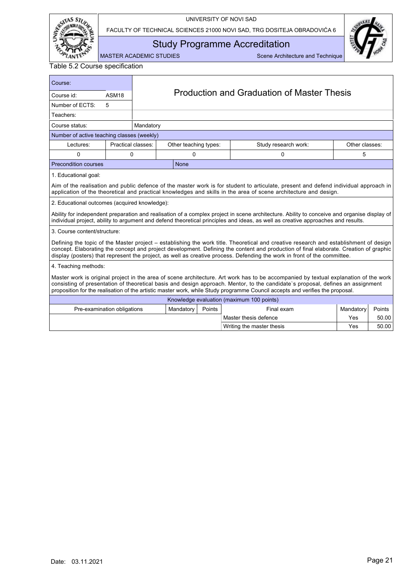

FACULTY OF TECHNICAL SCIENCES 21000 NOVI SAD, TRG DOSITEJA OBRADOVIĆA 6



<span id="page-22-0"></span>Study Programme Accreditation

MASTER ACADEMIC STUDIES Scene Architecture and Technique

Writing the master thesis Yes 760.00

| Course:                                       |                                                                                                                                                                                                                                                                                                                                                                                                          |           |                       |        |                                                                                                                                                                                                                                                                                                                                                                                                            |                |        |  |  |  |  |
|-----------------------------------------------|----------------------------------------------------------------------------------------------------------------------------------------------------------------------------------------------------------------------------------------------------------------------------------------------------------------------------------------------------------------------------------------------------------|-----------|-----------------------|--------|------------------------------------------------------------------------------------------------------------------------------------------------------------------------------------------------------------------------------------------------------------------------------------------------------------------------------------------------------------------------------------------------------------|----------------|--------|--|--|--|--|
| Course id:                                    | ASM <sub>18</sub>                                                                                                                                                                                                                                                                                                                                                                                        |           |                       |        | Production and Graduation of Master Thesis                                                                                                                                                                                                                                                                                                                                                                 |                |        |  |  |  |  |
| Number of ECTS:                               | 5                                                                                                                                                                                                                                                                                                                                                                                                        |           |                       |        |                                                                                                                                                                                                                                                                                                                                                                                                            |                |        |  |  |  |  |
| Teachers:                                     |                                                                                                                                                                                                                                                                                                                                                                                                          |           |                       |        |                                                                                                                                                                                                                                                                                                                                                                                                            |                |        |  |  |  |  |
| Course status:                                |                                                                                                                                                                                                                                                                                                                                                                                                          | Mandatory |                       |        |                                                                                                                                                                                                                                                                                                                                                                                                            |                |        |  |  |  |  |
| Number of active teaching classes (weekly)    |                                                                                                                                                                                                                                                                                                                                                                                                          |           |                       |        |                                                                                                                                                                                                                                                                                                                                                                                                            |                |        |  |  |  |  |
| Lectures:                                     | Practical classes:                                                                                                                                                                                                                                                                                                                                                                                       |           | Other teaching types: |        | Study research work:                                                                                                                                                                                                                                                                                                                                                                                       | Other classes: |        |  |  |  |  |
| 0                                             | 0                                                                                                                                                                                                                                                                                                                                                                                                        |           | 0                     |        | 0                                                                                                                                                                                                                                                                                                                                                                                                          | 5              |        |  |  |  |  |
| Precondition courses                          |                                                                                                                                                                                                                                                                                                                                                                                                          |           | <b>None</b>           |        |                                                                                                                                                                                                                                                                                                                                                                                                            |                |        |  |  |  |  |
| 1. Educational goal:                          |                                                                                                                                                                                                                                                                                                                                                                                                          |           |                       |        |                                                                                                                                                                                                                                                                                                                                                                                                            |                |        |  |  |  |  |
|                                               |                                                                                                                                                                                                                                                                                                                                                                                                          |           |                       |        | Aim of the realisation and public defence of the master work is for student to articulate, present and defend individual approach in<br>application of the theoretical and practical knowledges and skills in the area of scene architecture and design.                                                                                                                                                   |                |        |  |  |  |  |
| 2. Educational outcomes (acquired knowledge): |                                                                                                                                                                                                                                                                                                                                                                                                          |           |                       |        |                                                                                                                                                                                                                                                                                                                                                                                                            |                |        |  |  |  |  |
|                                               |                                                                                                                                                                                                                                                                                                                                                                                                          |           |                       |        | Ability for independent preparation and realisation of a complex project in scene architecture. Ability to conceive and organise display of<br>individual project, ability to argument and defend theoretical principles and ideas, as well as creative approaches and results.                                                                                                                            |                |        |  |  |  |  |
| 3. Course content/structure:                  |                                                                                                                                                                                                                                                                                                                                                                                                          |           |                       |        |                                                                                                                                                                                                                                                                                                                                                                                                            |                |        |  |  |  |  |
|                                               |                                                                                                                                                                                                                                                                                                                                                                                                          |           |                       |        | Defining the topic of the Master project - establishing the work title. Theoretical and creative research and establishment of design<br>concept. Elaborating the concept and project development. Defining the content and production of final elaborate. Creation of graphic<br>display (posters) that represent the project, as well as creative process. Defending the work in front of the committee. |                |        |  |  |  |  |
| 4. Teaching methods:                          |                                                                                                                                                                                                                                                                                                                                                                                                          |           |                       |        |                                                                                                                                                                                                                                                                                                                                                                                                            |                |        |  |  |  |  |
|                                               | Master work is original project in the area of scene architecture. Art work has to be accompanied by textual explanation of the work<br>consisting of presentation of theoretical basis and design approach. Mentor, to the candidate's proposal, defines an assignment<br>proposition for the realisation of the artistic master work, while Study programme Council accepts and verifies the proposal. |           |                       |        |                                                                                                                                                                                                                                                                                                                                                                                                            |                |        |  |  |  |  |
|                                               |                                                                                                                                                                                                                                                                                                                                                                                                          |           |                       |        | Knowledge evaluation (maximum 100 points)                                                                                                                                                                                                                                                                                                                                                                  |                |        |  |  |  |  |
| Pre-examination obligations                   |                                                                                                                                                                                                                                                                                                                                                                                                          |           | Mandatory             | Points | Final exam                                                                                                                                                                                                                                                                                                                                                                                                 | Mandatory      | Points |  |  |  |  |
|                                               |                                                                                                                                                                                                                                                                                                                                                                                                          |           |                       |        | Master thesis defence                                                                                                                                                                                                                                                                                                                                                                                      | Yes            | 50.00  |  |  |  |  |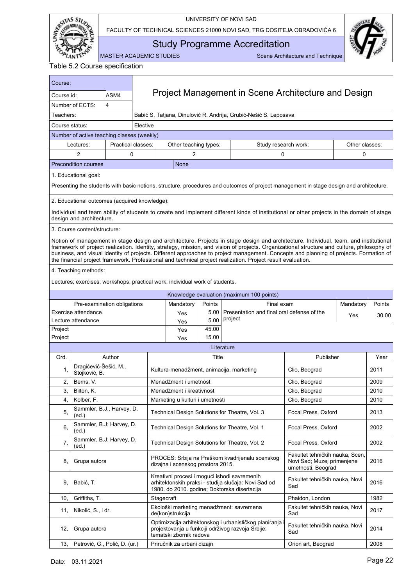

FACULTY OF TECHNICAL SCIENCES 21000 NOVI SAD, TRG DOSITEJA OBRADOVIĆA 6



Study Programme Accreditation

<span id="page-23-0"></span>MASTER ACADEMIC STUDIES Scene Architecture and Technique

| Course:            |                                               |                    |          |                                                                              |               |                                                                                                                                                                                                                                                                                                                                                                                                                                                                                                                                              |                                                                                     |                |        |  |  |  |
|--------------------|-----------------------------------------------|--------------------|----------|------------------------------------------------------------------------------|---------------|----------------------------------------------------------------------------------------------------------------------------------------------------------------------------------------------------------------------------------------------------------------------------------------------------------------------------------------------------------------------------------------------------------------------------------------------------------------------------------------------------------------------------------------------|-------------------------------------------------------------------------------------|----------------|--------|--|--|--|
| Course id:         |                                               | ASM4               |          | Project Management in Scene Architecture and Design                          |               |                                                                                                                                                                                                                                                                                                                                                                                                                                                                                                                                              |                                                                                     |                |        |  |  |  |
|                    | Number of ECTS:                               | 4                  |          | Babić S. Tatjana, Dinulović R. Andrija, Grubić-Nešić S. Leposava             |               |                                                                                                                                                                                                                                                                                                                                                                                                                                                                                                                                              |                                                                                     |                |        |  |  |  |
| Teachers:          |                                               |                    |          |                                                                              |               |                                                                                                                                                                                                                                                                                                                                                                                                                                                                                                                                              |                                                                                     |                |        |  |  |  |
| Course status:     |                                               |                    | Elective |                                                                              |               |                                                                                                                                                                                                                                                                                                                                                                                                                                                                                                                                              |                                                                                     |                |        |  |  |  |
|                    | Number of active teaching classes (weekly)    |                    |          |                                                                              |               |                                                                                                                                                                                                                                                                                                                                                                                                                                                                                                                                              |                                                                                     |                |        |  |  |  |
|                    | Lectures:                                     | Practical classes: |          | Other teaching types:                                                        |               | Study research work:                                                                                                                                                                                                                                                                                                                                                                                                                                                                                                                         |                                                                                     | Other classes: |        |  |  |  |
|                    | 2                                             | 0                  |          | 2                                                                            |               | 0                                                                                                                                                                                                                                                                                                                                                                                                                                                                                                                                            |                                                                                     | 0              |        |  |  |  |
|                    | Precondition courses                          |                    |          | None                                                                         |               |                                                                                                                                                                                                                                                                                                                                                                                                                                                                                                                                              |                                                                                     |                |        |  |  |  |
|                    | 1. Educational goal:                          |                    |          |                                                                              |               |                                                                                                                                                                                                                                                                                                                                                                                                                                                                                                                                              |                                                                                     |                |        |  |  |  |
|                    |                                               |                    |          |                                                                              |               | Presenting the students with basic notions, structure, procedures and outcomes of project management in stage design and architecture.                                                                                                                                                                                                                                                                                                                                                                                                       |                                                                                     |                |        |  |  |  |
|                    | 2. Educational outcomes (acquired knowledge): |                    |          |                                                                              |               |                                                                                                                                                                                                                                                                                                                                                                                                                                                                                                                                              |                                                                                     |                |        |  |  |  |
|                    | design and architecture.                      |                    |          |                                                                              |               | Individual and team ability of students to create and implement different kinds of institutional or other projects in the domain of stage                                                                                                                                                                                                                                                                                                                                                                                                    |                                                                                     |                |        |  |  |  |
|                    | 3. Course content/structure:                  |                    |          |                                                                              |               |                                                                                                                                                                                                                                                                                                                                                                                                                                                                                                                                              |                                                                                     |                |        |  |  |  |
|                    |                                               |                    |          |                                                                              |               | Notion of management in stage design and architecture. Projects in stage design and architecture. Individual, team, and institutional<br>framework of project realization. Identity, strategy, mission, and vision of projects. Organizational structure and culture, philosophy of<br>business, and visual identity of projects. Different approaches to project management. Concepts and planning of projects. Formation of<br>the financial project framework. Professional and technical project realization. Project result evaluation. |                                                                                     |                |        |  |  |  |
|                    | 4. Teaching methods:                          |                    |          |                                                                              |               |                                                                                                                                                                                                                                                                                                                                                                                                                                                                                                                                              |                                                                                     |                |        |  |  |  |
|                    |                                               |                    |          | Lectures; exercises; workshops; practical work; individual work of students. |               |                                                                                                                                                                                                                                                                                                                                                                                                                                                                                                                                              |                                                                                     |                |        |  |  |  |
|                    |                                               |                    |          |                                                                              |               | Knowledge evaluation (maximum 100 points)                                                                                                                                                                                                                                                                                                                                                                                                                                                                                                    |                                                                                     |                |        |  |  |  |
|                    | Pre-examination obligations                   |                    |          | Mandatory                                                                    | Points        | Final exam                                                                                                                                                                                                                                                                                                                                                                                                                                                                                                                                   |                                                                                     | Mandatory      | Points |  |  |  |
|                    | Exercise attendance                           |                    |          | Yes                                                                          | 5.00          | Presentation and final oral defense of the<br>project                                                                                                                                                                                                                                                                                                                                                                                                                                                                                        |                                                                                     | <b>Yes</b>     | 30.00  |  |  |  |
|                    | Lecture attendance                            |                    |          | Yes                                                                          | 5.00<br>45.00 |                                                                                                                                                                                                                                                                                                                                                                                                                                                                                                                                              |                                                                                     |                |        |  |  |  |
| Project<br>Project |                                               |                    |          | Yes<br>Yes                                                                   | 15.00         |                                                                                                                                                                                                                                                                                                                                                                                                                                                                                                                                              |                                                                                     |                |        |  |  |  |
|                    |                                               |                    |          |                                                                              |               | Literature                                                                                                                                                                                                                                                                                                                                                                                                                                                                                                                                   |                                                                                     |                |        |  |  |  |
| Ord.               |                                               | Author             |          |                                                                              | Title         |                                                                                                                                                                                                                                                                                                                                                                                                                                                                                                                                              | Publisher                                                                           |                | Year   |  |  |  |
| 1,                 | Dragićević-Šešić, M.,<br>Stojković, B.        |                    |          |                                                                              |               | Kultura-menadžment, animacija, marketing                                                                                                                                                                                                                                                                                                                                                                                                                                                                                                     | Clio, Beograd                                                                       |                | 2011   |  |  |  |
| 2,                 | Berns, V.                                     |                    |          | Menadžment i umetnost                                                        |               |                                                                                                                                                                                                                                                                                                                                                                                                                                                                                                                                              | Clio, Beograd                                                                       |                | 2009   |  |  |  |
| 3,                 | Bilton, K.                                    |                    |          | Menadžment i kreativnost                                                     |               |                                                                                                                                                                                                                                                                                                                                                                                                                                                                                                                                              | Clio, Beograd                                                                       |                | 2010   |  |  |  |
| 4,                 | Kolber, F.                                    |                    |          | Marketing u kulturi i umetnosti                                              |               |                                                                                                                                                                                                                                                                                                                                                                                                                                                                                                                                              | Clio, Beograd                                                                       |                | 2010   |  |  |  |
| 5,                 | Sammler, B.J., Harvey, D.<br>(ed.)            |                    |          |                                                                              |               | Technical Design Solutions for Theatre, Vol. 3                                                                                                                                                                                                                                                                                                                                                                                                                                                                                               | Focal Press, Oxford                                                                 |                | 2013   |  |  |  |
| 6,                 | Sammler, B.J; Harvey, D.<br>(ed.)             |                    |          |                                                                              |               | Technical Design Solutions for Theatre, Vol. 1                                                                                                                                                                                                                                                                                                                                                                                                                                                                                               | Focal Press, Oxford                                                                 |                | 2002   |  |  |  |
| 7,                 | Sammler, B.J; Harvey, D.<br>(ed)              |                    |          |                                                                              |               | Technical Design Solutions for Theatre, Vol. 2                                                                                                                                                                                                                                                                                                                                                                                                                                                                                               | Focal Press, Oxford                                                                 |                | 2002   |  |  |  |
| 8,                 | Grupa autora                                  |                    |          | dizajna i scenskog prostora 2015.                                            |               | PROCES: Srbija na Praškom kvadrijenalu scenskog                                                                                                                                                                                                                                                                                                                                                                                                                                                                                              | Fakultet tehničkih nauka, Scen,<br>Novi Sad; Muzej primenjene<br>umetnosti, Beograd |                | 2016   |  |  |  |
| 9.                 | Babić, T.                                     |                    |          |                                                                              |               | Kreativni procesi i mogući ishodi savremenih<br>arhitektonskih praksi - studija slučaja: Novi Sad od<br>1980. do 2010. godine; Doktorska disertacija                                                                                                                                                                                                                                                                                                                                                                                         | Fakultet tehničkih nauka, Novi<br>Sad                                               |                | 2016   |  |  |  |
| 10,                | Griffiths, T.                                 |                    |          | Stagecraft                                                                   |               |                                                                                                                                                                                                                                                                                                                                                                                                                                                                                                                                              | Phaidon, London                                                                     |                | 1982   |  |  |  |
| 11,                | Nikolić, S., i dr.                            |                    |          | de(kon)strukcija                                                             |               | Ekološki marketing menadžment: savremena                                                                                                                                                                                                                                                                                                                                                                                                                                                                                                     | Fakultet tehničkih nauka, Novi<br>Sad                                               |                | 2017   |  |  |  |
| 12,                | Grupa autora                                  |                    |          | tematski zbornik radova                                                      |               | Optimizacija arhitektonskog i urbanističkog planiranja i<br>projektovanja u funkciji održivog razvoja Srbije:                                                                                                                                                                                                                                                                                                                                                                                                                                | Fakultet tehničkih nauka, Novi<br>Sad                                               |                | 2014   |  |  |  |
| 13,                | Petrović, G., Polić, D. (ur.)                 |                    |          | Priručnik za urbani dizajn                                                   |               |                                                                                                                                                                                                                                                                                                                                                                                                                                                                                                                                              | Orion art, Beograd                                                                  |                | 2008   |  |  |  |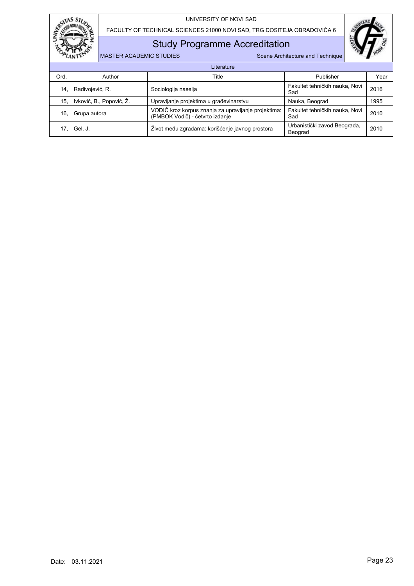

FACULTY OF TECHNICAL SCIENCES 21000 NOVI SAD, TRG DOSITEJA OBRADOVIĆA 6

## Study Programme Accreditation

MASTER ACADEMIC STUDIES SCENE ARE SCENE Architecture and Technique

|      | Literature               |                                                                                        |                                         |      |  |  |  |  |  |  |  |
|------|--------------------------|----------------------------------------------------------------------------------------|-----------------------------------------|------|--|--|--|--|--|--|--|
| Ord. | Author                   | Title                                                                                  | Publisher                               | Year |  |  |  |  |  |  |  |
| 14.  | Radivojević, R.          | Sociologija naselja                                                                    | Fakultet tehničkih nauka, Novi<br>Sad   | 2016 |  |  |  |  |  |  |  |
| 15.  | Ivković, B., Popović, Ž. | Upravljanje projektima u građevinarstvu                                                | Nauka, Beograd                          | 1995 |  |  |  |  |  |  |  |
| 16.  | Grupa autora             | VODIČ kroz korpus znanja za upravljanje projektima:<br>(PMBOK Vodič) - četvrto izdanje | Fakultet tehničkih nauka, Novi<br>Sad   | 2010 |  |  |  |  |  |  |  |
|      | Gel, J.                  | Život među zgradama: korišćenje javnog prostora                                        | Urbanistički zavod Beograda,<br>Beograd | 2010 |  |  |  |  |  |  |  |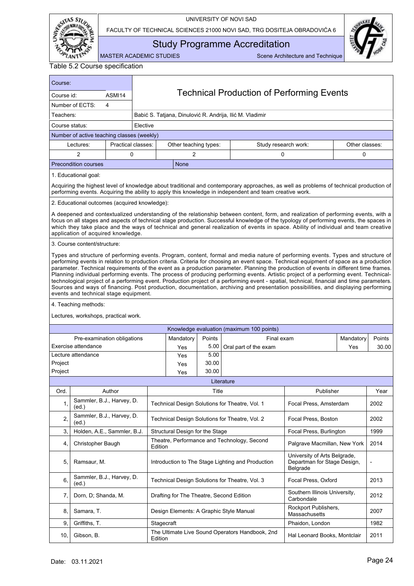

FACULTY OF TECHNICAL SCIENCES 21000 NOVI SAD, TRG DOSITEJA OBRADOVIĆA 6



<span id="page-25-0"></span>Study Programme Accreditation

MASTER ACADEMIC STUDIES Scene Architecture and Technique

Table 5.2 Course specification

ASMI14 | Technical Production of Performing Events Course: Course id: Number of ECTS: 4 Course status: Number of active teaching classes (weekly) Lectures: Practical classes: Other teaching types: Study research work: Elective Acquiring the highest level of knowledge about traditional and contemporary approaches, as well as problems of technical production of performing events. Acquiring the ability to apply this knowledge in independent and team creative work. A deepened and contextualized understanding of the relationship between content, form, and realization of performing events, with a focus on all stages and aspects of technical stage production. Successful knowledge of the typology of performing events, the spaces in which they take place and the ways of technical and general realization of events in space. Ability of individual and team creative application of acquired knowledge. Types and structure of performing events. Program, content, formal and media nature of performing events. Types and structure of performing events in relation to production criteria. Criteria for choosing an event space. Technical equipment of space as a production parameter. Technical requirements of the event as a production parameter. Planning the production of events in different time frames. Planning individual performing events. The process of producing performing events. Artistic project of a performing event. Technicaltechnological project of a performing event. Production project of a performing event - spatial, technical, financial and time parameters. Sources and ways of financing. Post production, documentation, archiving and presentation possibilities, and displaying performing events and technical stage equipment. 1. Educational goal: 2. Educational outcomes (acquired knowledge): 3. Course content/structure: 4. Teaching methods: Lectures, workshops, practical work. Literature Ord. | Author | Title Title | Publisher | Year 1, Sammler, B.J., Harvey, D.  $(ed.)$ Technical Design Solutions for Theatre, Vol. 1 | Focal Press, Amsterdam | 2002  $2, \left| \begin{array}{l} \text{Sammler, B.J., Harvey, D.} \\ \text{(ed.)} \end{array} \right|$ Technical Design Solutions for Theatre, Vol. 2 | Focal Press, Boston | 2002 3. Holden, A.E., Sammler, B.J. Structural Design for the Stage Frace Frees, Burlington 1999 4, Christopher Baugh Theatre, Performance and Technology, Second Edition Palgrave Macmillan, New York | 2014 5, Ramsaur, M. Introduction to The Stage Lighting and Production University of Arts Belgrade, Departman for Stage Design, Belgrade -  $6, \left| \begin{array}{l}$  Sammler, B.J., Harvey, D. Technical Design Solutions for Theatre, Vol. 3 | Focal Press, Oxford | 2013 7, Dorn, D; Shanda, M. **Drafting for The Theatre, Second Edition** Southern Illinois University, Southern lillions Officersity, 2012  $8, 8$  Samara, T. **Design Elements: A Graphic Style Manual** Rockport Publishers, Rockport Publishers,<br>Massachusetts 2007 9. Griffiths. T. Communication is a stage of the stage of the stage of the stage of the stage of the stage of the stage of the stage of the stage of the stage of the stage of the stage of the stage of the stage of the stag 10, Gibson, B. The Ultimate Live Sound Operators Handbook, 2nd<br>Edition Hal Leonard Books, Montclair | 2011 Final exam Mandatory Points Oral part of the exam  $\vert$  Yes 30.00 Knowledge evaluation (maximum 100 points) Pre-examination obligations Mandatory Points Exercise attendance Yes 76.00 Lecture attendance  $\vert$  Yes  $\vert$  5.00 Project Project News 20.00 Project Project News 20.00 Teachers: Babić S. Tatjana, Dinulović R. Andrija, Ilić M. Vladimir Precondition courses None Other classes: 2 0 0 2 0 0 0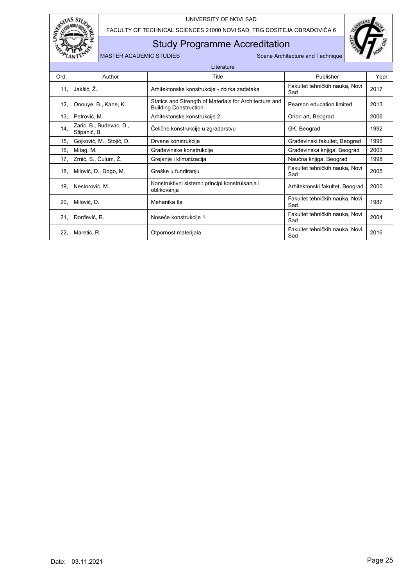

FACULTY OF TECHNICAL SCIENCES 21000 NOVI SAD, TRG DOSITEJA OBRADOVIĆA 6

## Study Programme Accreditation



|      | Literature                              |                                                                                        |                                       |      |  |  |  |  |  |  |
|------|-----------------------------------------|----------------------------------------------------------------------------------------|---------------------------------------|------|--|--|--|--|--|--|
| Ord. | Author                                  | Title                                                                                  | Publisher                             | Year |  |  |  |  |  |  |
| 11.  | Jakšić, Ž.                              | Arhitektonske konstrukcije - zbirka zadataka                                           | Fakultet tehničkih nauka, Novi<br>Sad | 2017 |  |  |  |  |  |  |
| 12,  | Onouye, B., Kane, K.                    | Statics and Strength of Materials for Architecture and<br><b>Building Construction</b> | Pearson education limited             | 2013 |  |  |  |  |  |  |
| 13.  | Petrović, M.                            | Arhitektonske konstrukcije 2                                                           | Orion art, Beograd                    | 2006 |  |  |  |  |  |  |
| 14,  | Zarić, B., Buđevac, D.,<br>Stipanić, B. | Čelične konstrukcije u zgradarstvu                                                     | GK, Beograd                           | 1992 |  |  |  |  |  |  |
| 15.  | Gojković, M., Stojić, D.                | Drvene konstrukcije                                                                    | Građevinski fakultet, Beograd         | 1996 |  |  |  |  |  |  |
| 16.  | Mitag, M.                               | Građevinske konstrukcije                                                               | Građevinska knjiga, Beograd           | 2003 |  |  |  |  |  |  |
| 17,  | Zrnić, S., Ćulum, Ž.                    | Grejanje i klimatizacija                                                               | Naučna knjiga, Beograd                | 1998 |  |  |  |  |  |  |
| 18,  | Milović, D., Đogo, M.                   | Greške u fundiranju                                                                    | Fakultet tehničkih nauka, Novi<br>Sad | 2005 |  |  |  |  |  |  |
| 19.  | Nestorović, M.                          | Konstruktivni sistemi: principi konstruisanja i<br>oblikovanja                         | Arhitektonski fakultet, Beograd       | 2000 |  |  |  |  |  |  |
| 20,  | Milović, D.                             | Mehanika tla                                                                           | Fakultet tehničkih nauka, Novi<br>Sad | 1987 |  |  |  |  |  |  |
| 21.  | Dorđević, R.                            | Noseće konstrukcije 1                                                                  | Fakultet tehničkih nauka, Novi<br>Sad | 2004 |  |  |  |  |  |  |
| 22,  | Maretić, R.                             | Otpornost materijala                                                                   | Fakultet tehničkih nauka, Novi<br>Sad | 2016 |  |  |  |  |  |  |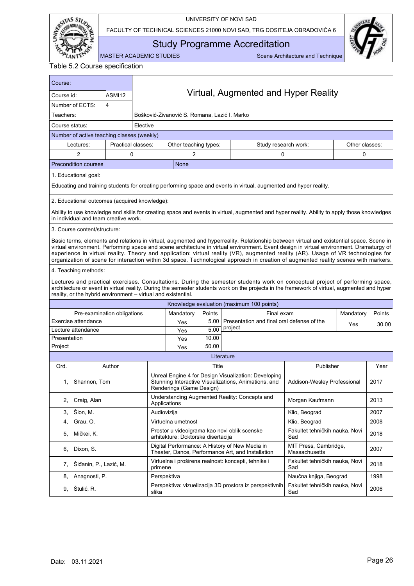

FACULTY OF TECHNICAL SCIENCES 21000 NOVI SAD, TRG DOSITEJA OBRADOVIĆA 6



<span id="page-27-0"></span>Study Programme Accreditation

MASTER ACADEMIC STUDIES Scene Architecture and Technique

Table 5.2 Course specification

ASMI12 Virtual, Augmented and Hyper Reality Course: Course id: Number of ECTS: 4 Course status: Number of active teaching classes (weekly) Lectures: Practical classes: Other teaching types: Study research work: Elective Educating and training students for creating performing space and events in virtual, augmented and hyper reality. Ability to use knowledge and skills for creating space and events in virtual, augmented and hyper reality. Ability to apply those knowledges in individual and team creative work. Basic terms, elements and relations in virtual, augmented and hyperreality. Relationship between virtual and existential space. Scene in virtual environment. Performing space and scene architecture in virtual environment. Event design in virtual environment. Dramaturgy of experience in virtual reality. Theory and application: virtual reality (VR), augmented reality (AR). Usage of VR technologies for organization of scene for interaction within 3d space. Technological approach in creation of augmented reality scenes with markers. 1. Educational goal: 2. Educational outcomes (acquired knowledge): 3. Course content/structure: 4. Teaching methods: Lectures and practical exercises. Consultations. During the semester students work on conceptual project of performing space, architecture or event in virtual reality. During the semester students work on the projects in the framework of virtual, augmented and hyper reality, or the hybrid environment – virtual and existential. Literature Ord. | Author | Title Title | Publisher | Year 1, Shannon, Tom Unreal Engine 4 for Design Visualization: Developing Stunning Interactive Visualizations, Animations, and Renderings (Game Design) Addison-Wesley Professional | 2017 2, Craig, Alan Understanding Augmented Reality: Concepts and Applications Morgan Kaufmann <sup>2013</sup> 3, │Sion, M. │ Audiovizija │ Klio, Beograd │ 2007 4, Grau, O. Nirtuelna umetnost Klio, Beograd 2008 5, Mičkei, K. Prostor u videoigrama kao novi oblik scenske arhitekture; Doktorska disertacija Fakultet tehničkih nauka, Novi Sad <sup>2018</sup> 6. Dixon, S. Digital Performance: A History of New Media in Theater, Dance, Performance Art, and Installation MIT Press, Cambridge, MIT Press, Campridge,<br>Massachusetts 2007 7, Šiđanin, P., Lazić, M. Virtuelna i proširena realnost: koncepti, tehnike i primene Fakultet tehničkih nauka, Novi Sad <sup>2018</sup> 8. Anagnosti, P. Naučna knjiga, Beograd i 1998 9. Stulić, R. Perspektiva: vizuelizacija 3D prostora iz perspektivnih slika Fakultet tehničkih nauka, Novi Sad <sup>2006</sup> Final exam Mandatory Points Presentation and final oral defense of the Project **Project** 20.00 Knowledge evaluation (maximum 100 points) Pre-examination obligations | Mandatory | Points Exercise attendance The Yes 5.00 Lecture attendance The Ves 1 5.00 Presentation Yes 10.00 Project Yes 50.00 Teachers: Bošković-Živanović S. Romana, Lazić I. Marko Precondition courses None Other classes: 2 0 0 2 0 0 0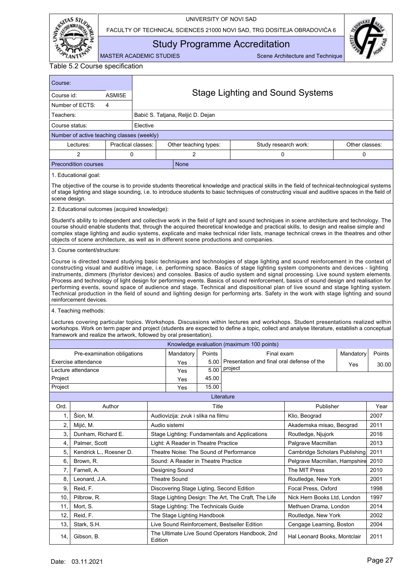

FACULTY OF TECHNICAL SCIENCES 21000 NOVI SAD, TRG DOSITEJA OBRADOVIĆA 6



<span id="page-28-0"></span>Study Programme Accreditation

MASTER ACADEMIC STUDIES Scene Architecture and Technique

| Course:                                                 |                                                                                                                                                                                                                                                                                                                                                                                                                                                                                                                                                                                                                                                                                                                                                                                                                                                          |                    |          |                                           |        |                                                                                                                                                                                                                                                                                                                                                                                                                                                                                                                       |                               |                |        |  |  |  |
|---------------------------------------------------------|----------------------------------------------------------------------------------------------------------------------------------------------------------------------------------------------------------------------------------------------------------------------------------------------------------------------------------------------------------------------------------------------------------------------------------------------------------------------------------------------------------------------------------------------------------------------------------------------------------------------------------------------------------------------------------------------------------------------------------------------------------------------------------------------------------------------------------------------------------|--------------------|----------|-------------------------------------------|--------|-----------------------------------------------------------------------------------------------------------------------------------------------------------------------------------------------------------------------------------------------------------------------------------------------------------------------------------------------------------------------------------------------------------------------------------------------------------------------------------------------------------------------|-------------------------------|----------------|--------|--|--|--|
| Course id:                                              |                                                                                                                                                                                                                                                                                                                                                                                                                                                                                                                                                                                                                                                                                                                                                                                                                                                          | ASMI5E             |          | <b>Stage Lighting and Sound Systems</b>   |        |                                                                                                                                                                                                                                                                                                                                                                                                                                                                                                                       |                               |                |        |  |  |  |
|                                                         | Number of ECTS:<br>4                                                                                                                                                                                                                                                                                                                                                                                                                                                                                                                                                                                                                                                                                                                                                                                                                                     |                    |          |                                           |        |                                                                                                                                                                                                                                                                                                                                                                                                                                                                                                                       |                               |                |        |  |  |  |
| Teachers:                                               |                                                                                                                                                                                                                                                                                                                                                                                                                                                                                                                                                                                                                                                                                                                                                                                                                                                          |                    |          | Babić S. Tatjana, Reljić D. Dejan         |        |                                                                                                                                                                                                                                                                                                                                                                                                                                                                                                                       |                               |                |        |  |  |  |
| Course status:                                          |                                                                                                                                                                                                                                                                                                                                                                                                                                                                                                                                                                                                                                                                                                                                                                                                                                                          |                    | Elective |                                           |        |                                                                                                                                                                                                                                                                                                                                                                                                                                                                                                                       |                               |                |        |  |  |  |
|                                                         | Number of active teaching classes (weekly)                                                                                                                                                                                                                                                                                                                                                                                                                                                                                                                                                                                                                                                                                                                                                                                                               |                    |          |                                           |        |                                                                                                                                                                                                                                                                                                                                                                                                                                                                                                                       |                               |                |        |  |  |  |
|                                                         | Lectures:                                                                                                                                                                                                                                                                                                                                                                                                                                                                                                                                                                                                                                                                                                                                                                                                                                                | Practical classes: |          | Other teaching types:                     |        | Study research work:                                                                                                                                                                                                                                                                                                                                                                                                                                                                                                  |                               | Other classes: |        |  |  |  |
|                                                         | $\overline{2}$                                                                                                                                                                                                                                                                                                                                                                                                                                                                                                                                                                                                                                                                                                                                                                                                                                           | 0                  |          | $\overline{2}$                            |        | 0                                                                                                                                                                                                                                                                                                                                                                                                                                                                                                                     |                               | 0              |        |  |  |  |
|                                                         | <b>Precondition courses</b>                                                                                                                                                                                                                                                                                                                                                                                                                                                                                                                                                                                                                                                                                                                                                                                                                              |                    |          | None                                      |        |                                                                                                                                                                                                                                                                                                                                                                                                                                                                                                                       |                               |                |        |  |  |  |
|                                                         | 1. Educational goal:                                                                                                                                                                                                                                                                                                                                                                                                                                                                                                                                                                                                                                                                                                                                                                                                                                     |                    |          |                                           |        |                                                                                                                                                                                                                                                                                                                                                                                                                                                                                                                       |                               |                |        |  |  |  |
|                                                         | The objective of the course is to provide students theoretical knowledge and practical skills in the field of technical-technological systems<br>of stage lighting and stage sounding, i.e. to introduce students to basic techniques of constructing visual and auditive spaces in the field of<br>scene design.                                                                                                                                                                                                                                                                                                                                                                                                                                                                                                                                        |                    |          |                                           |        |                                                                                                                                                                                                                                                                                                                                                                                                                                                                                                                       |                               |                |        |  |  |  |
|                                                         | 2. Educational outcomes (acquired knowledge):                                                                                                                                                                                                                                                                                                                                                                                                                                                                                                                                                                                                                                                                                                                                                                                                            |                    |          |                                           |        |                                                                                                                                                                                                                                                                                                                                                                                                                                                                                                                       |                               |                |        |  |  |  |
|                                                         |                                                                                                                                                                                                                                                                                                                                                                                                                                                                                                                                                                                                                                                                                                                                                                                                                                                          |                    |          |                                           |        | Student's ability to independent and collective work in the field of light and sound techniques in scene architecture and technology. The<br>course should enable students that, through the acquired theoretical knowledge and practical skills, to design and realise simple and<br>complex stage lighting and audio systems, explicate and make technical rider lists, manage technical crews in the theatres and other<br>objects of scene architecture, as well as in different scene productions and companies. |                               |                |        |  |  |  |
|                                                         | 3. Course content/structure:                                                                                                                                                                                                                                                                                                                                                                                                                                                                                                                                                                                                                                                                                                                                                                                                                             |                    |          |                                           |        |                                                                                                                                                                                                                                                                                                                                                                                                                                                                                                                       |                               |                |        |  |  |  |
|                                                         | Course is directed toward studying basic techniques and technologies of stage lighting and sound reinforcement in the context of<br>constructing visual and auditive image, i.e. performing space. Basics of stage lighting system components and devices - lighting<br>instruments, dimmers (thyristor devices) and consoles. Basics of audio system and signal processing. Live sound system elements.<br>Process and technology of light design for performing events. Basics of sound reinforcement, basics of sound design and realisation for<br>performing events, sound space of audience and stage. Technical and dispositional plan of live sound and stage lighting system.<br>Technical production in the field of sound and lighting design for performing arts. Safety in the work with stage lighting and sound<br>reinforcement devices. |                    |          |                                           |        |                                                                                                                                                                                                                                                                                                                                                                                                                                                                                                                       |                               |                |        |  |  |  |
|                                                         | 4. Teaching methods:                                                                                                                                                                                                                                                                                                                                                                                                                                                                                                                                                                                                                                                                                                                                                                                                                                     |                    |          |                                           |        |                                                                                                                                                                                                                                                                                                                                                                                                                                                                                                                       |                               |                |        |  |  |  |
|                                                         | framework and realize the artwork, followed by oral presentation).                                                                                                                                                                                                                                                                                                                                                                                                                                                                                                                                                                                                                                                                                                                                                                                       |                    |          |                                           |        | Lectures covering particular topics. Workshops. Discussions within lectures and workshops. Student presentations realized within<br>workshops. Work on term paper and project (students are expected to define a topic, collect and analyse literature, establish a conceptual                                                                                                                                                                                                                                        |                               |                |        |  |  |  |
|                                                         |                                                                                                                                                                                                                                                                                                                                                                                                                                                                                                                                                                                                                                                                                                                                                                                                                                                          |                    |          |                                           |        | Knowledge evaluation (maximum 100 points)                                                                                                                                                                                                                                                                                                                                                                                                                                                                             |                               |                |        |  |  |  |
|                                                         | Pre-examination obligations                                                                                                                                                                                                                                                                                                                                                                                                                                                                                                                                                                                                                                                                                                                                                                                                                              |                    |          | Mandatory                                 | Points | Final exam                                                                                                                                                                                                                                                                                                                                                                                                                                                                                                            |                               | Mandatory      | Points |  |  |  |
|                                                         | Exercise attendance                                                                                                                                                                                                                                                                                                                                                                                                                                                                                                                                                                                                                                                                                                                                                                                                                                      |                    |          | Yes                                       | 5.00   | Presentation and final oral defense of the                                                                                                                                                                                                                                                                                                                                                                                                                                                                            |                               |                | 30.00  |  |  |  |
|                                                         | Lecture attendance                                                                                                                                                                                                                                                                                                                                                                                                                                                                                                                                                                                                                                                                                                                                                                                                                                       |                    |          | Yes                                       | 5.00   | project                                                                                                                                                                                                                                                                                                                                                                                                                                                                                                               |                               | Yes            |        |  |  |  |
| Project                                                 |                                                                                                                                                                                                                                                                                                                                                                                                                                                                                                                                                                                                                                                                                                                                                                                                                                                          |                    |          | Yes                                       | 45.00  |                                                                                                                                                                                                                                                                                                                                                                                                                                                                                                                       |                               |                |        |  |  |  |
| Project                                                 |                                                                                                                                                                                                                                                                                                                                                                                                                                                                                                                                                                                                                                                                                                                                                                                                                                                          |                    |          | Yes                                       | 15.00  |                                                                                                                                                                                                                                                                                                                                                                                                                                                                                                                       |                               |                |        |  |  |  |
|                                                         |                                                                                                                                                                                                                                                                                                                                                                                                                                                                                                                                                                                                                                                                                                                                                                                                                                                          |                    |          |                                           |        | Literature                                                                                                                                                                                                                                                                                                                                                                                                                                                                                                            |                               |                |        |  |  |  |
| Ord.                                                    |                                                                                                                                                                                                                                                                                                                                                                                                                                                                                                                                                                                                                                                                                                                                                                                                                                                          | Author             |          |                                           | Title  |                                                                                                                                                                                                                                                                                                                                                                                                                                                                                                                       | Publisher                     |                | Year   |  |  |  |
| 1,                                                      | Šion, M.                                                                                                                                                                                                                                                                                                                                                                                                                                                                                                                                                                                                                                                                                                                                                                                                                                                 |                    |          | Audiovizija: zvuk i slika na filmu        |        |                                                                                                                                                                                                                                                                                                                                                                                                                                                                                                                       | Klio, Beograd                 |                | 2007   |  |  |  |
| 2,                                                      | Mijić, M.                                                                                                                                                                                                                                                                                                                                                                                                                                                                                                                                                                                                                                                                                                                                                                                                                                                |                    |          | Audio sistemi                             |        |                                                                                                                                                                                                                                                                                                                                                                                                                                                                                                                       | Akademska misao, Beograd      |                | 2011   |  |  |  |
| 3,                                                      | Dunham, Richard E.                                                                                                                                                                                                                                                                                                                                                                                                                                                                                                                                                                                                                                                                                                                                                                                                                                       |                    |          |                                           |        | Stage Lighting: Fundamentals and Applications                                                                                                                                                                                                                                                                                                                                                                                                                                                                         | Routledge, Njujork            |                | 2016   |  |  |  |
| 4,                                                      | Palmer, Scott                                                                                                                                                                                                                                                                                                                                                                                                                                                                                                                                                                                                                                                                                                                                                                                                                                            |                    |          | Light: A Reader in Theatre Practice       |        |                                                                                                                                                                                                                                                                                                                                                                                                                                                                                                                       | Palgrave Macmillan            |                | 2013   |  |  |  |
| 5,                                                      | Kendrick L., Roesner D.                                                                                                                                                                                                                                                                                                                                                                                                                                                                                                                                                                                                                                                                                                                                                                                                                                  |                    |          | Theatre Noise: The Sound of Performance   |        |                                                                                                                                                                                                                                                                                                                                                                                                                                                                                                                       | Cambridge Scholars Publishing |                | 2011   |  |  |  |
| 6.                                                      | Brown, R.                                                                                                                                                                                                                                                                                                                                                                                                                                                                                                                                                                                                                                                                                                                                                                                                                                                |                    |          | Sound: A Reader in Theatre Practice       |        |                                                                                                                                                                                                                                                                                                                                                                                                                                                                                                                       | Pelgrave Macmillan, Hampshire |                | 2010   |  |  |  |
| 7,                                                      | Farnell, A.                                                                                                                                                                                                                                                                                                                                                                                                                                                                                                                                                                                                                                                                                                                                                                                                                                              |                    |          | Designing Sound                           |        |                                                                                                                                                                                                                                                                                                                                                                                                                                                                                                                       | The MIT Press                 |                | 2010   |  |  |  |
| 8,                                                      | Leonard, J.A.                                                                                                                                                                                                                                                                                                                                                                                                                                                                                                                                                                                                                                                                                                                                                                                                                                            |                    |          | Theatre Sound                             |        |                                                                                                                                                                                                                                                                                                                                                                                                                                                                                                                       | Routledge, New York           |                | 2001   |  |  |  |
| 9,                                                      | Reid, F.                                                                                                                                                                                                                                                                                                                                                                                                                                                                                                                                                                                                                                                                                                                                                                                                                                                 |                    |          | Discovering Stage Ligting, Second Edition |        |                                                                                                                                                                                                                                                                                                                                                                                                                                                                                                                       | Focal Press, Oxford           |                | 1998   |  |  |  |
| 10.                                                     | Pilbrow, R.                                                                                                                                                                                                                                                                                                                                                                                                                                                                                                                                                                                                                                                                                                                                                                                                                                              |                    |          |                                           |        | Stage Lighting Design: The Art, The Craft, The Life                                                                                                                                                                                                                                                                                                                                                                                                                                                                   | Nick Hern Books Ltd, London   |                | 1997   |  |  |  |
| Mort, S.<br>Stage Lighting: The Technicals Guide<br>11, |                                                                                                                                                                                                                                                                                                                                                                                                                                                                                                                                                                                                                                                                                                                                                                                                                                                          |                    |          |                                           |        |                                                                                                                                                                                                                                                                                                                                                                                                                                                                                                                       | Methuen Drama, London         |                | 2014   |  |  |  |
| 12,                                                     | Reid, F.                                                                                                                                                                                                                                                                                                                                                                                                                                                                                                                                                                                                                                                                                                                                                                                                                                                 |                    |          | The Stage Lighting Handbook               |        |                                                                                                                                                                                                                                                                                                                                                                                                                                                                                                                       | Routledge, New York           |                | 2002   |  |  |  |
| 13,                                                     | Stark, S.H.                                                                                                                                                                                                                                                                                                                                                                                                                                                                                                                                                                                                                                                                                                                                                                                                                                              |                    |          |                                           |        | Live Sound Reinforcement, Bestseller Edition                                                                                                                                                                                                                                                                                                                                                                                                                                                                          | Cengage Learning, Boston      |                | 2004   |  |  |  |
| 14,                                                     | Gibson, B.                                                                                                                                                                                                                                                                                                                                                                                                                                                                                                                                                                                                                                                                                                                                                                                                                                               |                    | Edition  |                                           |        | The Ultimate Live Sound Operators Handbook, 2nd                                                                                                                                                                                                                                                                                                                                                                                                                                                                       | Hal Leonard Books, Montclair  |                | 2011   |  |  |  |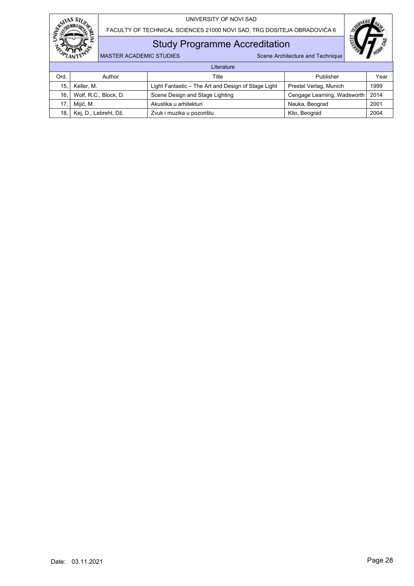



Study Programme Accreditation

|      | Literature            |                                                     |                                    |      |  |  |  |  |  |  |
|------|-----------------------|-----------------------------------------------------|------------------------------------|------|--|--|--|--|--|--|
| Ord. | Author                | Title                                               | Publisher                          | Year |  |  |  |  |  |  |
| 15.  | Keller, M.            | Light Fantastic - The Art and Design of Stage Light | Prestel Verlag, Munich             | 1999 |  |  |  |  |  |  |
| 16.  | Wolf, R.C., Block, D. | Scene Design and Stage Lighting                     | Cengage Learning, Wadsworth   2014 |      |  |  |  |  |  |  |
|      | Mijić, M.             | Akustika u arhitekturi                              | Nauka, Beograd                     | 2001 |  |  |  |  |  |  |
| 18.  | Kej, D., Lebreht, Dž. | Zvuk i muzika u pozorištu                           | Klio, Beograd                      | 2004 |  |  |  |  |  |  |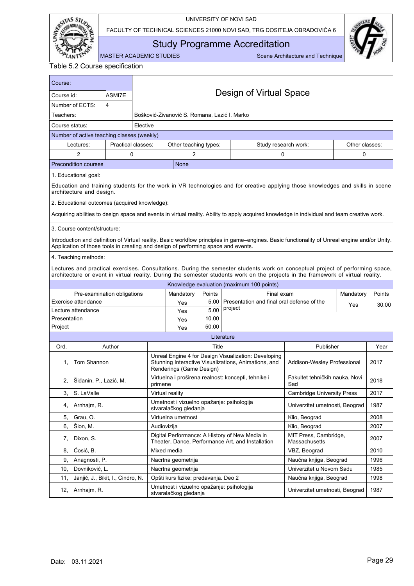

FACULTY OF TECHNICAL SCIENCES 21000 NOVI SAD, TRG DOSITEJA OBRADOVIĆA 6



<span id="page-30-0"></span>Study Programme Accreditation

MASTER ACADEMIC STUDIES Scene Architecture and Technique

| Course:        |                                                                                   |                    |          |                                                                    |        |                                                                                                                                                                                                                                                                   |                                        |                |        |  |  |  |
|----------------|-----------------------------------------------------------------------------------|--------------------|----------|--------------------------------------------------------------------|--------|-------------------------------------------------------------------------------------------------------------------------------------------------------------------------------------------------------------------------------------------------------------------|----------------------------------------|----------------|--------|--|--|--|
| Course id:     |                                                                                   | ASMI7E             |          |                                                                    |        | Design of Virtual Space                                                                                                                                                                                                                                           |                                        |                |        |  |  |  |
|                | Number of ECTS:<br>4                                                              |                    |          |                                                                    |        |                                                                                                                                                                                                                                                                   |                                        |                |        |  |  |  |
| Teachers:      |                                                                                   |                    |          | Bošković-Živanović S. Romana, Lazić I. Marko                       |        |                                                                                                                                                                                                                                                                   |                                        |                |        |  |  |  |
| Course status: |                                                                                   |                    | Elective |                                                                    |        |                                                                                                                                                                                                                                                                   |                                        |                |        |  |  |  |
|                | Number of active teaching classes (weekly)                                        |                    |          |                                                                    |        |                                                                                                                                                                                                                                                                   |                                        |                |        |  |  |  |
|                | Lectures:                                                                         | Practical classes: |          | Other teaching types:                                              |        | Study research work:                                                                                                                                                                                                                                              |                                        | Other classes: |        |  |  |  |
|                | $\overline{2}$                                                                    | 0                  |          | $\overline{2}$                                                     |        | 0                                                                                                                                                                                                                                                                 |                                        | 0              |        |  |  |  |
|                | <b>Precondition courses</b>                                                       |                    |          | <b>None</b>                                                        |        |                                                                                                                                                                                                                                                                   |                                        |                |        |  |  |  |
|                | 1. Educational goal:                                                              |                    |          |                                                                    |        |                                                                                                                                                                                                                                                                   |                                        |                |        |  |  |  |
|                | architecture and design.                                                          |                    |          |                                                                    |        | Education and training students for the work in VR technologies and for creative applying those knowledges and skills in scene                                                                                                                                    |                                        |                |        |  |  |  |
|                | 2. Educational outcomes (acquired knowledge):                                     |                    |          |                                                                    |        |                                                                                                                                                                                                                                                                   |                                        |                |        |  |  |  |
|                |                                                                                   |                    |          |                                                                    |        | Acquiring abilities to design space and events in virtual reality. Ability to apply acquired knowledge in individual and team creative work.                                                                                                                      |                                        |                |        |  |  |  |
|                |                                                                                   |                    |          |                                                                    |        |                                                                                                                                                                                                                                                                   |                                        |                |        |  |  |  |
|                | 3. Course content/structure:                                                      |                    |          |                                                                    |        |                                                                                                                                                                                                                                                                   |                                        |                |        |  |  |  |
|                | Application of those tools in creating and design of performing space and events. |                    |          |                                                                    |        | Introduction and definition of Virtual reality. Basic workflow principles in game-engines. Basic functionality of Unreal engine and/or Unity.                                                                                                                     |                                        |                |        |  |  |  |
|                | 4. Teaching methods:                                                              |                    |          |                                                                    |        |                                                                                                                                                                                                                                                                   |                                        |                |        |  |  |  |
|                |                                                                                   |                    |          |                                                                    |        | Lectures and practical exercises. Consultations. During the semester students work on conceptual project of performing space,<br>architecture or event in virtual reality. During the semester students work on the projects in the framework of virtual reality. |                                        |                |        |  |  |  |
|                |                                                                                   |                    |          |                                                                    |        | Knowledge evaluation (maximum 100 points)                                                                                                                                                                                                                         |                                        |                |        |  |  |  |
|                | Pre-examination obligations                                                       |                    |          | Mandatory                                                          | Points | Final exam                                                                                                                                                                                                                                                        |                                        | Mandatory      | Points |  |  |  |
|                | Exercise attendance                                                               |                    |          | Yes                                                                | 5.00   | Presentation and final oral defense of the                                                                                                                                                                                                                        |                                        | Yes            | 30.00  |  |  |  |
|                | Lecture attendance                                                                |                    |          | Yes                                                                | 5.00   | project                                                                                                                                                                                                                                                           |                                        |                |        |  |  |  |
| Presentation   |                                                                                   |                    |          | Yes                                                                | 10.00  |                                                                                                                                                                                                                                                                   |                                        |                |        |  |  |  |
| Project        |                                                                                   |                    |          | Yes                                                                | 50.00  |                                                                                                                                                                                                                                                                   |                                        |                |        |  |  |  |
|                |                                                                                   |                    |          |                                                                    |        | Literature                                                                                                                                                                                                                                                        |                                        |                |        |  |  |  |
| Ord.           |                                                                                   | Author             |          |                                                                    | Title  |                                                                                                                                                                                                                                                                   | Publisher                              |                | Year   |  |  |  |
| 1.             | Tom Shannon                                                                       |                    |          | Renderings (Game Design)                                           |        | Unreal Engine 4 for Design Visualization: Developing<br>Stunning Interactive Visualizations, Animations, and                                                                                                                                                      | Addison-Wesley Professional            |                | 2017   |  |  |  |
| 2.             | Šiđanin, P., Lazić, M.                                                            |                    | primene  |                                                                    |        | Virtuelna i proširena realnost: koncepti, tehnike i                                                                                                                                                                                                               | Fakultet tehničkih nauka, Novi<br>Sad  |                | 2018   |  |  |  |
| 3,             | S. LaValle                                                                        |                    |          | Virtual reality                                                    |        |                                                                                                                                                                                                                                                                   | <b>Cambridge University Press</b>      |                | 2017   |  |  |  |
| 4,             | Arnhajm, R.                                                                       |                    |          | Umetnost i vizuelno opažanje: psihologija<br>stvaralačkog gledanja |        |                                                                                                                                                                                                                                                                   | Univerzitet umetnosti, Beograd         |                | 1987   |  |  |  |
| 5,             | Grau, O.                                                                          |                    |          | Virtuelna umetnost                                                 |        |                                                                                                                                                                                                                                                                   | Klio, Beograd                          |                | 2008   |  |  |  |
| 6.             | Šion, M.                                                                          |                    |          | Audiovizija                                                        |        |                                                                                                                                                                                                                                                                   | Klio, Beograd                          |                | 2007   |  |  |  |
| 7,             | Dixon, S.                                                                         |                    |          |                                                                    |        | Digital Performance: A History of New Media in<br>Theater, Dance, Performance Art, and Installation                                                                                                                                                               | MIT Press, Cambridge,<br>Massachusetts |                | 2007   |  |  |  |
| 8,             | Ćosić, B.                                                                         |                    |          | Mixed media                                                        |        |                                                                                                                                                                                                                                                                   | VBZ, Beograd                           |                | 2010   |  |  |  |
| 9.             | Anagnosti, P.                                                                     |                    |          | Nacrtna geometrija                                                 |        |                                                                                                                                                                                                                                                                   | Naučna knjiga, Beograd                 |                | 1996   |  |  |  |
| 10.            | Dovniković, L.                                                                    |                    |          | Nacrtna geometrija                                                 |        |                                                                                                                                                                                                                                                                   | Univerzitet u Novom Sadu               |                | 1985   |  |  |  |
| 11,            | Janjić, J., Bikit, I., Cindro, N.                                                 |                    |          | Opšti kurs fizike: predavanja. Deo 2                               |        |                                                                                                                                                                                                                                                                   | Naučna knjiga, Beograd                 |                | 1998   |  |  |  |
| 12,            | Arnhajm, R.                                                                       |                    |          | Umetnost i vizuelno opažanje: psihologija<br>stvaralačkog gledanja |        |                                                                                                                                                                                                                                                                   | Univerzitet umetnosti, Beograd         |                | 1987   |  |  |  |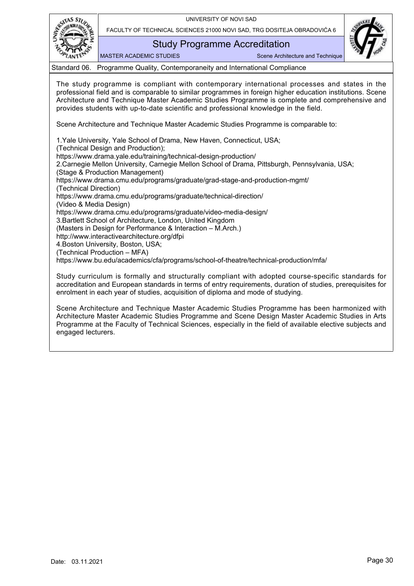

FACULTY OF TECHNICAL SCIENCES 21000 NOVI SAD, TRG DOSITEJA OBRADOVIĆA 6

Study Programme Accreditation

MASTER ACADEMIC STUDIES SCENE SCENE Architecture and Technique



Standard 06. Programme Quality, Contemporaneity and International Compliance

<span id="page-31-0"></span>The study programme is compliant with contemporary international processes and states in the professional field and is comparable to similar programmes in foreign higher education institutions. Scene Architecture and Technique Master Academic Studies Programme is complete and comprehensive and provides students with up-to-date scientific and professional knowledge in the field.

Scene Architecture and Technique Master Academic Studies Programme is comparable to:

1.Yale University, Yale School of Drama, New Haven, Connecticut, USA; (Technical Design and Production); https://www.drama.yale.edu/training/technical-design-production/ 2.Carnegie Mellon University, Carnegie Mellon School of Drama, Pittsburgh, Pennsylvania, USA; (Stage & Production Management)

https://www.drama.cmu.edu/programs/graduate/grad-stage-and-production-mgmt/

(Technical Direction)

https://www.drama.cmu.edu/programs/graduate/technical-direction/ (Video & Media Design)

https://www.drama.cmu.edu/programs/graduate/video-media-design/

3.Bartlett School of Architecture, London, United Kingdom

(Masters in Design for Performance & Interaction – M.Arch.)

http://www.interactivearchitecture.org/dfpi

4.Boston University, Boston, USA;

(Technical Production – MFA)

https://www.bu.edu/academics/cfa/programs/school-of-theatre/technical-production/mfa/

Study curriculum is formally and structurally compliant with adopted course-specific standards for accreditation and European standards in terms of entry requirements, duration of studies, prerequisites for enrolment in each year of studies, acquisition of diploma and mode of studying.

Scene Architecture and Technique Master Academic Studies Programme has been harmonized with Architecture Master Academic Studies Programme and Scene Design Master Academic Studies in Arts Programme at the Faculty of Technical Sciences, especially in the field of available elective subjects and engaged lecturers.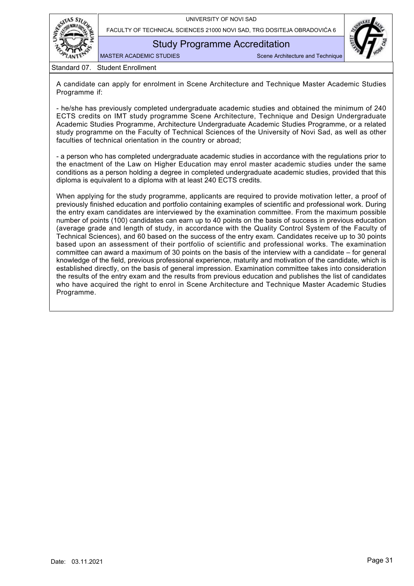

Study Programme Accreditation

MASTER ACADEMIC STUDIES Scene Architecture and Technique

Standard 07. Student Enrollment

<span id="page-32-0"></span>A candidate can apply for enrolment in Scene Architecture and Technique Master Academic Studies Programme if:

- he/she has previously completed undergraduate academic studies and obtained the minimum of 240 ECTS credits on IMT study programme Scene Architecture, Technique and Design Undergraduate Academic Studies Programme, Architecture Undergraduate Academic Studies Programme, or a related study programme on the Faculty of Technical Sciences of the University of Novi Sad, as well as other faculties of technical orientation in the country or abroad;

- a person who has completed undergraduate academic studies in accordance with the regulations prior to the enactment of the Law on Higher Education may enrol master academic studies under the same conditions as a person holding a degree in completed undergraduate academic studies, provided that this diploma is equivalent to a diploma with at least 240 ECTS credits.

When applying for the study programme, applicants are required to provide motivation letter, a proof of previously finished education and portfolio containing examples of scientific and professional work. During the entry exam candidates are interviewed by the examination committee. From the maximum possible number of points (100) candidates can earn up to 40 points on the basis of success in previous education (average grade and length of study, in accordance with the Quality Control System of the Faculty of Technical Sciences), and 60 based on the success of the entry exam. Candidates receive up to 30 points based upon an assessment of their portfolio of scientific and professional works. The examination committee can award a maximum of 30 points on the basis of the interview with a candidate – for general knowledge of the field, previous professional experience, maturity and motivation of the candidate, which is established directly, on the basis of general impression. Examination committee takes into consideration the results of the entry exam and the results from previous education and publishes the list of candidates who have acquired the right to enrol in Scene Architecture and Technique Master Academic Studies Programme.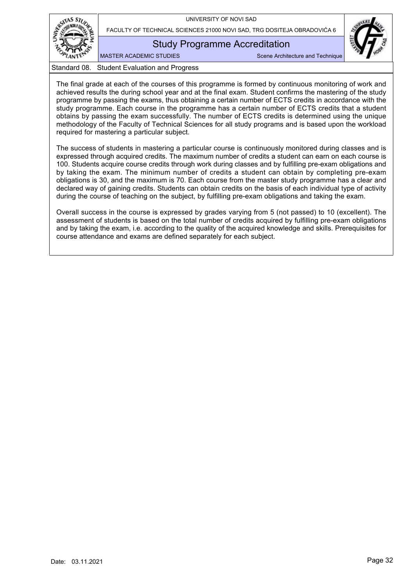

FACULTY OF TECHNICAL SCIENCES 21000 NOVI SAD, TRG DOSITEJA OBRADOVIĆA 6

Study Programme Accreditation

MASTER ACADEMIC STUDIES SCENE Architecture and Technique



<span id="page-33-0"></span>The final grade at each of the courses of this programme is formed by continuous monitoring of work and achieved results the during school year and at the final exam. Student confirms the mastering of the study programme by passing the exams, thus obtaining a certain number of ECTS credits in accordance with the study programme. Each course in the programme has a certain number of ECTS credits that a student obtains by passing the exam successfully. The number of ECTS credits is determined using the unique methodology of the Faculty of Technical Sciences for all study programs and is based upon the workload required for mastering a particular subject.

The success of students in mastering a particular course is continuously monitored during classes and is expressed through acquired credits. The maximum number of credits a student can earn on each course is 100. Students acquire course credits through work during classes and by fulfilling pre-exam obligations and by taking the exam. The minimum number of credits a student can obtain by completing pre-exam obligations is 30, and the maximum is 70. Each course from the master study programme has a clear and declared way of gaining credits. Students can obtain credits on the basis of each individual type of activity during the course of teaching on the subject, by fulfilling pre-exam obligations and taking the exam.

Overall success in the course is expressed by grades varying from 5 (not passed) to 10 (excellent). The assessment of students is based on the total number of credits acquired by fulfilling pre-exam obligations and by taking the exam, i.e. according to the quality of the acquired knowledge and skills. Prerequisites for course attendance and exams are defined separately for each subject.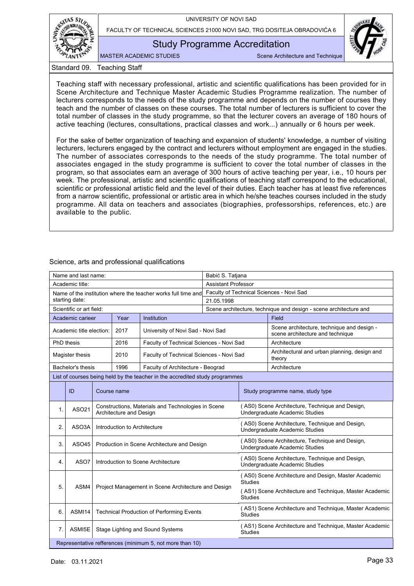

FACULTY OF TECHNICAL SCIENCES 21000 NOVI SAD, TRG DOSITEJA OBRADOVIĆA 6

## Study Programme Accreditation

MASTER ACADEMIC STUDIES SCENE Architecture and Technique

Standard 09. Teaching Staff

<span id="page-34-0"></span>Teaching staff with necessary professional, artistic and scientific qualifications has been provided for in Scene Architecture and Technique Master Academic Studies Programme realization. The number of lecturers corresponds to the needs of the study programme and depends on the number of courses they teach and the number of classes on these courses. The total number of lecturers is sufficient to cover the total number of classes in the study programme, so that the lecturer covers an average of 180 hours of active teaching (lectures, consultations, practical classes and work...) annually or 6 hours per week.

For the sake of better organization of teaching and expansion of students' knowledge, a number of visiting lecturers, lecturers engaged by the contract and lecturers without employment are engaged in the studies. The number of associates corresponds to the needs of the study programme. The total number of associates engaged in the study programme is sufficient to cover the total number of classes in the program, so that associates earn an average of 300 hours of active teaching per year, i.e., 10 hours per week. The professional, artistic and scientific qualifications of teaching staff correspond to the educational, scientific or professional artistic field and the level of their duties. Each teacher has at least five references from a narrow scientific, professional or artistic area in which he/she teaches courses included in the study programme. All data on teachers and associates (biographies, professorships, references, etc.) are available to the public.

<span id="page-34-2"></span><span id="page-34-1"></span>

|                                         | Name and last name:      |  |                              |                                                                              | Babić S. Tatjana                                                                  |                                                                                   |                                                                                   |  |
|-----------------------------------------|--------------------------|--|------------------------------|------------------------------------------------------------------------------|-----------------------------------------------------------------------------------|-----------------------------------------------------------------------------------|-----------------------------------------------------------------------------------|--|
|                                         | Academic title:          |  |                              |                                                                              | <b>Assistant Professor</b>                                                        |                                                                                   |                                                                                   |  |
|                                         |                          |  |                              | Name of the institution where the teacher works full time and                | Faculty of Technical Sciences - Novi Sad                                          |                                                                                   |                                                                                   |  |
|                                         | starting date:           |  |                              |                                                                              | 21.05.1998                                                                        |                                                                                   |                                                                                   |  |
|                                         | Scientific or art field: |  |                              |                                                                              | Scene architecture, technique and design - scene architecture and                 |                                                                                   |                                                                                   |  |
| Institution<br>Academic carieer<br>Year |                          |  |                              |                                                                              | Field                                                                             |                                                                                   |                                                                                   |  |
|                                         | Academic title election: |  | 2017                         | University of Novi Sad - Novi Sad                                            |                                                                                   |                                                                                   | Scene architecture, technique and design -<br>scene architecture and technique    |  |
|                                         | PhD thesis               |  | 2016                         | Faculty of Technical Sciences - Novi Sad                                     |                                                                                   |                                                                                   | Architecture                                                                      |  |
|                                         | Magister thesis          |  | 2010                         | Faculty of Technical Sciences - Novi Sad                                     |                                                                                   |                                                                                   | Architectural and urban planning, design and<br>theory                            |  |
|                                         | Bachelor's thesis        |  | 1996                         | Faculty of Architecture - Beograd                                            |                                                                                   |                                                                                   | Architecture                                                                      |  |
|                                         |                          |  |                              | List of courses being held by the teacher in the accredited study programmes |                                                                                   |                                                                                   |                                                                                   |  |
|                                         |                          |  |                              |                                                                              |                                                                                   |                                                                                   |                                                                                   |  |
|                                         | ID                       |  | Course name                  |                                                                              |                                                                                   | Study programme name, study type                                                  |                                                                                   |  |
| $\mathbf{1}$ .                          | ASO21                    |  | Architecture and Design      | Constructions, Materials and Technologies in Scene                           |                                                                                   |                                                                                   | (AS0) Scene Architecture, Technique and Design,<br>Undergraduate Academic Studies |  |
| 2.                                      | ASO3A                    |  | Introduction to Architecture |                                                                              |                                                                                   | (AS0) Scene Architecture, Technique and Design,<br>Undergraduate Academic Studies |                                                                                   |  |
| 3.                                      | <b>ASO45</b>             |  |                              | Production in Scene Architecture and Design                                  | (AS0) Scene Architecture, Technique and Design,<br>Undergraduate Academic Studies |                                                                                   |                                                                                   |  |
| 4.                                      | ASO7                     |  |                              | Introduction to Scene Architecture                                           |                                                                                   |                                                                                   | (AS0) Scene Architecture, Technique and Design,<br>Undergraduate Academic Studies |  |
| 5.                                      | ASM4                     |  |                              | Project Management in Scene Architecture and Design                          |                                                                                   | <b>Studies</b>                                                                    | (AS0) Scene Architecture and Design, Master Academic                              |  |
|                                         |                          |  |                              |                                                                              |                                                                                   | <b>Studies</b>                                                                    | (AS1) Scene Architecture and Technique, Master Academic                           |  |
| 6.                                      | ASMI14                   |  |                              | <b>Technical Production of Performing Events</b>                             |                                                                                   | Studies                                                                           | (AS1) Scene Architecture and Technique, Master Academic                           |  |
| 7.                                      | ASMI5E                   |  |                              | Stage Lighting and Sound Systems                                             |                                                                                   | <b>Studies</b>                                                                    | (AS1) Scene Architecture and Technique, Master Academic                           |  |
|                                         |                          |  |                              | Representative refferences (minimum 5, not more than 10)                     |                                                                                   |                                                                                   |                                                                                   |  |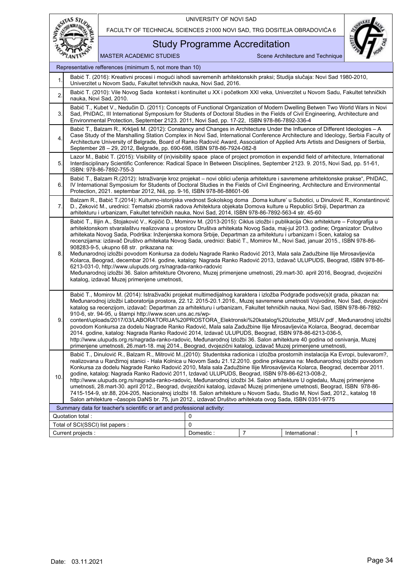RESITAS STUDIO

FACULTY OF TECHNICAL SCIENCES 21000 NOVI SAD, TRG DOSITEJA OBRADOVIĆA 6

MASTER ACADEMIC STUDIES Scene Architecture and Technique



## Study Programme Accreditation

0  $\Omega$ Current projects : The content of the content of the content of the content of the content of the content of the content of the content of the content of the content of the content of the content of the content of the cont Total of SCI(SSCI) list papers : Quotation total : International : Summary data for teacher's scientific or art and professional activity: Representative refferences (minimum 5, not more than 10) Babić T. (2016): Kreativni procesi i mogući ishodi savremenih arhitektonskih praksi; Studija slučaja: Novi Sad 1980-2010, Univerzitet u Novom Sadu, Fakultet tehničkih nauka, Novi Sad, 2016. 2. Babić T. (2010): Vile Novog Sada kontekst i kontinuitet u XX i početkom XXI veka, Univerzitet u Novom Sadu, Fakultet tehničkih nauka, Novi Sad, 2010. 3. Babić T., Kubet V., Nedučin D. (2011): Concepts of Functional Organization of Modern Dwelling Betwen Two World Wars in Novi Sad, PhIDAC, III International Symposium for Students of Doctoral Studies in the Fields of Civil Engineering, Architecture and Environmental Protection, September 2123. 2011, Novi Sad, pp. 17-22, ISBN 978-86-7892-336-4 4. Babić T., Balzam R., Krklješ M. (2012): Constancy and Changes in Architecture Under the Influence of Different Ideologies – A Case Study of the Marshalling Station Complex in Novi Sad, International Conference Architecture and Ideology, Serbia Faculty of Architecture University of Belgrade, Board of Ranko Radović Award, Association of Applied Arts Artists and Designers of Serbia, September 28 – 29, 2012, Belgrade, pp. 690-698, ISBN 978-86-7924-082-8 5. Lazor M., Babić T. (2015): Visibility of (in)visibility space place of project promotion in expendid field of arhitecture, International Interdisciplinary Scientific Conference: Radical Space In Between Disciplines, September 2123. 9. 2015, Novi Sad, pp. 51-61, ISBN: 978-86-7892-755-3 6. Babić T., Balzam R.(2012): Istraživanje kroz projekat – novi oblici učenja arhitekture i savremene arhitektonske prakse", PhIDAC, IV International Symposium for Students of Doctoral Studies in the Fields of Civil Engineering, Architecture and Environmental Protection, 2021. septembar 2012, Niš, pp. 9-16, ISBN 978-86-88601-06 7. Balzam R., Babić T.(2014): Kulturno-istorijska vrednost Sokolskog doma 'Doma kulture' u Subotici, u Dinulović R., Konstantinović D., Zeković M., urednici: Tematski zbornik radova Arhitektura objekata Domova kulture u Republici Srbiji, Departman za arhitekturu i urbanizam, Fakultet tehničkih nauka, Novi Sad, 2014, ISBN 978-86-7892-563-4 str. 45-60 8. Babić T., Ilijin A., Stojaković V., Kojičić D., Momirov M. (2013-2015): Ciklus izložbi i publikacija Oko arhitekture – Fotografija u arhitektonskom stvaralaštvu realizovana u prostoru Društva arhitekata Novog Sada, maj-jul 2013. godine; Organizator: Društvo arhitekata Novog Sada, Podrška: Inženjerska komora Srbije, Departman za arhitekturu i urbanizam i Scen, katalog sa recenzijama: izdavač Društvo arhitekata Novog Sada, urednici: Babić T., Momirov M., Novi Sad, januar 2015., ISBN 978-86- 908283-9-5, ukupno 68 str. prikazana na: Međunarodnoj izložbi povodom Konkursa za dodelu Nagrade Ranko Radović 2013, Mala sala Zadužbine Ilije Mirosavljevića Kolarca, Beograd, decembar 2014. godine, katalog: Nagrada Ranko Radović 2013, Izdavač ULUPUDS, Beograd, ISBN 978-86- 6213-031-0, http://www.ulupuds.org.rs/nagrada-ranko-radovic Međunarodnoj izložbi 36. Salon arhitekture Otvoreno, Muzej primenjene umetnosti, 29.mart-30. april 2016, Beograd, dvojezični katalog, izdavač Muzej primenjene umetnosti, 9. Babić T., Momirov M. (2014): Istraživački projekat multimedijalnog karaktera i izložba Podgrađe podsve(s)t grada, pikazan na: Međunarodnoj izložbi Laboratorija prostora, 22.12. 2015-20.1.2016., Muzej savremene umetnosti Vojvodine, Novi Sad, dvojezični katalog sa recenzijom, izdavač: Departman za arhitekturu i urbanizam, Fakultet tehničkih nauka, Novi Sad, ISBN 978-86-7892- 910-6, str. 94-95, u štampi http://www.scen.uns.ac.rs/wpcontent/uploads/2017/03/LABORATORIJA%20PROSTORA\_Elektronski%20katalog%20izlozbe\_MSUV.pdf , Međunarodnoj izložbi povodom Konkursa za dodelu Nagrade Ranko Radović, Mala sala Zadužbine Ilije Mirosavljevića Kolarca, Beograd, decembar 2014. godine, katalog: Nagrada Ranko Radović 2014, Izdavač ULUPUDS, Beograd, ISBN 978-86-6213-036-5, http://www.ulupuds.org.rs/nagrada-ranko-radovic, Međunarodnoj Izložbi 36. Salon arhitekture 40 godina od osnivanja, Muzej primenjene umetnosti, 26.mart-18. maj 2014., Beograd, dvojezični katalog, izdavač Muzej primenjene umetnosti, 10. Babić T., Dinulović R., Balzam R., Mitrović M.,(2010): Studentska radionica i izložba prostornih instalacija Ka Evropi, bulevarom?, realizovana u Ranžirnoj stanici - Hala Kolnica u Novom Sadu 21.12.2010. godine prikazana na: Međunarodnoj izložbi povodom Konkursa za dodelu Nagrade Ranko Radović 2010, Mala sala Zadužbine Ilije Mirosavljevića Kolarca, Beograd, decembar 2011. godine, katalog: Nagrada Ranko Radović 2011, Izdavač ULUPUDS, Beograd, ISBN 978-86-6213-008-2, http://www.ulupuds.org.rs/nagrada-ranko-radovic, Međunarodnoj izložbi 34. Salon arhitekture U ogledalu, Muzej primenjene umetnosti, 28.mart-30. april 2012., Beograd, dvojezični katalog, izdavač Muzej primenjene umetnosti, Beograd, ISBN 978-86- 7415-154-9, str.88, 204-205, Nacionalnoj izložbi 18. Salon arhitekture u Novom Sadu, Studio M, Novi Sad, 2012., katalog 18 Salon arhitekture –časopis DaNS br. 75, jun 2012., izdavač Društvo arhitekata ovog Sada, ISBN 0351-9775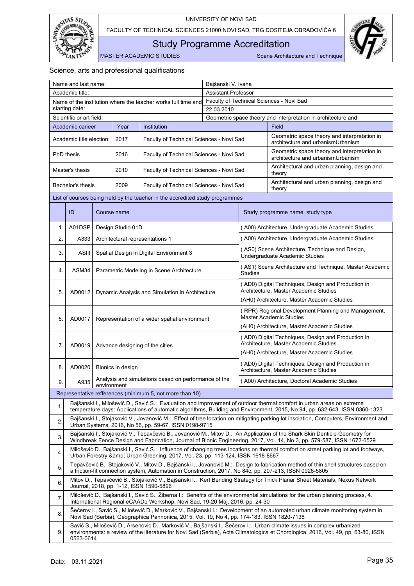

<span id="page-36-0"></span>Study Programme Accreditation

MASTER ACADEMIC STUDIES Scene Architecture and Technique

|    | Name and last name:      |                                                 |                   |                                                                                                         | Bajšanski V. Ivana |                                                                                                                                            |                                                                                                                                                                                                                                                             |  |  |
|----|--------------------------|-------------------------------------------------|-------------------|---------------------------------------------------------------------------------------------------------|--------------------|--------------------------------------------------------------------------------------------------------------------------------------------|-------------------------------------------------------------------------------------------------------------------------------------------------------------------------------------------------------------------------------------------------------------|--|--|
|    | Academic title:          |                                                 |                   |                                                                                                         |                    | <b>Assistant Professor</b>                                                                                                                 |                                                                                                                                                                                                                                                             |  |  |
|    |                          |                                                 |                   | Name of the institution where the teacher works full time and                                           |                    |                                                                                                                                            | Faculty of Technical Sciences - Novi Sad                                                                                                                                                                                                                    |  |  |
|    | starting date:           |                                                 |                   |                                                                                                         | 22.03.2010         |                                                                                                                                            |                                                                                                                                                                                                                                                             |  |  |
|    | Scientific or art field: |                                                 |                   |                                                                                                         |                    |                                                                                                                                            | Geometric space theory and interpretation in architecture and                                                                                                                                                                                               |  |  |
|    | Academic carieer         |                                                 | Year              | Institution                                                                                             |                    |                                                                                                                                            | Field                                                                                                                                                                                                                                                       |  |  |
|    | Academic title election: |                                                 | 2017              | Faculty of Technical Sciences - Novi Sad                                                                |                    |                                                                                                                                            | Geometric space theory and interpretation in<br>architecture and urbanismUrbanism                                                                                                                                                                           |  |  |
|    | <b>PhD</b> thesis        |                                                 | 2016              | Faculty of Technical Sciences - Novi Sad                                                                |                    |                                                                                                                                            | Geometric space theory and interpretation in<br>architecture and urbanismUrbanism                                                                                                                                                                           |  |  |
|    | Master's thesis          |                                                 | 2010              | Faculty of Technical Sciences - Novi Sad                                                                |                    |                                                                                                                                            | Architectural and urban planning, design and<br>theory                                                                                                                                                                                                      |  |  |
|    | Bachelor's thesis        |                                                 | 2009              | Faculty of Technical Sciences - Novi Sad                                                                |                    |                                                                                                                                            | Architectural and urban planning, design and<br>theory                                                                                                                                                                                                      |  |  |
|    |                          |                                                 |                   | List of courses being held by the teacher in the accredited study programmes                            |                    |                                                                                                                                            |                                                                                                                                                                                                                                                             |  |  |
|    | ID                       |                                                 | Course name       |                                                                                                         |                    |                                                                                                                                            | Study programme name, study type                                                                                                                                                                                                                            |  |  |
| 1. | A01DSP                   |                                                 | Design Studio 01D |                                                                                                         |                    |                                                                                                                                            | (A00) Architecture, Undergraduate Academic Studies                                                                                                                                                                                                          |  |  |
| 2. | A333                     |                                                 |                   | Architectural representations 1                                                                         |                    |                                                                                                                                            | (A00) Architecture, Undergraduate Academic Studies                                                                                                                                                                                                          |  |  |
| 3. | ASIII                    |                                                 |                   | Spatial Design in Digital Environment 3                                                                 |                    |                                                                                                                                            | (AS0) Scene Architecture, Technique and Design,<br>Undergraduate Academic Studies                                                                                                                                                                           |  |  |
| 4. | ASM34                    |                                                 |                   | Parametric Modeling in Scene Architecture                                                               |                    | <b>Studies</b>                                                                                                                             | (AS1) Scene Architecture and Technique, Master Academic                                                                                                                                                                                                     |  |  |
| 5. | AD0012                   | Dynamic Analysis and Simulation in Architecture |                   |                                                                                                         |                    | (AD0) Digital Techniques, Design and Production in<br>Architecture, Master Academic Studies<br>(AH0) Architecture, Master Academic Studies |                                                                                                                                                                                                                                                             |  |  |
|    |                          |                                                 |                   |                                                                                                         |                    |                                                                                                                                            |                                                                                                                                                                                                                                                             |  |  |
| 6. | AD0017                   | Representation of a wider spatial environment   |                   |                                                                                                         |                    |                                                                                                                                            | (RPR) Regional Development Planning and Management,<br><b>Master Academic Studies</b>                                                                                                                                                                       |  |  |
|    |                          |                                                 |                   |                                                                                                         |                    |                                                                                                                                            | (AH0) Architecture, Master Academic Studies<br>(AD0) Digital Techniques, Design and Production in                                                                                                                                                           |  |  |
| 7. | AD0019                   |                                                 |                   | Advance designing of the cities                                                                         |                    | Architecture, Master Academic Studies<br>(AH0) Architecture, Master Academic Studies                                                       |                                                                                                                                                                                                                                                             |  |  |
|    |                          |                                                 |                   |                                                                                                         |                    |                                                                                                                                            |                                                                                                                                                                                                                                                             |  |  |
| 8. | AD0020                   |                                                 | Bionics in design |                                                                                                         |                    | (AD0) Digital Techniques, Design and Production in<br>Architecture, Master Academic Studies                                                |                                                                                                                                                                                                                                                             |  |  |
| 9. | A935                     | environment                                     |                   | Analysis and simulations based on performance of the                                                    |                    | (A00) Architecture, Doctoral Academic Studies                                                                                              |                                                                                                                                                                                                                                                             |  |  |
|    |                          |                                                 |                   | Representative refferences (minimum 5, not more than 10)                                                |                    |                                                                                                                                            |                                                                                                                                                                                                                                                             |  |  |
| 1. |                          |                                                 |                   |                                                                                                         |                    |                                                                                                                                            | Bajšanski I., Milošević D., Savić S.: Evaluation and improvement of outdoor thermal comfort in urban areas on extreme<br>temperature days: Applications of automatic algorithms, Building and Environment, 2015, No 94, pp. 632-643, ISSN 0360-1323         |  |  |
| 2. |                          |                                                 |                   | Urban Systems, 2016, No 56, pp. 59-67, ISSN 0198-9715                                                   |                    |                                                                                                                                            | Bajšanski I., Stojaković V., Jovanović M.: Effect of tree location on mitigating parking lot insolation, Computers, Environment and                                                                                                                         |  |  |
| 3. |                          |                                                 |                   |                                                                                                         |                    |                                                                                                                                            | Bajšanski I., Stojaković V., Tepavčević B., Jovanović M., Mitov D.: An Application of the Shark Skin Denticle Geometry for<br>Windbreak Fence Design and Fabrication, Journal of Bionic Engineering, 2017, Vol. 14, No 3, pp. 579-587, ISSN 1672-6529       |  |  |
| 4. |                          |                                                 |                   | Urban Forestry & Urban Greening, 2017, Vol. 23, pp. 113-124, ISSN 1618-8667                             |                    |                                                                                                                                            | Milošević D., Bajšanski I., Savić S.: Influence of changing trees locations on thermal comfort on street parking lot and footways,                                                                                                                          |  |  |
| 5. |                          |                                                 |                   | a friction-fit connection system, Automation in Construction, 2017, No 84c, pp. 207-213, ISSN 0926-5805 |                    |                                                                                                                                            | Tepavčević B., Stojaković V., Mitov D., Bajšanski I., Jovanović M.: Design to fabrication method of thin shell structures based on                                                                                                                          |  |  |
| 6. |                          |                                                 |                   | Journal, 2018, pp. 1-12, ISSN 1590-5896                                                                 |                    |                                                                                                                                            | Mitov D., Tepavčević B., Stojaković V., Bajšanski I.: Kerf Bending Strategy for Thick Planar Sheet Materials, Nexus Network                                                                                                                                 |  |  |
| 7. |                          |                                                 |                   | International Regional eCAADe Workshop, Novi Sad, 19-20 Maj, 2016, pp. 24-30                            |                    |                                                                                                                                            | Milošević D., Bajšanski I., Savić S., Žiberna I.: Benefits of the environmental simulations for the urban planning process, 4.                                                                                                                              |  |  |
| 8. |                          |                                                 |                   | Novi Sad (Serbia), Geographica Pannonica, 2015, Vol. 19, No 4, pp. 174-183, ISSN 1820-7138              |                    |                                                                                                                                            | Šećerov I., Savić S., Milošević D., Marković V., Bajšanski I.: Development of an automated urban climate monitoring system in                                                                                                                               |  |  |
| 9. | 0563-0614                |                                                 |                   |                                                                                                         |                    |                                                                                                                                            | Savić S., Milošević D., Arsenović D., Marković V., Bajšanski I., Šećerov I.: Urban climate issues in complex urbanized<br>environments: a review of the literature for Novi Sad (Serbia), Acta Climatologica et Chorologica, 2016, Vol. 49, pp. 63-80, ISSN |  |  |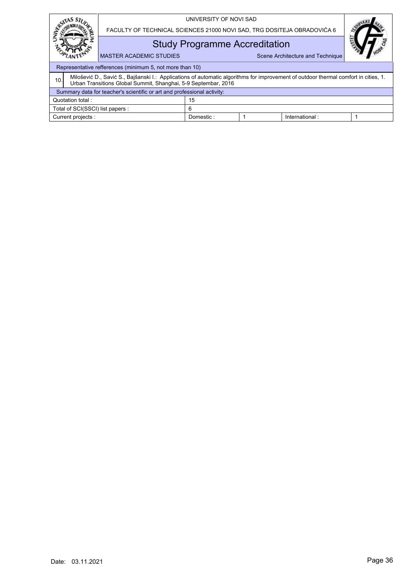|                  |                                  |                                                                                                                                                                                                       | UNIVERSITY OF NOVI SAD |                                  |                |  |  |
|------------------|----------------------------------|-------------------------------------------------------------------------------------------------------------------------------------------------------------------------------------------------------|------------------------|----------------------------------|----------------|--|--|
|                  |                                  | FACULTY OF TECHNICAL SCIENCES 21000 NOVI SAD, TRG DOSITEJA OBRADOVIĆA 6                                                                                                                               |                        |                                  |                |  |  |
|                  |                                  | <b>Study Programme Accreditation</b>                                                                                                                                                                  |                        |                                  |                |  |  |
|                  |                                  | <b>MASTER ACADEMIC STUDIES</b>                                                                                                                                                                        |                        | Scene Architecture and Technique |                |  |  |
|                  |                                  | Representative refferences (minimum 5, not more than 10)                                                                                                                                              |                        |                                  |                |  |  |
| 10.              |                                  | Milošević D., Savić S., Bajšanski I.: Applications of automatic algorithms for improvement of outdoor thermal comfort in cities, 1.<br>Urban Transitions Global Summit, Shanghai, 5-9 Septembar, 2016 |                        |                                  |                |  |  |
|                  |                                  | Summary data for teacher's scientific or art and professional activity:                                                                                                                               |                        |                                  |                |  |  |
| Quotation total: |                                  |                                                                                                                                                                                                       | 15                     |                                  |                |  |  |
|                  | Total of SCI(SSCI) list papers : |                                                                                                                                                                                                       | 6                      |                                  |                |  |  |
|                  | Current projects :               |                                                                                                                                                                                                       | Domestic:              |                                  | International: |  |  |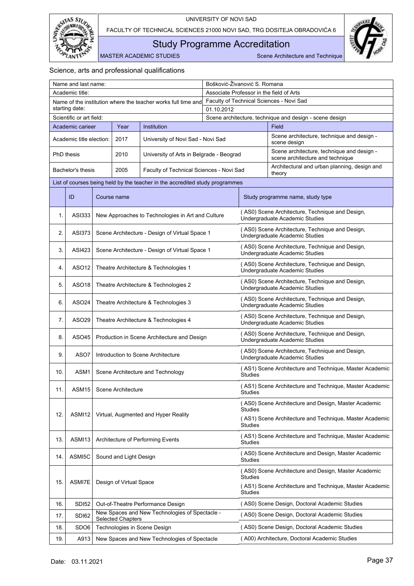



<span id="page-38-0"></span>Study Programme Accreditation

MASTER ACADEMIC STUDIES Scene Architecture and Technique

| Name and last name: |                          |                                       |                            | Bošković-Živanović S. Romana                                                 |                                          |                |                                                                                   |  |
|---------------------|--------------------------|---------------------------------------|----------------------------|------------------------------------------------------------------------------|------------------------------------------|----------------|-----------------------------------------------------------------------------------|--|
|                     | Academic title:          |                                       |                            |                                                                              | Associate Professor in the field of Arts |                |                                                                                   |  |
|                     |                          |                                       |                            | Name of the institution where the teacher works full time and                |                                          |                | Faculty of Technical Sciences - Novi Sad                                          |  |
|                     | starting date:           |                                       |                            |                                                                              | 01.10.2012                               |                |                                                                                   |  |
|                     | Scientific or art field: |                                       |                            |                                                                              |                                          |                | Scene architecture, technique and design - scene design                           |  |
|                     | Academic carieer         |                                       | Year                       | Institution                                                                  |                                          |                | Field                                                                             |  |
|                     | Academic title election: |                                       | 2017                       | University of Novi Sad - Novi Sad                                            |                                          |                | Scene architecture, technique and design -<br>scene design                        |  |
|                     | <b>PhD</b> thesis        |                                       | 2010                       | University of Arts in Belgrade - Beograd                                     |                                          |                | Scene architecture, technique and design -<br>scene architecture and technique    |  |
|                     | Bachelor's thesis        |                                       | 2005                       | Faculty of Technical Sciences - Novi Sad                                     |                                          |                | Architectural and urban planning, design and<br>theory                            |  |
|                     |                          |                                       |                            | List of courses being held by the teacher in the accredited study programmes |                                          |                |                                                                                   |  |
|                     | ID                       |                                       | Course name                |                                                                              |                                          |                | Study programme name, study type                                                  |  |
| 1.                  | ASI333                   |                                       |                            | New Approaches to Technologies in Art and Culture                            |                                          |                | (AS0) Scene Architecture, Technique and Design,<br>Undergraduate Academic Studies |  |
| 2.                  | <b>ASI373</b>            |                                       |                            | Scene Architecture - Design of Virtual Space 1                               |                                          |                | (AS0) Scene Architecture, Technique and Design,<br>Undergraduate Academic Studies |  |
| 3.                  | ASI423                   |                                       |                            | Scene Architecture - Design of Virtual Space 1                               |                                          |                | (AS0) Scene Architecture, Technique and Design,<br>Undergraduate Academic Studies |  |
| 4.                  | ASO12                    |                                       |                            | Theatre Architecture & Technologies 1                                        |                                          |                | (AS0) Scene Architecture, Technique and Design,<br>Undergraduate Academic Studies |  |
| 5.                  | ASO <sub>18</sub>        | Theatre Architecture & Technologies 2 |                            |                                                                              |                                          |                | (AS0) Scene Architecture, Technique and Design,<br>Undergraduate Academic Studies |  |
| 6.                  | ASO <sub>24</sub>        | Theatre Architecture & Technologies 3 |                            |                                                                              |                                          |                | (AS0) Scene Architecture, Technique and Design,<br>Undergraduate Academic Studies |  |
| 7.                  | ASO29                    | Theatre Architecture & Technologies 4 |                            |                                                                              |                                          |                | (AS0) Scene Architecture, Technique and Design,<br>Undergraduate Academic Studies |  |
| 8.                  | ASO45                    |                                       |                            | Production in Scene Architecture and Design                                  |                                          |                | (AS0) Scene Architecture, Technique and Design,<br>Undergraduate Academic Studies |  |
| 9.                  | ASO7                     |                                       |                            | Introduction to Scene Architecture                                           |                                          |                | (AS0) Scene Architecture, Technique and Design,<br>Undergraduate Academic Studies |  |
| 10.                 | ASM1                     |                                       |                            | Scene Architecture and Technology                                            |                                          | Studies        | (AS1) Scene Architecture and Technique, Master Academic                           |  |
| 11.                 |                          |                                       | ASM15   Scene Architecture |                                                                              |                                          | Studies        | (AS1) Scene Architecture and Technique, Master Academic                           |  |
|                     |                          |                                       |                            |                                                                              |                                          | Studies        | (AS0) Scene Architecture and Design, Master Academic                              |  |
| 12.                 | ASMI12                   |                                       |                            | Virtual, Augmented and Hyper Reality                                         |                                          | Studies        | (AS1) Scene Architecture and Technique, Master Academic                           |  |
| 13.                 | ASMI13                   |                                       |                            | Architecture of Performing Events                                            |                                          | <b>Studies</b> | (AS1) Scene Architecture and Technique, Master Academic                           |  |
| 14.                 | ASMI5C                   |                                       | Sound and Light Design     |                                                                              |                                          | <b>Studies</b> | (AS0) Scene Architecture and Design, Master Academic                              |  |
|                     |                          |                                       |                            |                                                                              |                                          | <b>Studies</b> | (AS0) Scene Architecture and Design, Master Academic                              |  |
| 15.                 | ASMI7E                   | Design of Virtual Space               |                            |                                                                              |                                          | <b>Studies</b> | (AS1) Scene Architecture and Technique, Master Academic                           |  |
| 16.                 | <b>SDI52</b>             |                                       |                            | Out-of-Theatre Performance Design                                            |                                          |                | (AS0) Scene Design, Doctoral Academic Studies                                     |  |
| 17.                 | SDI62                    |                                       | <b>Selected Chapters</b>   | New Spaces and New Technologies of Spectacle -                               |                                          |                | (AS0) Scene Design, Doctoral Academic Studies                                     |  |
| 18.                 | SD <sub>O6</sub>         |                                       |                            | Technologies in Scene Design                                                 |                                          |                | (AS0) Scene Design, Doctoral Academic Studies                                     |  |
| 19.                 | A913                     |                                       |                            | New Spaces and New Technologies of Spectacle                                 |                                          |                | (A00) Architecture, Doctoral Academic Studies                                     |  |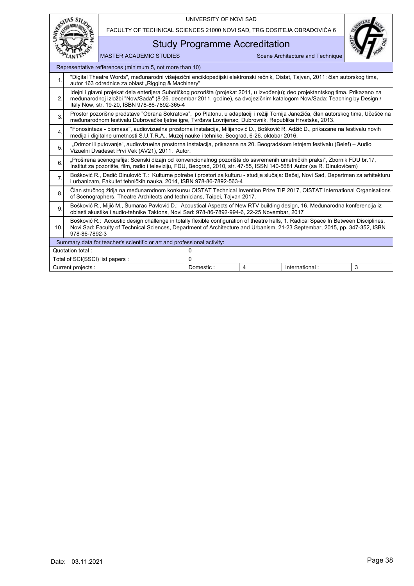|                  | <b>STAS STI</b>                                                                                                                                                                                                                                                                                              |                                                                                                                                                                                                                                                       | UNIVERSITY OF NOVI SAD               |                |                                  |   |  |  |  |
|------------------|--------------------------------------------------------------------------------------------------------------------------------------------------------------------------------------------------------------------------------------------------------------------------------------------------------------|-------------------------------------------------------------------------------------------------------------------------------------------------------------------------------------------------------------------------------------------------------|--------------------------------------|----------------|----------------------------------|---|--|--|--|
|                  |                                                                                                                                                                                                                                                                                                              | FACULTY OF TECHNICAL SCIENCES 21000 NOVI SAD, TRG DOSITEJA OBRADOVIĆA 6                                                                                                                                                                               |                                      |                |                                  |   |  |  |  |
|                  |                                                                                                                                                                                                                                                                                                              |                                                                                                                                                                                                                                                       | <b>Study Programme Accreditation</b> |                |                                  |   |  |  |  |
|                  |                                                                                                                                                                                                                                                                                                              | <b>MASTER ACADEMIC STUDIES</b>                                                                                                                                                                                                                        |                                      |                | Scene Architecture and Technique |   |  |  |  |
|                  |                                                                                                                                                                                                                                                                                                              | Representative refferences (minimum 5, not more than 10)                                                                                                                                                                                              |                                      |                |                                  |   |  |  |  |
| 1.               |                                                                                                                                                                                                                                                                                                              | "Digital Theatre Words", međunarodni višejezični enciklopedijski elektronski rečnik, Oistat, Tajvan, 2011; član autorskog tima,<br>autor 163 odrednice za oblast "Rigging & Machinery"                                                                |                                      |                |                                  |   |  |  |  |
| 2.               | Idejni i glavni projekat dela enterijera Subotičkog pozorišta (projekat 2011, u izvođenju); deo projektantskog tima. Prikazano na<br>međunarodnoj izložbi "Now/Sada" (8-26. decembar 2011. godine), sa dvojezičnim katalogom Now/Sada: Teaching by Design /<br>Italy Now, str. 19-20, ISBN 978-86-7892-365-4 |                                                                                                                                                                                                                                                       |                                      |                |                                  |   |  |  |  |
| 3.               |                                                                                                                                                                                                                                                                                                              | Prostor pozorišne predstave "Obrana Sokratova", po Platonu, u adaptaciji i režiji Tomija Janežiča, član autorskog tima, Učešće na<br>međunarodnom festivalu Dubrovačke ljetne igre, Tvrđava Lovrijenac, Dubrovnik, Republika Hrvatska, 2013.          |                                      |                |                                  |   |  |  |  |
| 4.               |                                                                                                                                                                                                                                                                                                              | "Fonosinteza - biomasa", audiovizuelna prostorna instalacija, Milijanović D., Bošković R, Adžić D., prikazane na festivalu novih<br>medija i digitalne umetnosti S.U.T.R.A., Muzej nauke i tehnike, Beograd, 6-26. oktobar 2016.                      |                                      |                |                                  |   |  |  |  |
| 5.               |                                                                                                                                                                                                                                                                                                              | "Odmor ili putovanje", audiovizuelna prostorna instalacija, prikazana na 20. Beogradskom letnjem festivalu (Belef) – Audio<br>Vizuelni Dvadeset Prvi Vek (AV21), 2011. Autor.                                                                         |                                      |                |                                  |   |  |  |  |
| 6.               |                                                                                                                                                                                                                                                                                                              | "Proširena scenografija: Scenski dizajn od konvencionalnog pozorišta do savremenih umetničkih praksi", Zbornik FDU br.17,<br>Institut za pozorište, film, radio i televiziju, FDU, Beograd, 2010, str. 47-55, ISSN 140-5681 Autor (sa R. Dinulovićem) |                                      |                |                                  |   |  |  |  |
| $\overline{7}$ . |                                                                                                                                                                                                                                                                                                              | Bošković R., Dadić Dinulović T.: Kulturne potrebe i prostori za kulturu - studija slučaja: Bečej, Novi Sad, Departman za arhitekturu<br>i urbanizam, Fakultet tehničkih nauka, 2014, ISBN 978-86-7892-563-4                                           |                                      |                |                                  |   |  |  |  |
| 8.               |                                                                                                                                                                                                                                                                                                              | Član stručnog žirija na međunarodnom konkursu OISTAT Technical Invention Prize TIP 2017, OISTAT International Organisations<br>of Scenographers. Theatre Architects and technicians. Taipei, Taivan 2017.                                             |                                      |                |                                  |   |  |  |  |
| 9.               |                                                                                                                                                                                                                                                                                                              | Bošković R., Mijić M., Šumarac Pavlović D.: Acoustical Aspects of New RTV building design, 16. Međunarodna konferencija iz<br>oblasti akustike i audio-tehnike Taktons, Novi Sad: 978-86-7892-994-6, 22-25 Novembar, 2017                             |                                      |                |                                  |   |  |  |  |
| 10.              | Bošković R.: Acoustic design challenge in totally flexible configuration of theatre halls, 1. Radical Space In Between Disciplines,<br>Novi Sad: Faculty of Technical Sciences, Department of Architecture and Urbanism, 21-23 Septembar, 2015, pp. 347-352, ISBN<br>978-86-7892-3                           |                                                                                                                                                                                                                                                       |                                      |                |                                  |   |  |  |  |
|                  |                                                                                                                                                                                                                                                                                                              | Summary data for teacher's scientific or art and professional activity:                                                                                                                                                                               |                                      |                |                                  |   |  |  |  |
|                  | Quotation total:                                                                                                                                                                                                                                                                                             |                                                                                                                                                                                                                                                       | $\Omega$                             |                |                                  |   |  |  |  |
|                  | Total of SCI(SSCI) list papers :                                                                                                                                                                                                                                                                             |                                                                                                                                                                                                                                                       | $\Omega$                             |                |                                  |   |  |  |  |
|                  | Current projects :                                                                                                                                                                                                                                                                                           |                                                                                                                                                                                                                                                       | Domestic:                            | $\overline{4}$ | International:                   | 3 |  |  |  |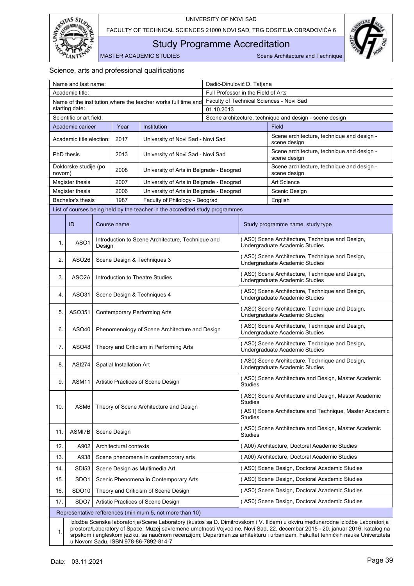

<span id="page-40-0"></span>Study Programme Accreditation

MASTER ACADEMIC STUDIES Scene Architecture and Technique

|                                                                                                    | Name and last name:                                                                                                                                                                                                                                                                                                                                                                                                                       |                                                           |                          |                                                                              |                                     | Dadić-Dinulović D. Tatjana                                                        |                                                                                   |  |  |
|----------------------------------------------------------------------------------------------------|-------------------------------------------------------------------------------------------------------------------------------------------------------------------------------------------------------------------------------------------------------------------------------------------------------------------------------------------------------------------------------------------------------------------------------------------|-----------------------------------------------------------|--------------------------|------------------------------------------------------------------------------|-------------------------------------|-----------------------------------------------------------------------------------|-----------------------------------------------------------------------------------|--|--|
|                                                                                                    | Academic title:                                                                                                                                                                                                                                                                                                                                                                                                                           |                                                           |                          |                                                                              | Full Professor in the Field of Arts |                                                                                   |                                                                                   |  |  |
|                                                                                                    |                                                                                                                                                                                                                                                                                                                                                                                                                                           |                                                           |                          | Name of the institution where the teacher works full time and                |                                     |                                                                                   | Faculty of Technical Sciences - Novi Sad                                          |  |  |
|                                                                                                    | starting date:                                                                                                                                                                                                                                                                                                                                                                                                                            |                                                           |                          |                                                                              | 01.10.2013                          |                                                                                   |                                                                                   |  |  |
|                                                                                                    | Scientific or art field:                                                                                                                                                                                                                                                                                                                                                                                                                  |                                                           |                          |                                                                              |                                     |                                                                                   | Scene architecture, technique and design - scene design                           |  |  |
|                                                                                                    | Academic carieer                                                                                                                                                                                                                                                                                                                                                                                                                          |                                                           | Year                     | Institution                                                                  |                                     |                                                                                   | Field                                                                             |  |  |
|                                                                                                    | Academic title election:                                                                                                                                                                                                                                                                                                                                                                                                                  |                                                           | 2017                     | University of Novi Sad - Novi Sad                                            |                                     |                                                                                   | Scene architecture, technique and design -<br>scene design                        |  |  |
|                                                                                                    | <b>PhD</b> thesis                                                                                                                                                                                                                                                                                                                                                                                                                         |                                                           | 2013                     | University of Novi Sad - Novi Sad                                            |                                     |                                                                                   | Scene architecture, technique and design -<br>scene design                        |  |  |
| novom)                                                                                             | Doktorske studije (po                                                                                                                                                                                                                                                                                                                                                                                                                     |                                                           | 2008                     | University of Arts in Belgrade - Beograd                                     |                                     |                                                                                   | Scene architecture, technique and design -<br>scene design                        |  |  |
|                                                                                                    | Magister thesis                                                                                                                                                                                                                                                                                                                                                                                                                           |                                                           | 2007                     | University of Arts in Belgrade - Beograd                                     |                                     |                                                                                   | <b>Art Science</b>                                                                |  |  |
|                                                                                                    | Magister thesis                                                                                                                                                                                                                                                                                                                                                                                                                           |                                                           | 2006                     | University of Arts in Belgrade - Beograd                                     |                                     |                                                                                   | Scenic Design                                                                     |  |  |
|                                                                                                    | Bachelor's thesis                                                                                                                                                                                                                                                                                                                                                                                                                         |                                                           | 1987                     | Faculty of Philology - Beograd                                               |                                     |                                                                                   | English                                                                           |  |  |
|                                                                                                    |                                                                                                                                                                                                                                                                                                                                                                                                                                           |                                                           |                          | List of courses being held by the teacher in the accredited study programmes |                                     |                                                                                   |                                                                                   |  |  |
|                                                                                                    | ID                                                                                                                                                                                                                                                                                                                                                                                                                                        |                                                           | Course name              |                                                                              |                                     |                                                                                   | Study programme name, study type                                                  |  |  |
| 1.                                                                                                 | ASO1                                                                                                                                                                                                                                                                                                                                                                                                                                      | Design                                                    |                          | Introduction to Scene Architecture, Technique and                            |                                     |                                                                                   | (AS0) Scene Architecture, Technique and Design,<br>Undergraduate Academic Studies |  |  |
| 2.                                                                                                 | ASO <sub>26</sub>                                                                                                                                                                                                                                                                                                                                                                                                                         |                                                           |                          | Scene Design & Techniques 3                                                  |                                     |                                                                                   | (AS0) Scene Architecture, Technique and Design,<br>Undergraduate Academic Studies |  |  |
| 3.                                                                                                 | ASO2A                                                                                                                                                                                                                                                                                                                                                                                                                                     |                                                           |                          | Introduction to Theatre Studies                                              |                                     |                                                                                   | (AS0) Scene Architecture, Technique and Design,<br>Undergraduate Academic Studies |  |  |
| 4.                                                                                                 | ASO31                                                                                                                                                                                                                                                                                                                                                                                                                                     | Scene Design & Techniques 4                               |                          |                                                                              |                                     |                                                                                   | (AS0) Scene Architecture, Technique and Design,<br>Undergraduate Academic Studies |  |  |
| 5.                                                                                                 | ASO351                                                                                                                                                                                                                                                                                                                                                                                                                                    | Contemporary Performing Arts                              |                          |                                                                              |                                     |                                                                                   | (AS0) Scene Architecture, Technique and Design,<br>Undergraduate Academic Studies |  |  |
| 6.                                                                                                 | ASO40                                                                                                                                                                                                                                                                                                                                                                                                                                     |                                                           |                          | Phenomenology of Scene Architecture and Design                               |                                     |                                                                                   | (AS0) Scene Architecture, Technique and Design,<br>Undergraduate Academic Studies |  |  |
| 7.                                                                                                 | ASO48                                                                                                                                                                                                                                                                                                                                                                                                                                     |                                                           |                          | Theory and Criticism in Performing Arts                                      |                                     |                                                                                   | (AS0) Scene Architecture, Technique and Design,<br>Undergraduate Academic Studies |  |  |
| 8.                                                                                                 | <b>ASI274</b>                                                                                                                                                                                                                                                                                                                                                                                                                             |                                                           | Spatial Installation Art |                                                                              |                                     | (AS0) Scene Architecture, Technique and Design,<br>Undergraduate Academic Studies |                                                                                   |  |  |
| 9.                                                                                                 | ASM11                                                                                                                                                                                                                                                                                                                                                                                                                                     |                                                           |                          | Artistic Practices of Scene Design                                           |                                     | (AS0) Scene Architecture and Design, Master Academic<br><b>Studies</b>            |                                                                                   |  |  |
|                                                                                                    |                                                                                                                                                                                                                                                                                                                                                                                                                                           |                                                           |                          |                                                                              |                                     | <b>Studies</b>                                                                    | (AS0) Scene Architecture and Design, Master Academic                              |  |  |
| 10.                                                                                                | ASM6                                                                                                                                                                                                                                                                                                                                                                                                                                      |                                                           |                          | Theory of Scene Architecture and Design                                      |                                     | Studies                                                                           | (AS1) Scene Architecture and Technique, Master Academic                           |  |  |
| 11.                                                                                                | ASMI7B                                                                                                                                                                                                                                                                                                                                                                                                                                    |                                                           | Scene Design             |                                                                              |                                     | <b>Studies</b>                                                                    | (AS0) Scene Architecture and Design, Master Academic                              |  |  |
| 12.                                                                                                | A902                                                                                                                                                                                                                                                                                                                                                                                                                                      |                                                           | Architectural contexts   |                                                                              |                                     |                                                                                   | (A00) Architecture, Doctoral Academic Studies                                     |  |  |
| 13.                                                                                                | A938                                                                                                                                                                                                                                                                                                                                                                                                                                      |                                                           |                          | Scene phenomena in contemporary arts                                         |                                     |                                                                                   | (A00) Architecture, Doctoral Academic Studies                                     |  |  |
| 14.                                                                                                | SDI53                                                                                                                                                                                                                                                                                                                                                                                                                                     | Scene Design as Multimedia Art                            |                          |                                                                              |                                     |                                                                                   | (AS0) Scene Design, Doctoral Academic Studies                                     |  |  |
| 15.                                                                                                |                                                                                                                                                                                                                                                                                                                                                                                                                                           |                                                           |                          |                                                                              |                                     |                                                                                   | (AS0) Scene Design, Doctoral Academic Studies                                     |  |  |
|                                                                                                    |                                                                                                                                                                                                                                                                                                                                                                                                                                           | SDO <sub>1</sub><br>Scenic Phenomena in Contemporary Arts |                          |                                                                              |                                     |                                                                                   |                                                                                   |  |  |
| 16.                                                                                                | SDO <sub>10</sub>                                                                                                                                                                                                                                                                                                                                                                                                                         |                                                           |                          | Theory and Criticism of Scene Design                                         |                                     |                                                                                   | (AS0) Scene Design, Doctoral Academic Studies                                     |  |  |
| (AS0) Scene Design, Doctoral Academic Studies<br>SDO7<br>Artistic Practices of Scene Design<br>17. |                                                                                                                                                                                                                                                                                                                                                                                                                                           |                                                           |                          |                                                                              |                                     |                                                                                   |                                                                                   |  |  |
|                                                                                                    | Representative refferences (minimum 5, not more than 10)                                                                                                                                                                                                                                                                                                                                                                                  |                                                           |                          |                                                                              |                                     |                                                                                   |                                                                                   |  |  |
| $\mathbf 1$                                                                                        | Izložba Scenska laboratorija/Scene Laboratory (kustos sa D. Dimitrovskom i V. Ilićem) u okviru međunarodne izložbe Laboratorija<br>prostora/Laboratory of Space, Muzej savremene umetnosti Vojvodine, Novi Sad, 22. decembar 2015 - 20. januar 2016; katalog na<br>srpskom i engleskom jeziku, sa naučnom recenzijom; Departman za arhitekturu i urbanizam, Fakultet tehničkih nauka Univerziteta<br>u Novom Sadu, ISBN 978-86-7892-814-7 |                                                           |                          |                                                                              |                                     |                                                                                   |                                                                                   |  |  |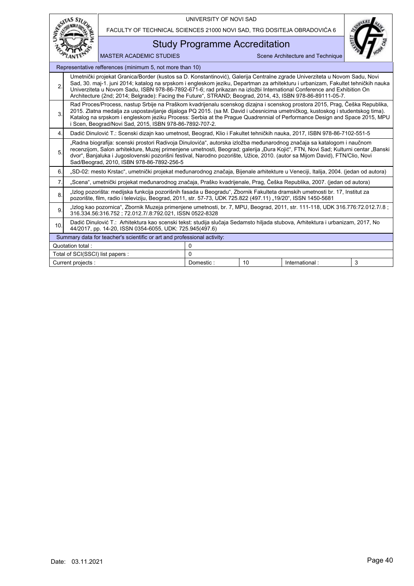|                                                              | SITAS ST                                                                                                                                                                                                                                                                                                                                                                                                                                                                                              |                                                                                                                                                                                                                                                                                                                                                                                                                                         | UNIVERSITY OF NOVI SAD |  |                                  |  |  |  |  |  |
|--------------------------------------------------------------|-------------------------------------------------------------------------------------------------------------------------------------------------------------------------------------------------------------------------------------------------------------------------------------------------------------------------------------------------------------------------------------------------------------------------------------------------------------------------------------------------------|-----------------------------------------------------------------------------------------------------------------------------------------------------------------------------------------------------------------------------------------------------------------------------------------------------------------------------------------------------------------------------------------------------------------------------------------|------------------------|--|----------------------------------|--|--|--|--|--|
|                                                              |                                                                                                                                                                                                                                                                                                                                                                                                                                                                                                       | FACULTY OF TECHNICAL SCIENCES 21000 NOVI SAD, TRG DOSITEJA OBRADOVIĆA 6                                                                                                                                                                                                                                                                                                                                                                 |                        |  |                                  |  |  |  |  |  |
|                                                              |                                                                                                                                                                                                                                                                                                                                                                                                                                                                                                       | <b>Study Programme Accreditation</b>                                                                                                                                                                                                                                                                                                                                                                                                    |                        |  |                                  |  |  |  |  |  |
|                                                              |                                                                                                                                                                                                                                                                                                                                                                                                                                                                                                       | <b>MASTER ACADEMIC STUDIES</b>                                                                                                                                                                                                                                                                                                                                                                                                          |                        |  | Scene Architecture and Technique |  |  |  |  |  |
|                                                              | Representative refferences (minimum 5, not more than 10)                                                                                                                                                                                                                                                                                                                                                                                                                                              |                                                                                                                                                                                                                                                                                                                                                                                                                                         |                        |  |                                  |  |  |  |  |  |
| $\overline{2}$                                               | Umetnički projekat Granica/Border (kustos sa D. Konstantinović), Galerija Centralne zgrade Univerziteta u Novom Sadu, Novi<br>Sad, 30. maj-1. juni 2014; katalog na srpskom i engleskom jeziku, Departman za arhitekturu i urbanizam, Fakultet tehničkih nauka<br>Univerziteta u Novom Sadu, ISBN 978-86-7892-671-6; rad prikazan na izložbi International Conference and Exhibition On<br>Architecture (2nd; 2014; Belgrade): Facing the Future", STRAND; Beograd, 2014, 43, ISBN 978-86-89111-05-7. |                                                                                                                                                                                                                                                                                                                                                                                                                                         |                        |  |                                  |  |  |  |  |  |
| 3.                                                           | Rad Proces/Process, nastup Srbije na Praškom kvadrijenalu scenskog dizajna i scenskog prostora 2015, Prag, Češka Republika,<br>2015. Zlatna medalja za uspostavljanje dijaloga PQ 2015. (sa M. David i učesnicima umetničkog, kustoskog i studentskog tima).<br>Katalog na srpskom i engleskom jeziku Process: Serbia at the Praque Quadrennial of Performance Design and Space 2015, MPU<br>i Scen, Beograd/Novi Sad, 2015, ISBN 978-86-7892-707-2.                                                  |                                                                                                                                                                                                                                                                                                                                                                                                                                         |                        |  |                                  |  |  |  |  |  |
| 4.                                                           |                                                                                                                                                                                                                                                                                                                                                                                                                                                                                                       | Dadić Dinulović T.: Scenski dizajn kao umetnost, Beograd, Klio i Fakultet tehničkih nauka, 2017, ISBN 978-86-7102-551-5                                                                                                                                                                                                                                                                                                                 |                        |  |                                  |  |  |  |  |  |
| 5.                                                           |                                                                                                                                                                                                                                                                                                                                                                                                                                                                                                       | "Radna biografija: scenski prostori Radivoja Dinulovića", autorska izložba međunarodnog značaja sa katalogom i naučnom<br>recenzijom, Salon arhitekture, Muzej primenjene umetnosti, Beograd; galerija "Đura Kojić", FTN, Novi Sad; Kulturni centar "Banski<br>dvor", Banjaluka i Jugoslovenski pozorišni festival, Narodno pozorište, Užice, 2010. (autor sa Mijom David), FTN/Clio, Novi<br>Sad/Beograd, 2010, ISBN 978-86-7892-256-5 |                        |  |                                  |  |  |  |  |  |
| 6                                                            |                                                                                                                                                                                                                                                                                                                                                                                                                                                                                                       | "SD-02: mesto Krstac", umetnički projekat međunarodnog značaja, Bijenale arhitekture u Veneciji, Italija, 2004. (jedan od autora)                                                                                                                                                                                                                                                                                                       |                        |  |                                  |  |  |  |  |  |
| 7.                                                           |                                                                                                                                                                                                                                                                                                                                                                                                                                                                                                       | "Scena", umetnički projekat međunarodnog značaja, Praško kvadrijenale, Prag, Češka Republika, 2007. (jedan od autora)                                                                                                                                                                                                                                                                                                                   |                        |  |                                  |  |  |  |  |  |
| 8.                                                           |                                                                                                                                                                                                                                                                                                                                                                                                                                                                                                       | "Izlog pozorišta: medijska funkcija pozorišnih fasada u Beogradu", Zbornik Fakulteta dramskih umetnosti br. 17, Institut za<br>pozorište, film, radio i televiziju, Beograd, 2011, str. 57-73, UDK 725.822 (497.11) "19/20", ISSN 1450-5681                                                                                                                                                                                             |                        |  |                                  |  |  |  |  |  |
| 9                                                            |                                                                                                                                                                                                                                                                                                                                                                                                                                                                                                       | "Izlog kao pozornica", Zbornik Muzeja primenjene umetnosti, br. 7, MPU, Beograd, 2011, str. 111-118, UDK 316.776:72.012.7/.8;<br>316.334.56:316.752; 72.012.7/.8:792.021, ISSN 0522-8328                                                                                                                                                                                                                                                |                        |  |                                  |  |  |  |  |  |
| 10.                                                          | Dadić Dinulović T.: Arhitektura kao scenski tekst: studija slučaja Sedamsto hiljada stubova, Arhitektura i urbanizam, 2017, No<br>44/2017, pp. 14-20, ISSN 0354-6055, UDK: 725.945(497.6)                                                                                                                                                                                                                                                                                                             |                                                                                                                                                                                                                                                                                                                                                                                                                                         |                        |  |                                  |  |  |  |  |  |
|                                                              |                                                                                                                                                                                                                                                                                                                                                                                                                                                                                                       | Summary data for teacher's scientific or art and professional activity:                                                                                                                                                                                                                                                                                                                                                                 |                        |  |                                  |  |  |  |  |  |
|                                                              | Quotation total:                                                                                                                                                                                                                                                                                                                                                                                                                                                                                      |                                                                                                                                                                                                                                                                                                                                                                                                                                         | 0                      |  |                                  |  |  |  |  |  |
|                                                              | Total of SCI(SSCI) list papers :                                                                                                                                                                                                                                                                                                                                                                                                                                                                      |                                                                                                                                                                                                                                                                                                                                                                                                                                         | 0                      |  |                                  |  |  |  |  |  |
| 3<br>Domestic:<br>10<br>International:<br>Current projects : |                                                                                                                                                                                                                                                                                                                                                                                                                                                                                                       |                                                                                                                                                                                                                                                                                                                                                                                                                                         |                        |  |                                  |  |  |  |  |  |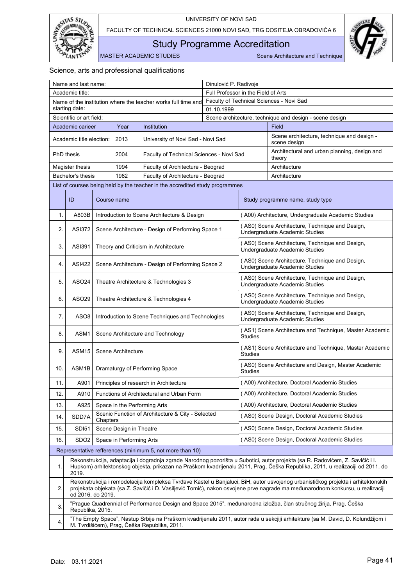

<span id="page-42-0"></span>Study Programme Accreditation

MASTER ACADEMIC STUDIES Scene Architecture and Technique

| Name and last name:                     |                          |          |                          |                                                                              | Dinulović P. Radivoje               |                                                                           |                                                                                                                                                                                                                                                                   |  |  |
|-----------------------------------------|--------------------------|----------|--------------------------|------------------------------------------------------------------------------|-------------------------------------|---------------------------------------------------------------------------|-------------------------------------------------------------------------------------------------------------------------------------------------------------------------------------------------------------------------------------------------------------------|--|--|
|                                         | Academic title:          |          |                          |                                                                              | Full Professor in the Field of Arts |                                                                           |                                                                                                                                                                                                                                                                   |  |  |
|                                         | starting date:           |          |                          | Name of the institution where the teacher works full time and                | 01.10.1999                          |                                                                           | Faculty of Technical Sciences - Novi Sad                                                                                                                                                                                                                          |  |  |
|                                         | Scientific or art field: |          |                          |                                                                              |                                     |                                                                           | Scene architecture, technique and design - scene design                                                                                                                                                                                                           |  |  |
| Institution<br>Academic carieer<br>Year |                          |          |                          |                                                                              |                                     |                                                                           | Field                                                                                                                                                                                                                                                             |  |  |
|                                         | Academic title election: |          | 2013                     | University of Novi Sad - Novi Sad                                            |                                     |                                                                           | Scene architecture, technique and design -<br>scene design                                                                                                                                                                                                        |  |  |
|                                         | <b>PhD</b> thesis        |          | 2004                     | Faculty of Technical Sciences - Novi Sad                                     |                                     |                                                                           | Architectural and urban planning, design and<br>theory                                                                                                                                                                                                            |  |  |
|                                         | Magister thesis          |          | 1994                     | Faculty of Architecture - Beograd                                            |                                     |                                                                           | Architecture                                                                                                                                                                                                                                                      |  |  |
|                                         | Bachelor's thesis        |          | 1982                     | Faculty of Architecture - Beograd                                            |                                     |                                                                           | Architecture                                                                                                                                                                                                                                                      |  |  |
|                                         |                          |          |                          | List of courses being held by the teacher in the accredited study programmes |                                     |                                                                           |                                                                                                                                                                                                                                                                   |  |  |
|                                         | ID                       |          | Course name              |                                                                              |                                     |                                                                           | Study programme name, study type                                                                                                                                                                                                                                  |  |  |
| 1.                                      | A803B                    |          |                          | Introduction to Scene Architecture & Design                                  |                                     |                                                                           | (A00) Architecture, Undergraduate Academic Studies                                                                                                                                                                                                                |  |  |
| 2.                                      | <b>ASI372</b>            |          |                          | Scene Architecture - Design of Performing Space 1                            |                                     |                                                                           | (AS0) Scene Architecture, Technique and Design,<br>Undergraduate Academic Studies                                                                                                                                                                                 |  |  |
| 3.                                      | <b>ASI391</b>            |          |                          | Theory and Criticism in Architecture                                         |                                     |                                                                           | (AS0) Scene Architecture, Technique and Design,<br>Undergraduate Academic Studies                                                                                                                                                                                 |  |  |
| 4.                                      | <b>ASI422</b>            |          |                          | Scene Architecture - Design of Performing Space 2                            |                                     |                                                                           | (AS0) Scene Architecture, Technique and Design,<br>Undergraduate Academic Studies                                                                                                                                                                                 |  |  |
| 5.                                      | ASO24                    |          |                          | Theatre Architecture & Technologies 3                                        |                                     |                                                                           | (AS0) Scene Architecture, Technique and Design,<br>Undergraduate Academic Studies                                                                                                                                                                                 |  |  |
| 6.                                      | ASO29                    |          |                          | Theatre Architecture & Technologies 4                                        |                                     |                                                                           | (AS0) Scene Architecture, Technique and Design,<br>Undergraduate Academic Studies                                                                                                                                                                                 |  |  |
| 7.                                      | ASO <sub>8</sub>         |          |                          | Introduction to Scene Techniques and Technologies                            |                                     |                                                                           | (AS0) Scene Architecture, Technique and Design,<br>Undergraduate Academic Studies                                                                                                                                                                                 |  |  |
| 8.                                      | ASM1                     |          |                          | Scene Architecture and Technology                                            |                                     | <b>Studies</b>                                                            | (AS1) Scene Architecture and Technique, Master Academic                                                                                                                                                                                                           |  |  |
| 9.                                      | ASM <sub>15</sub>        |          | Scene Architecture       |                                                                              |                                     | (AS1) Scene Architecture and Technique, Master Academic<br><b>Studies</b> |                                                                                                                                                                                                                                                                   |  |  |
| 10.                                     | ASM1B                    |          |                          | Dramaturgy of Performing Space                                               |                                     | (AS0) Scene Architecture and Design, Master Academic<br><b>Studies</b>    |                                                                                                                                                                                                                                                                   |  |  |
| 11.                                     | A901                     |          |                          | Principles of research in Architecture                                       |                                     | (A00) Architecture, Doctoral Academic Studies                             |                                                                                                                                                                                                                                                                   |  |  |
| 12.                                     | A910                     |          |                          | Functions of Architectural and Urban Form                                    |                                     |                                                                           | (A00) Architecture, Doctoral Academic Studies                                                                                                                                                                                                                     |  |  |
| 13.                                     | A925                     |          |                          | Space in the Performing Arts                                                 |                                     |                                                                           | (A00) Architecture, Doctoral Academic Studies                                                                                                                                                                                                                     |  |  |
| 14.                                     | SDD7A                    | Chapters |                          | Scenic Function of Architecture & City - Selected                            |                                     |                                                                           | (AS0) Scene Design, Doctoral Academic Studies                                                                                                                                                                                                                     |  |  |
| 15.                                     | SDI51                    |          | Scene Design in Theatre  |                                                                              |                                     |                                                                           | (AS0) Scene Design, Doctoral Academic Studies                                                                                                                                                                                                                     |  |  |
| 16.                                     | SD <sub>O2</sub>         |          | Space in Performing Arts |                                                                              |                                     |                                                                           | (AS0) Scene Design, Doctoral Academic Studies                                                                                                                                                                                                                     |  |  |
|                                         |                          |          |                          | Representative refferences (minimum 5, not more than 10)                     |                                     |                                                                           |                                                                                                                                                                                                                                                                   |  |  |
| 1.                                      | 2019.                    |          |                          |                                                                              |                                     |                                                                           | Rekonstrukcija, adaptacija i dogradnja zgrade Narodnog pozorišta u Subotici, autor projekta (sa R. Radovićem, Z. Savičić i I.<br>Hupkom) arhitektonskog objekta, prikazan na Praškom kvadrijenalu 2011, Prag, Češka Republika, 2011, u realizaciji od 2011. do    |  |  |
| 2.                                      | od 2016. do 2019.        |          |                          |                                                                              |                                     |                                                                           | Rekonstrukcija i remodelacija kompleksa Tvrđave Kastel u Banjaluci, BiH, autor usvojenog urbanističkog projekta i arhitektonskih<br>projekata objekata (sa Z. Savičić i D. Vasiljević Tomić), nakon osvojene prve nagrade ma međunarodnom konkursu, u realizaciji |  |  |
| 3.                                      | Republika, 2015.         |          |                          |                                                                              |                                     |                                                                           | "Prague Quadrennial of Performance Design and Space 2015", međunarodna izložba, član stručnog žirija, Prag, Češka                                                                                                                                                 |  |  |
| 4.                                      |                          |          |                          | M. Tvrdišićem), Prag, Češka Republika, 2011.                                 |                                     |                                                                           | "The Empty Space", Nastup Srbije na Praškom kvadrijenalu 2011, autor rada u sekcjiji arhitekture (sa M. David, D. Kolundžijom i                                                                                                                                   |  |  |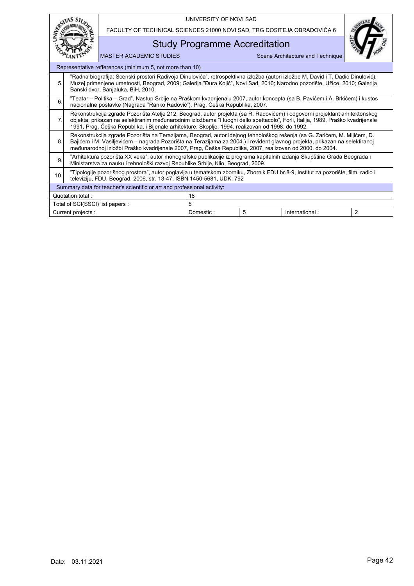|     |                                                                                                                                                                                                                                                                                                      |                                                                                                                                                                                                                                                                                                                                                                     | UNIVERSITY OF NOVI SAD |   |                                  |                |  |  |  |
|-----|------------------------------------------------------------------------------------------------------------------------------------------------------------------------------------------------------------------------------------------------------------------------------------------------------|---------------------------------------------------------------------------------------------------------------------------------------------------------------------------------------------------------------------------------------------------------------------------------------------------------------------------------------------------------------------|------------------------|---|----------------------------------|----------------|--|--|--|
|     |                                                                                                                                                                                                                                                                                                      | FACULTY OF TECHNICAL SCIENCES 21000 NOVI SAD, TRG DOSITEJA OBRADOVIĆA 6                                                                                                                                                                                                                                                                                             |                        |   |                                  |                |  |  |  |
|     |                                                                                                                                                                                                                                                                                                      | <b>Study Programme Accreditation</b>                                                                                                                                                                                                                                                                                                                                |                        |   |                                  |                |  |  |  |
|     |                                                                                                                                                                                                                                                                                                      | <b>MASTER ACADEMIC STUDIES</b>                                                                                                                                                                                                                                                                                                                                      |                        |   | Scene Architecture and Technique |                |  |  |  |
|     |                                                                                                                                                                                                                                                                                                      | Representative refferences (minimum 5, not more than 10)                                                                                                                                                                                                                                                                                                            |                        |   |                                  |                |  |  |  |
| 5.  | "Radna biografija: Scenski prostori Radivoja Dinulovića", retrospektivna izložba (autori izložbe M. David i T. Dadić Dinulović),<br>Muzej primenjene umetnosti, Beograd, 2009; Galerija "Đura Kojić", Novi Sad, 2010; Narodno pozorište, Užice, 2010; Galerija<br>Banski dvor, Banjaluka, BiH, 2010. |                                                                                                                                                                                                                                                                                                                                                                     |                        |   |                                  |                |  |  |  |
| 6   | "Teatar – Politika – Grad", Nastup Srbije na Praškom kvadrijenalu 2007, autor koncepta (sa B. Pavićem i A. Brkićem) i kustos<br>nacionalne postavke (Nagrada "Ranko Radović"), Prag, Češka Republika, 2007.                                                                                          |                                                                                                                                                                                                                                                                                                                                                                     |                        |   |                                  |                |  |  |  |
| 7.  |                                                                                                                                                                                                                                                                                                      | Rekonstrukcija zgrade Pozorišta Atelje 212, Beograd, autor projekta (sa R. Radovićem) i odgovorni projektant arhitektonskog<br>objekta, prikazan na selektiranim međunarodnim izložbama "I luoghi dello spettacolo", Forli, Italija, 1989, Praško kvadrijenale<br>1991, Prag, Češka Republika, i Bijenale arhitekture, Skoplje, 1994, realizovan od 1998. do 1992.  |                        |   |                                  |                |  |  |  |
| 8.  |                                                                                                                                                                                                                                                                                                      | Rekonstrukcija zgrade Pozorišta na Terazijama, Beograd, autor idejnog tehnološkog rešenja (sa G. Zarićem, M. Mijićem, D.<br>Bajićem i M. Vasiljevićem – nagrada Pozorišta na Terazijama za 2004.) i revident glavnog projekta, prikazan na selektiranoj<br>međunarodnoj izložbi Praško kvadrijenale 2007, Prag, Češka Republika, 2007, realizovan od 2000. do 2004. |                        |   |                                  |                |  |  |  |
| 9.  |                                                                                                                                                                                                                                                                                                      | "Arhitektura pozorišta XX veka", autor monografske publikacije iz programa kapitalnih izdanja Skupštine Grada Beograda i<br>Ministarstva za nauku i tehnološki razvoj Republike Srbije, Klio, Beograd, 2009.                                                                                                                                                        |                        |   |                                  |                |  |  |  |
| 10. | "Tipologije pozorišnog prostora", autor poglavlja u tematskom zborniku, Zbornik FDU br.8-9, Institut za pozorište, film, radio i<br>televiziju, FDU, Beograd, 2006, str. 13-47, ISBN 1450-5681, UDK: 792                                                                                             |                                                                                                                                                                                                                                                                                                                                                                     |                        |   |                                  |                |  |  |  |
|     |                                                                                                                                                                                                                                                                                                      | Summary data for teacher's scientific or art and professional activity:                                                                                                                                                                                                                                                                                             |                        |   |                                  |                |  |  |  |
|     | Quotation total:                                                                                                                                                                                                                                                                                     |                                                                                                                                                                                                                                                                                                                                                                     | 18                     |   |                                  |                |  |  |  |
|     | Total of SCI(SSCI) list papers:                                                                                                                                                                                                                                                                      |                                                                                                                                                                                                                                                                                                                                                                     | 5                      |   |                                  |                |  |  |  |
|     | Current projects :                                                                                                                                                                                                                                                                                   |                                                                                                                                                                                                                                                                                                                                                                     | Domestic:              | 5 | International:                   | $\overline{2}$ |  |  |  |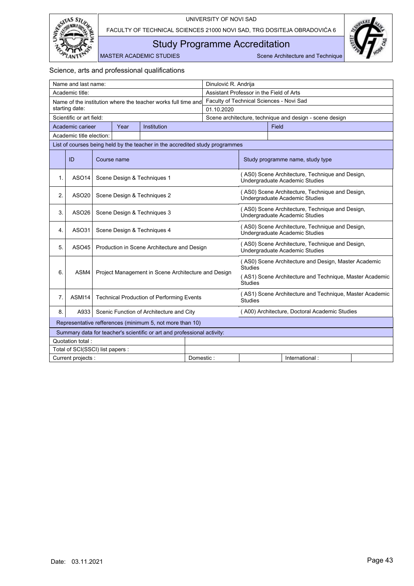

<span id="page-44-0"></span>Study Programme Accreditation

MASTER ACADEMIC STUDIES Scene Architecture and Technique

|                                                                              | Name and last name:              |  |      |                                                               |           | Dinulović R. Andrija                                    |                                                                                   |       |                                                                                   |  |
|------------------------------------------------------------------------------|----------------------------------|--|------|---------------------------------------------------------------|-----------|---------------------------------------------------------|-----------------------------------------------------------------------------------|-------|-----------------------------------------------------------------------------------|--|
|                                                                              | Academic title:                  |  |      |                                                               |           | Assistant Professor in the Field of Arts                |                                                                                   |       |                                                                                   |  |
|                                                                              |                                  |  |      | Name of the institution where the teacher works full time and |           | Faculty of Technical Sciences - Novi Sad                |                                                                                   |       |                                                                                   |  |
|                                                                              | starting date:                   |  |      |                                                               |           | 01.10.2020                                              |                                                                                   |       |                                                                                   |  |
|                                                                              | Scientific or art field:         |  |      |                                                               |           | Scene architecture, technique and design - scene design |                                                                                   |       |                                                                                   |  |
|                                                                              | Academic carieer                 |  | Year | Institution                                                   |           |                                                         |                                                                                   | Field |                                                                                   |  |
|                                                                              | Academic title election:         |  |      |                                                               |           |                                                         |                                                                                   |       |                                                                                   |  |
| List of courses being held by the teacher in the accredited study programmes |                                  |  |      |                                                               |           |                                                         |                                                                                   |       |                                                                                   |  |
| ID<br>Course name                                                            |                                  |  |      |                                                               |           |                                                         | Study programme name, study type                                                  |       |                                                                                   |  |
| $\mathbf{1}$                                                                 | ASO <sub>14</sub>                |  |      | Scene Design & Techniques 1                                   |           |                                                         |                                                                                   |       | (AS0) Scene Architecture, Technique and Design,<br>Undergraduate Academic Studies |  |
| 2.                                                                           | ASO <sub>20</sub>                |  |      | Scene Design & Techniques 2                                   |           |                                                         | (AS0) Scene Architecture, Technique and Design,<br>Undergraduate Academic Studies |       |                                                                                   |  |
| 3.                                                                           | ASO <sub>26</sub>                |  |      | Scene Design & Techniques 3                                   |           |                                                         | (AS0) Scene Architecture, Technique and Design,<br>Undergraduate Academic Studies |       |                                                                                   |  |
| 4.                                                                           | ASO31                            |  |      | Scene Design & Techniques 4                                   |           |                                                         | (AS0) Scene Architecture, Technique and Design,<br>Undergraduate Academic Studies |       |                                                                                   |  |
| 5.                                                                           | ASO45                            |  |      | Production in Scene Architecture and Design                   |           |                                                         | (AS0) Scene Architecture, Technique and Design,<br>Undergraduate Academic Studies |       |                                                                                   |  |
| 6.                                                                           | ASM4                             |  |      | Project Management in Scene Architecture and Design           |           |                                                         | <b>Studies</b>                                                                    |       | (AS0) Scene Architecture and Design, Master Academic                              |  |
|                                                                              |                                  |  |      |                                                               |           |                                                         | (AS1) Scene Architecture and Technique, Master Academic<br><b>Studies</b>         |       |                                                                                   |  |
| 7.                                                                           | ASMI14                           |  |      | <b>Technical Production of Performing Events</b>              |           |                                                         | <b>Studies</b>                                                                    |       | (AS1) Scene Architecture and Technique, Master Academic                           |  |
| 8.                                                                           | A933                             |  |      | Scenic Function of Architecture and City                      |           |                                                         |                                                                                   |       | (A00) Architecture, Doctoral Academic Studies                                     |  |
| Representative refferences (minimum 5, not more than 10)                     |                                  |  |      |                                                               |           |                                                         |                                                                                   |       |                                                                                   |  |
| Summary data for teacher's scientific or art and professional activity:      |                                  |  |      |                                                               |           |                                                         |                                                                                   |       |                                                                                   |  |
| Quotation total:                                                             |                                  |  |      |                                                               |           |                                                         |                                                                                   |       |                                                                                   |  |
|                                                                              | Total of SCI(SSCI) list papers : |  |      |                                                               |           |                                                         |                                                                                   |       |                                                                                   |  |
|                                                                              | Current projects :               |  |      |                                                               | Domestic: |                                                         |                                                                                   |       | International:                                                                    |  |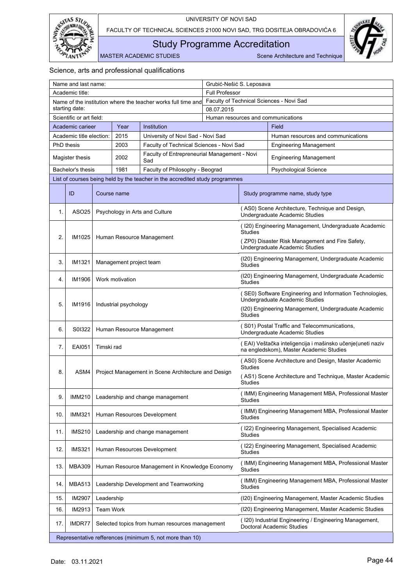



<span id="page-45-0"></span>Study Programme Accreditation

MASTER ACADEMIC STUDIES Scene Architecture and Technique

| Name and last name:                                                          |                                                  |                                                     | Grubić-Nešić S. Leposava |                                    |                                                                                                        |  |  |
|------------------------------------------------------------------------------|--------------------------------------------------|-----------------------------------------------------|--------------------------|------------------------------------|--------------------------------------------------------------------------------------------------------|--|--|
| Academic title:                                                              |                                                  |                                                     | <b>Full Professor</b>    |                                    |                                                                                                        |  |  |
| Name of the institution where the teacher works full time and                |                                                  |                                                     |                          |                                    | Faculty of Technical Sciences - Novi Sad                                                               |  |  |
| starting date:                                                               |                                                  |                                                     | 08.07.2015               |                                    |                                                                                                        |  |  |
| Scientific or art field:                                                     |                                                  |                                                     |                          | Human resources and communications |                                                                                                        |  |  |
| Academic carieer                                                             | Institution<br>Year                              |                                                     |                          | Field                              |                                                                                                        |  |  |
| Academic title election:                                                     | 2015                                             | University of Novi Sad - Novi Sad                   |                          |                                    | Human resources and communications                                                                     |  |  |
| <b>PhD</b> thesis                                                            | 2003<br>Faculty of Technical Sciences - Novi Sad |                                                     |                          |                                    | <b>Engineering Management</b>                                                                          |  |  |
| Magister thesis                                                              | 2002                                             | Faculty of Entrepreneurial Management - Novi<br>Sad |                          |                                    | <b>Engineering Management</b>                                                                          |  |  |
| Bachelor's thesis                                                            | 1981                                             | Faculty of Philosophy - Beograd                     |                          |                                    | <b>Psychological Science</b>                                                                           |  |  |
| List of courses being held by the teacher in the accredited study programmes |                                                  |                                                     |                          |                                    |                                                                                                        |  |  |
| ID<br>Course name                                                            |                                                  |                                                     |                          |                                    | Study programme name, study type                                                                       |  |  |
| ASO25<br>1.                                                                  |                                                  | Psychology in Arts and Culture                      |                          |                                    | (AS0) Scene Architecture, Technique and Design,<br>Undergraduate Academic Studies                      |  |  |
|                                                                              |                                                  |                                                     |                          | Studies                            | (120) Engineering Management, Undergraduate Academic                                                   |  |  |
| 2.<br>IM1025                                                                 |                                                  | Human Resource Management                           |                          |                                    | (ZP0) Disaster Risk Management and Fire Safety,<br>Undergraduate Academic Studies                      |  |  |
| 3.<br>IM1321                                                                 | Management project team                          |                                                     |                          | <b>Studies</b>                     | (120) Engineering Management, Undergraduate Academic                                                   |  |  |
| Work motivation<br>4.<br>IM1906                                              |                                                  |                                                     |                          | Studies                            | (120) Engineering Management, Undergraduate Academic                                                   |  |  |
|                                                                              |                                                  |                                                     |                          |                                    | (SE0) Software Engineering and Information Technologies,<br>Undergraduate Academic Studies             |  |  |
| 5.<br>IM1916                                                                 | Industrial psychology                            |                                                     | Studies                  |                                    | (120) Engineering Management, Undergraduate Academic                                                   |  |  |
| 6.<br>S0I322                                                                 |                                                  | Human Resource Management                           |                          |                                    | (S01) Postal Traffic and Telecommunications,<br>Undergraduate Academic Studies                         |  |  |
| <b>EAI051</b><br>7.<br>Timski rad                                            |                                                  |                                                     |                          |                                    | (EAI) Veštačka inteligencija i mašinsko učenje (uneti naziv<br>na engledskom), Master Academic Studies |  |  |
|                                                                              |                                                  |                                                     |                          | <b>Studies</b>                     | (AS0) Scene Architecture and Design, Master Academic                                                   |  |  |
| ASM4<br>8.                                                                   |                                                  | Project Management in Scene Architecture and Design |                          | Studies                            | (AS1) Scene Architecture and Technique, Master Academic                                                |  |  |
| <b>IMM210</b><br>9.                                                          |                                                  | Leadership and change management                    |                          | Studies                            | (IMM) Engineering Management MBA, Professional Master                                                  |  |  |
| <b>IMM321</b><br>10.                                                         |                                                  | Human Resources Development                         |                          | <b>Studies</b>                     | (IMM) Engineering Management MBA, Professional Master                                                  |  |  |
| <b>IMS210</b><br>11.                                                         |                                                  | Leadership and change management                    |                          | Studies                            | (122) Engineering Management, Specialised Academic                                                     |  |  |
| <b>IMS321</b><br>12.                                                         |                                                  | Human Resources Development                         |                          | Studies                            | (122) Engineering Management, Specialised Academic                                                     |  |  |
| 13.<br><b>MBA309</b>                                                         |                                                  | Human Resource Management in Knowledge Economy      |                          | <b>Studies</b>                     | (IMM) Engineering Management MBA, Professional Master                                                  |  |  |
| 14.<br><b>MBA513</b>                                                         |                                                  | Leadership Development and Teamworking              |                          | Studies                            | (IMM) Engineering Management MBA, Professional Master                                                  |  |  |
| IM2907<br>15.                                                                | Leadership                                       |                                                     |                          |                                    | (I20) Engineering Management, Master Academic Studies                                                  |  |  |
| IM2913<br>16.                                                                | Team Work                                        |                                                     |                          |                                    | (120) Engineering Management, Master Academic Studies                                                  |  |  |
| IMDR77<br>17.                                                                |                                                  | Selected topics from human resources management     |                          |                                    | (120) Industrial Engineering / Engineering Management,<br>Doctoral Academic Studies                    |  |  |
| Representative refferences (minimum 5, not more than 10)                     |                                                  |                                                     |                          |                                    |                                                                                                        |  |  |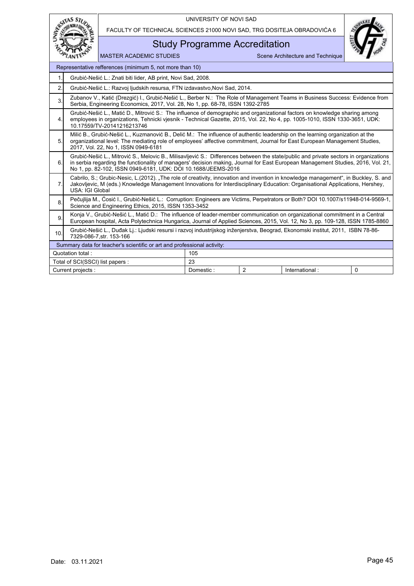

FACULTY OF TECHNICAL SCIENCES 21000 NOVI SAD, TRG DOSITEJA OBRADOVIĆA 6

## Study Programme Accreditation



|                                        | Representative refferences (minimum 5, not more than 10)                                                                                                                                                                                                                                                                                   |           |                |                |          |  |  |  |  |
|----------------------------------------|--------------------------------------------------------------------------------------------------------------------------------------------------------------------------------------------------------------------------------------------------------------------------------------------------------------------------------------------|-----------|----------------|----------------|----------|--|--|--|--|
| $\mathbf{1}$ .                         | Grubić-Nešić L.: Znati biti lider, AB print, Novi Sad, 2008.                                                                                                                                                                                                                                                                               |           |                |                |          |  |  |  |  |
| 2.                                     | Grubić-Nešić L.: Razvoj ljudskih resursa, FTN izdavastvo Novi Sad, 2014.                                                                                                                                                                                                                                                                   |           |                |                |          |  |  |  |  |
| 3.                                     | Zubanov V., Katić (Drezgić) I., Grubić-Nešić L., Berber N.: The Role of Management Teams in Business Success: Evidence from<br>Serbia, Engineering Economics, 2017, Vol. 28, No 1, pp. 68-78, ISSN 1392-2785                                                                                                                               |           |                |                |          |  |  |  |  |
| 4.                                     | Grubić-Nešić L., Matić D., Mitrović S.: The influence of demographic and organizational factors on knowledge sharing among<br>employees in organizations, Tehnicki viesnik - Technical Gazette, 2015, Vol. 22, No 4, pp. 1005-1010, ISSN 1330-3651, UDK:<br>10.17559/TV-20141216213746                                                     |           |                |                |          |  |  |  |  |
| 5.                                     | Milić B., Grubić-Nešić L., Kuzmanović B., Delić M.: The influence of authentic leadership on the learning organization at the<br>organizational level: The mediating role of employees' affective commitment, Journal for East European Management Studies,<br>2017, Vol. 22, No 1, ISSN 0949-6181                                         |           |                |                |          |  |  |  |  |
| 6.                                     | Grubić-Nešić L., Mitrović S., Melovic B., Milisavljević S.: Differences between the state/public and private sectors in organizations<br>in serbia regarding the functionality of managers' decision making, Journal for East European Management Studies, 2016, Vol. 21,<br>No 1, pp. 82-102, ISSN 0949-6181, UDK: DOI 10.1688/JEEMS-2016 |           |                |                |          |  |  |  |  |
| 7.                                     | Cabrilo, S.; Grubic-Nesic, L.(2012). "The role of creativity, innovation and invention in knowledge management", in Buckley, S. and<br>Jakovljevic, M (eds.) Knowledge Management Innovations for Interdisciplinary Education: Organisational Applications, Hershey,<br>USA: IGI Global                                                    |           |                |                |          |  |  |  |  |
| 8.                                     | Pečuilija M., Cosić I., Grubić-Nešić L.: Corruption: Engineers are Victims, Perpetrators or Both? DOI 10.1007/s11948-014-9569-1,<br>Science and Engineering Ethics, 2015, ISSN 1353-3452                                                                                                                                                   |           |                |                |          |  |  |  |  |
| 9.                                     | Konja V., Grubić-Nešić L., Matić D.: The influence of leader-member communication on organizational commitment in a Central<br>European hospital, Acta Polytechnica Hungarica, Journal of Applied Sciences, 2015, Vol. 12, No 3, pp. 109-128, ISSN 1785-8860                                                                               |           |                |                |          |  |  |  |  |
| 10.                                    | Grubić-Nešić L., Duđak Lj.: Ljudski resursi i razvoj industrijskog inženjerstva, Beograd, Ekonomski institut, 2011, ISBN 78-86-<br>7329-086-7.str. 153-166                                                                                                                                                                                 |           |                |                |          |  |  |  |  |
|                                        | Summary data for teacher's scientific or art and professional activity:                                                                                                                                                                                                                                                                    |           |                |                |          |  |  |  |  |
|                                        | Quotation total:                                                                                                                                                                                                                                                                                                                           | 105       |                |                |          |  |  |  |  |
| Total of SCI(SSCI) list papers :<br>23 |                                                                                                                                                                                                                                                                                                                                            |           |                |                |          |  |  |  |  |
|                                        | Current projects :                                                                                                                                                                                                                                                                                                                         | Domestic: | $\overline{c}$ | International: | $\Omega$ |  |  |  |  |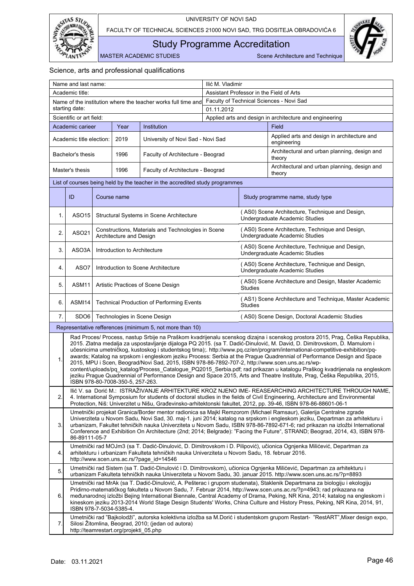



<span id="page-47-0"></span>Study Programme Accreditation

MASTER ACADEMIC STUDIES Scene Architecture and Technique

| Name and last name:      |                          |                                    | Ilić M. Vladimir                                 |                                                                                                                                            |                                          |                                                         |                                                                                                                                                                                                                                                                                                                                                                                                                                                                                                                                                                                                                                             |
|--------------------------|--------------------------|------------------------------------|--------------------------------------------------|--------------------------------------------------------------------------------------------------------------------------------------------|------------------------------------------|---------------------------------------------------------|---------------------------------------------------------------------------------------------------------------------------------------------------------------------------------------------------------------------------------------------------------------------------------------------------------------------------------------------------------------------------------------------------------------------------------------------------------------------------------------------------------------------------------------------------------------------------------------------------------------------------------------------|
|                          | Academic title:          |                                    |                                                  |                                                                                                                                            | Assistant Professor in the Field of Arts |                                                         |                                                                                                                                                                                                                                                                                                                                                                                                                                                                                                                                                                                                                                             |
|                          |                          |                                    |                                                  | Name of the institution where the teacher works full time and                                                                              |                                          |                                                         | Faculty of Technical Sciences - Novi Sad                                                                                                                                                                                                                                                                                                                                                                                                                                                                                                                                                                                                    |
|                          | starting date:           |                                    |                                                  |                                                                                                                                            | 01.11.2012                               |                                                         |                                                                                                                                                                                                                                                                                                                                                                                                                                                                                                                                                                                                                                             |
| Scientific or art field: |                          |                                    |                                                  |                                                                                                                                            |                                          | Applied arts and design in architecture and engineering |                                                                                                                                                                                                                                                                                                                                                                                                                                                                                                                                                                                                                                             |
|                          | Academic carieer         |                                    | Year                                             | Institution                                                                                                                                |                                          |                                                         | Field                                                                                                                                                                                                                                                                                                                                                                                                                                                                                                                                                                                                                                       |
|                          | Academic title election: |                                    | 2019                                             | University of Novi Sad - Novi Sad                                                                                                          |                                          |                                                         | Applied arts and design in architecture and<br>engineering                                                                                                                                                                                                                                                                                                                                                                                                                                                                                                                                                                                  |
|                          | Bachelor's thesis        |                                    | 1996                                             | Faculty of Architecture - Beograd                                                                                                          |                                          |                                                         | Architectural and urban planning, design and<br>theory                                                                                                                                                                                                                                                                                                                                                                                                                                                                                                                                                                                      |
|                          | Master's thesis          |                                    | 1996                                             | Faculty of Architecture - Beograd                                                                                                          |                                          |                                                         | Architectural and urban planning, design and<br>theory                                                                                                                                                                                                                                                                                                                                                                                                                                                                                                                                                                                      |
|                          |                          |                                    |                                                  | List of courses being held by the teacher in the accredited study programmes                                                               |                                          |                                                         |                                                                                                                                                                                                                                                                                                                                                                                                                                                                                                                                                                                                                                             |
|                          | ID                       |                                    | Course name                                      |                                                                                                                                            |                                          |                                                         | Study programme name, study type                                                                                                                                                                                                                                                                                                                                                                                                                                                                                                                                                                                                            |
| 1.                       | ASO15                    |                                    |                                                  | Structural Systems in Scene Architecture                                                                                                   |                                          |                                                         | (AS0) Scene Architecture, Technique and Design,<br>Undergraduate Academic Studies                                                                                                                                                                                                                                                                                                                                                                                                                                                                                                                                                           |
| 2.                       | ASO21                    |                                    | Architecture and Design                          | Constructions, Materials and Technologies in Scene                                                                                         |                                          |                                                         | (AS0) Scene Architecture, Technique and Design,<br>Undergraduate Academic Studies                                                                                                                                                                                                                                                                                                                                                                                                                                                                                                                                                           |
| 3.                       | ASO3A                    |                                    | Introduction to Architecture                     |                                                                                                                                            |                                          |                                                         | (AS0) Scene Architecture, Technique and Design,<br>Undergraduate Academic Studies                                                                                                                                                                                                                                                                                                                                                                                                                                                                                                                                                           |
| 4.                       | ASO7                     |                                    |                                                  | Introduction to Scene Architecture                                                                                                         |                                          |                                                         | (AS0) Scene Architecture, Technique and Design,<br>Undergraduate Academic Studies                                                                                                                                                                                                                                                                                                                                                                                                                                                                                                                                                           |
| 5.                       | ASM11                    | Artistic Practices of Scene Design |                                                  |                                                                                                                                            |                                          | <b>Studies</b>                                          | (AS0) Scene Architecture and Design, Master Academic                                                                                                                                                                                                                                                                                                                                                                                                                                                                                                                                                                                        |
| 6.                       | ASMI14                   |                                    | <b>Technical Production of Performing Events</b> |                                                                                                                                            |                                          |                                                         | (AS1) Scene Architecture and Technique, Master Academic                                                                                                                                                                                                                                                                                                                                                                                                                                                                                                                                                                                     |
| 7.                       | SDO <sub>6</sub>         |                                    |                                                  | Technologies in Scene Design                                                                                                               |                                          |                                                         | (AS0) Scene Design, Doctoral Academic Studies                                                                                                                                                                                                                                                                                                                                                                                                                                                                                                                                                                                               |
|                          |                          |                                    |                                                  | Representative refferences (minimum 5, not more than 10)                                                                                   |                                          |                                                         |                                                                                                                                                                                                                                                                                                                                                                                                                                                                                                                                                                                                                                             |
|                          |                          |                                    |                                                  |                                                                                                                                            |                                          |                                                         | Rad Proces/ Process, nastup Srbije na Praškom kvadrijenalu scenskog dizajna i scenskog prostora 2015, Prag, Češka Republika,                                                                                                                                                                                                                                                                                                                                                                                                                                                                                                                |
| 1.                       |                          |                                    | ISBN 978-80-7008-350-5, 257-263.                 | 2015, MPU i Scen, Beograd/Novi Sad, 2015, ISBN 978-86-7892-707-2, http://www.scen.uns.ac.rs/wp-                                            |                                          |                                                         | 2015. Zlatna medalja za uspostavljanje dijaloga PQ 2015. (sa T. Dadić-Dinulović, M. David, D. Dimitrovskom, D. Mamulom i<br>učesnicima umetničkog, kustoskog i studentskog tima);. http://www.pq.cz/en/program/international-competitive-exhibition/pq-<br>awards; Katalog na srpskom i engleskom jeziku Process: Serbia at the Prague Quadrennial of Performance Design and Space<br>content/uploads/pq_katalog/Process_Catalogue_PQ2015_Serbia.pdf; rad prikazan u katalogu Praškog kvadrijenala na engleskom<br>jeziku Prague Quadrennial of Performance Design and Space 2015, Arts and Theatre Institute, Prag, Češka Republika, 2015, |
| 2.                       |                          |                                    |                                                  |                                                                                                                                            |                                          |                                                         | Ilić V. sa Dorić M.: ISTRAŽIVANJE ARHITEKTURE KROZ NJENO IME- REASEARCHING ARCHITECTURE THROUGH NAME,<br>4. International Symposium for students of doctoral studies in the fields of Civil Engineering, Architecture and Environmental<br>Protection, Niš: Univerzitet u Nišu, Građevinsko-arhitektonski fakultet, 2012, pp. 39-46, ISBN 978-86-88601-06-1                                                                                                                                                                                                                                                                                 |
| 3.                       | 86-89111-05-7            |                                    |                                                  |                                                                                                                                            |                                          |                                                         | Umetnički projekat Granica/Border mentor radionica sa Majkl Remzorom (Michael Ramsaur), Galerija Centralne zgrade<br>Univerziteta u Novom Sadu, Novi Sad, 30. maj-1. juni 2014; katalog na srpskom i engleskom jeziku, Departman za arhitekturu i<br>urbanizam, Fakultet tehničkih nauka Univerziteta u Novom Sadu, ISBN 978-86-7892-671-6; rad prikazan na izložbi International<br>Conference and Exhibition On Architecture (2nd; 2014; Belgrade): "Facing the Future", STRAND; Beograd, 2014, 43, ISBN 978-                                                                                                                             |
| 4.                       |                          |                                    |                                                  | arhitekturu i urbanizam Fakulteta tehničkih nauka Univerziteta u Novom Sadu, 18. februar 2016.<br>http://www.scen.uns.ac.rs/?page_id=14546 |                                          |                                                         | Umetnički rad MOJm3 (sa T. Dadić-Dinulović, D. Dimitrovskom i D. Pilipović), učionica Ognjenka Milićević, Departman za                                                                                                                                                                                                                                                                                                                                                                                                                                                                                                                      |
| 5.                       |                          |                                    |                                                  |                                                                                                                                            |                                          |                                                         | Umetnički rad Sistem (sa T. Dadić-Dinulović i D. Dimitrovskom), učionica Ognjenka Milićević, Departman za arhitekturu i<br>urbanizam Fakulteta tehničkih nauka Univerziteta u Novom Sadu, 30. januar 2015. http://www.scen.uns.ac.rs/?p=8893                                                                                                                                                                                                                                                                                                                                                                                                |
| 6.                       | ISBN 978-7-5034-5385-4.  |                                    |                                                  |                                                                                                                                            |                                          |                                                         | Umetnički rad MrAk (sa T. Dadić-Dinulović, A. Pešterac i grupom studenata), Staklenik Departmana za biologiju i ekologiju<br>Pridirno-matematičkog fakulteta u Novom Sadu, 7. Februar 2014, http://www.scen.uns.ac.rs/?p=4943; rad prikazana na<br>međunarodnoj izložbi Bejing International Biennale, Central Academy of Drama, Peking, NR Kina, 2014; katalog na engleskom i<br>kineskom jeziku 2013-2014 World Stage Design Students' Works, China Culture and History Press, Peking, NR Kina, 2014, 91,                                                                                                                                 |
| 7.                       |                          |                                    | http://teamrestart.org/projekti_05.php           | Silosi Žitomlina, Beograd, 2010; (jedan od autora)                                                                                         |                                          |                                                         | Umetnički rad "Bajkolodži", autorska kolektivna izložba sa M.Dorić i studentskom grupom Restart- "RestART", Mixer design expo,                                                                                                                                                                                                                                                                                                                                                                                                                                                                                                              |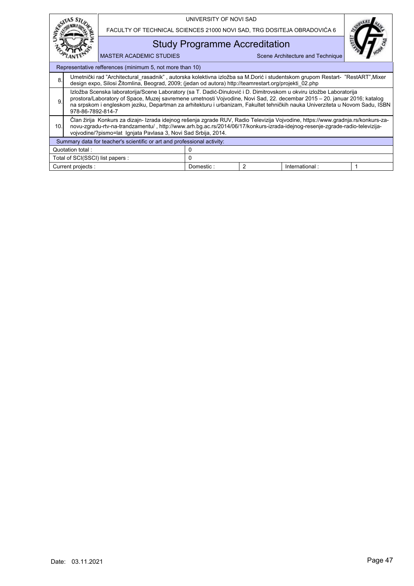|                                                                         |                                                                                                                                                                                                                                                                                                                                                                                                         |                                                                         | UNIVERSITY OF NOVI SAD               |   |                                  |  |
|-------------------------------------------------------------------------|---------------------------------------------------------------------------------------------------------------------------------------------------------------------------------------------------------------------------------------------------------------------------------------------------------------------------------------------------------------------------------------------------------|-------------------------------------------------------------------------|--------------------------------------|---|----------------------------------|--|
|                                                                         |                                                                                                                                                                                                                                                                                                                                                                                                         | FACULTY OF TECHNICAL SCIENCES 21000 NOVI SAD, TRG DOSITEJA OBRADOVIĆA 6 |                                      |   |                                  |  |
|                                                                         |                                                                                                                                                                                                                                                                                                                                                                                                         |                                                                         | <b>Study Programme Accreditation</b> |   |                                  |  |
|                                                                         |                                                                                                                                                                                                                                                                                                                                                                                                         | <b>MASTER ACADEMIC STUDIES</b>                                          |                                      |   | Scene Architecture and Technique |  |
|                                                                         |                                                                                                                                                                                                                                                                                                                                                                                                         | Representative refferences (minimum 5, not more than 10)                |                                      |   |                                  |  |
| 8                                                                       | Umetnički rad "Architectural_rasadnik", autorska kolektivna izložba sa M.Dorić i studentskom grupom Restart- "RestART", Mixer<br>design expo, Silosi Žitomlina, Beograd, 2009; (jedan od autora) http://teamrestart.org/projekti_02.php                                                                                                                                                                 |                                                                         |                                      |   |                                  |  |
| 9                                                                       | Izložba Scenska laboratorija/Scene Laboratory (sa T. Dadić-Dinulović i D. Dimitrovskom u okviru izložbe Laboratorija<br>prostora/Laboratory of Space, Muzej savremene umetnosti Vojvodine, Novi Sad, 22. decembar 2015 – 20. januar 2016; katalog<br>na srpskom i engleskom jeziku, Departman za arhitekturu i urbanizam, Fakultet tehničkih nauka Univerziteta u Novom Sadu, ISBN<br>978-86-7892-814-7 |                                                                         |                                      |   |                                  |  |
| 10.                                                                     | Clan žirija Konkurs za dizajn- Izrada idejnog rešenja zgrade RUV, Radio Televizija Vojvodine, https://www.gradnja.rs/konkurs-za-<br>novu-zgradu-rtv-na-trandzamentu/, http://www.arh.bg.ac.rs/2014/06/17/konkurs-izrada-idejnog-resenje-zgrade-radio-televizija-<br>vojvodine/?pismo=lat Ignjata Pavlasa 3, Novi Sad Srbija, 2014.                                                                      |                                                                         |                                      |   |                                  |  |
| Summary data for teacher's scientific or art and professional activity: |                                                                                                                                                                                                                                                                                                                                                                                                         |                                                                         |                                      |   |                                  |  |
| Quotation total:                                                        |                                                                                                                                                                                                                                                                                                                                                                                                         |                                                                         |                                      |   |                                  |  |
|                                                                         | Total of SCI(SSCI) list papers :                                                                                                                                                                                                                                                                                                                                                                        |                                                                         | 0                                    |   |                                  |  |
|                                                                         | Current projects :                                                                                                                                                                                                                                                                                                                                                                                      |                                                                         | Domestic:                            | 2 | International:                   |  |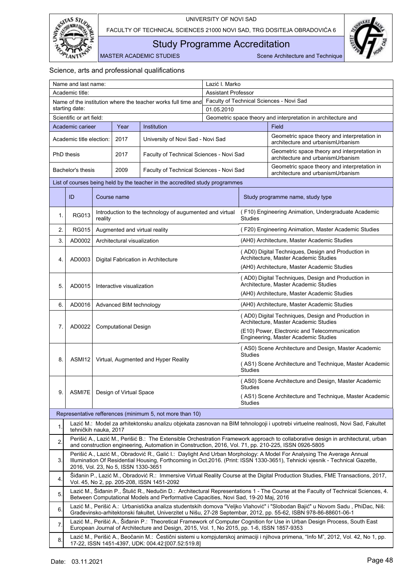

<span id="page-49-0"></span>Study Programme Accreditation

MASTER ACADEMIC STUDIES Scene Architecture and Technique

|                          | Name and last name:                                                                                                                                                                                                                                                                     |                             |                                     |                                                                                                      | Lazić I. Marko                           |                                                                                             |                                                                                                                                                                                                                                                       |  |
|--------------------------|-----------------------------------------------------------------------------------------------------------------------------------------------------------------------------------------------------------------------------------------------------------------------------------------|-----------------------------|-------------------------------------|------------------------------------------------------------------------------------------------------|------------------------------------------|---------------------------------------------------------------------------------------------|-------------------------------------------------------------------------------------------------------------------------------------------------------------------------------------------------------------------------------------------------------|--|
|                          | Academic title:                                                                                                                                                                                                                                                                         |                             |                                     |                                                                                                      |                                          | <b>Assistant Professor</b>                                                                  |                                                                                                                                                                                                                                                       |  |
|                          |                                                                                                                                                                                                                                                                                         |                             |                                     | Name of the institution where the teacher works full time and                                        | Faculty of Technical Sciences - Novi Sad |                                                                                             |                                                                                                                                                                                                                                                       |  |
| starting date:           |                                                                                                                                                                                                                                                                                         |                             | 01.05.2010                          |                                                                                                      |                                          |                                                                                             |                                                                                                                                                                                                                                                       |  |
| Scientific or art field: |                                                                                                                                                                                                                                                                                         |                             |                                     |                                                                                                      |                                          | Geometric space theory and interpretation in architecture and                               |                                                                                                                                                                                                                                                       |  |
|                          | Academic carieer                                                                                                                                                                                                                                                                        |                             | Year                                | Institution                                                                                          |                                          |                                                                                             | Field                                                                                                                                                                                                                                                 |  |
|                          | Academic title election:                                                                                                                                                                                                                                                                |                             | 2017                                | University of Novi Sad - Novi Sad                                                                    |                                          |                                                                                             | Geometric space theory and interpretation in<br>architecture and urbanismUrbanism                                                                                                                                                                     |  |
|                          | PhD thesis                                                                                                                                                                                                                                                                              |                             | 2017                                | Faculty of Technical Sciences - Novi Sad                                                             |                                          |                                                                                             | Geometric space theory and interpretation in<br>architecture and urbanismUrbanism                                                                                                                                                                     |  |
|                          | Bachelor's thesis                                                                                                                                                                                                                                                                       |                             | 2009                                | Faculty of Technical Sciences - Novi Sad                                                             |                                          |                                                                                             | Geometric space theory and interpretation in<br>architecture and urbanismUrbanism                                                                                                                                                                     |  |
|                          |                                                                                                                                                                                                                                                                                         |                             |                                     | List of courses being held by the teacher in the accredited study programmes                         |                                          |                                                                                             |                                                                                                                                                                                                                                                       |  |
|                          | ID                                                                                                                                                                                                                                                                                      |                             | Course name                         |                                                                                                      |                                          |                                                                                             | Study programme name, study type                                                                                                                                                                                                                      |  |
| 1.                       | <b>RG013</b>                                                                                                                                                                                                                                                                            | reality                     |                                     | Introduction to the technology of augumented and virtual                                             |                                          | <b>Studies</b>                                                                              | (F10) Engineering Animation, Undergraduate Academic                                                                                                                                                                                                   |  |
| 2.                       | <b>RG015</b>                                                                                                                                                                                                                                                                            |                             |                                     | Augmented and virtual reality                                                                        |                                          |                                                                                             | (F20) Engineering Animation, Master Academic Studies                                                                                                                                                                                                  |  |
| 3.                       | AD0002                                                                                                                                                                                                                                                                                  |                             | Architectural visualization         |                                                                                                      |                                          |                                                                                             | (AH0) Architecture, Master Academic Studies                                                                                                                                                                                                           |  |
| 4.                       | AD0003                                                                                                                                                                                                                                                                                  |                             |                                     | Digital Fabrication in Architecture                                                                  |                                          |                                                                                             | (AD0) Digital Techniques, Design and Production in<br>Architecture, Master Academic Studies                                                                                                                                                           |  |
|                          |                                                                                                                                                                                                                                                                                         |                             |                                     |                                                                                                      |                                          |                                                                                             | (AH0) Architecture, Master Academic Studies                                                                                                                                                                                                           |  |
| 5.                       | AD0015<br>Interactive visualization                                                                                                                                                                                                                                                     |                             |                                     |                                                                                                      |                                          | (AD0) Digital Techniques, Design and Production in<br>Architecture, Master Academic Studies |                                                                                                                                                                                                                                                       |  |
|                          |                                                                                                                                                                                                                                                                                         |                             |                                     |                                                                                                      |                                          | (AH0) Architecture, Master Academic Studies                                                 |                                                                                                                                                                                                                                                       |  |
| 6.                       | AD0016                                                                                                                                                                                                                                                                                  | Advanced BIM technology     |                                     |                                                                                                      |                                          |                                                                                             | (AH0) Architecture, Master Academic Studies                                                                                                                                                                                                           |  |
| 7.                       | AD0022                                                                                                                                                                                                                                                                                  | <b>Computational Design</b> |                                     |                                                                                                      |                                          |                                                                                             | (AD0) Digital Techniques, Design and Production in<br>Architecture, Master Academic Studies                                                                                                                                                           |  |
|                          |                                                                                                                                                                                                                                                                                         |                             |                                     |                                                                                                      |                                          |                                                                                             | (E10) Power, Electronic and Telecommunication<br>Engineering, Master Academic Studies                                                                                                                                                                 |  |
| 8.                       | ASMI12                                                                                                                                                                                                                                                                                  |                             |                                     | Virtual, Augmented and Hyper Reality                                                                 |                                          | <b>Studies</b>                                                                              | (AS0) Scene Architecture and Design, Master Academic                                                                                                                                                                                                  |  |
|                          |                                                                                                                                                                                                                                                                                         |                             |                                     |                                                                                                      |                                          | <b>Studies</b>                                                                              | (AS1) Scene Architecture and Technique, Master Academic                                                                                                                                                                                               |  |
|                          | ASMI7E                                                                                                                                                                                                                                                                                  |                             | Design of Virtual Space             |                                                                                                      |                                          | (AS0) Scene Architecture and Design, Master Academic<br><b>Studies</b>                      |                                                                                                                                                                                                                                                       |  |
| 9.                       |                                                                                                                                                                                                                                                                                         |                             |                                     |                                                                                                      |                                          | Studies                                                                                     | (AS1) Scene Architecture and Technique, Master Academic                                                                                                                                                                                               |  |
|                          |                                                                                                                                                                                                                                                                                         |                             |                                     | Representative refferences (minimum 5, not more than 10)                                             |                                          |                                                                                             |                                                                                                                                                                                                                                                       |  |
| 1.                       | tehničkih nauka, 2017                                                                                                                                                                                                                                                                   |                             |                                     |                                                                                                      |                                          |                                                                                             | Lazić M.: Model za arhitektonsku analizu objekata zasnovan na BIM tehnologoji i upotrebi virtuelne realnosti, Novi Sad, Fakultet                                                                                                                      |  |
| 2.                       |                                                                                                                                                                                                                                                                                         |                             |                                     | and construction engineering, Automation in Construction, 2016, Vol. 71, pp. 210-225, ISSN 0926-5805 |                                          |                                                                                             | Perišić A., Lazić M., Perišić B.: The Extensible Orchestration Framework approach to collaborative design in architectural, urban                                                                                                                     |  |
| 3.                       |                                                                                                                                                                                                                                                                                         |                             | 2016, Vol. 23, No 5, ISSN 1330-3651 |                                                                                                      |                                          |                                                                                             | Perišić A., Lazić M., Obradović R., Galić I.: Daylight And Urban Morphology: A Model For Analysing The Average Annual<br>Illumination Of Residential Housing, Forthcoming in Oct.2016. (Print: ISSN 1330-3651), Tehnicki viesnik - Technical Gazette, |  |
| 4.                       |                                                                                                                                                                                                                                                                                         |                             |                                     | Vol. 45, No 2, pp. 205-208, ISSN 1451-2092                                                           |                                          |                                                                                             | Šiđanin P., Lazić M., Obradović R.: Immersive Virtual Reality Course at the Digital Production Studies, FME Transactions, 2017,                                                                                                                       |  |
| 5.                       |                                                                                                                                                                                                                                                                                         |                             |                                     | Between Computational Models and Performative Capacities, Novi Sad, 19-20 Maj, 2016                  |                                          |                                                                                             | Lazić M., Šiđanin P., Štulić R., Nedučin D.: Architectural Representations 1 - The Course at the Faculty of Technical Sciences, 4.                                                                                                                    |  |
| 6.                       |                                                                                                                                                                                                                                                                                         |                             |                                     |                                                                                                      |                                          |                                                                                             | Lazić M., Perišić A.: Urbanistička analiza studentskih domova "Veljko Vlahović" i "Slobodan Bajić" u Novom Sadu, PhiDac, Niš:<br>Građevinsko-arhitektonski fakultet, Univerzitet u Nišu, 27-28 Septembar, 2012, pp. 55-62, ISBN 978-86-88601-06-1     |  |
| 7.                       |                                                                                                                                                                                                                                                                                         |                             |                                     |                                                                                                      |                                          |                                                                                             | Lazić M., Perišić A., Šiđanin P.: Theoretical Framework of Computer Cognition for Use in Urban Design Process, South East                                                                                                                             |  |
| 8.                       | European Journal of Architecture and Design, 2015, Vol. 1, No 2015, pp. 1-6, ISSN 1857-9353<br>Lazić M., Perišić A., Beočanin M.: Čestični sistemi u kompjuterskoj animaciji i njihova primena, "Info M", 2012, Vol. 42, No 1, pp.<br>17-22, ISSN 1451-4397, UDK: 004.42:[007.52:519.8] |                             |                                     |                                                                                                      |                                          |                                                                                             |                                                                                                                                                                                                                                                       |  |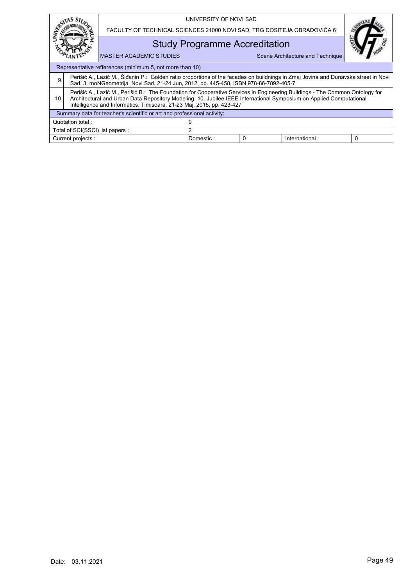|                                                                                                                                                                                                                                                                                                                                     |                       |  | UNIVERSITY OF NOVI SAD               |                                                                         |                                  |   |  |  |
|-------------------------------------------------------------------------------------------------------------------------------------------------------------------------------------------------------------------------------------------------------------------------------------------------------------------------------------|-----------------------|--|--------------------------------------|-------------------------------------------------------------------------|----------------------------------|---|--|--|
|                                                                                                                                                                                                                                                                                                                                     |                       |  |                                      | FACULTY OF TECHNICAL SCIENCES 21000 NOVI SAD, TRG DOSITEJA OBRADOVIĆA 6 |                                  |   |  |  |
|                                                                                                                                                                                                                                                                                                                                     |                       |  | <b>Study Programme Accreditation</b> |                                                                         |                                  |   |  |  |
| <b>MASTER ACADEMIC STUDIES</b>                                                                                                                                                                                                                                                                                                      |                       |  |                                      |                                                                         | Scene Architecture and Technique |   |  |  |
| Representative refferences (minimum 5, not more than 10)                                                                                                                                                                                                                                                                            |                       |  |                                      |                                                                         |                                  |   |  |  |
| Perišić A., Lazić M., Šiđanin P.: Golden ratio proportions of the facades on buildnings in Zmaj Jovina and Dunavska street in Novi<br>9.<br>Sad, 3. moNGeometrija, Novi Sad, 21-24 Jun, 2012, pp. 445-458, ISBN 978-86-7892-405-7                                                                                                   |                       |  |                                      |                                                                         |                                  |   |  |  |
| Perišić A., Lazić M., Perišić B.: The Foundation for Cooperative Services in Engineering Buildings - The Common Ontology for<br>Architectural and Urban Data Repository Modeling, 10. Jubilee IEEE International Symposium on Applied Computational<br>10.<br>Intelligence and Informatics, Timisoara, 21-23 Maj, 2015, pp. 423-427 |                       |  |                                      |                                                                         |                                  |   |  |  |
| Summary data for teacher's scientific or art and professional activity:                                                                                                                                                                                                                                                             |                       |  |                                      |                                                                         |                                  |   |  |  |
|                                                                                                                                                                                                                                                                                                                                     | 9<br>Quotation total: |  |                                      |                                                                         |                                  |   |  |  |
| $\overline{2}$<br>Total of SCI(SSCI) list papers :                                                                                                                                                                                                                                                                                  |                       |  |                                      |                                                                         |                                  |   |  |  |
| Current projects :                                                                                                                                                                                                                                                                                                                  |                       |  | Domestic:                            | 0                                                                       | International:                   | 0 |  |  |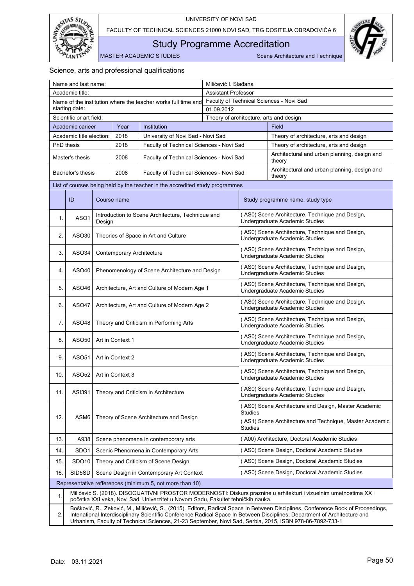

<span id="page-51-0"></span>Study Programme Accreditation

MASTER ACADEMIC STUDIES Scene Architecture and Technique

| Name and last name:                                                             |                          |                                                |                                  |                                                                                 | Milićević I. Slađana                     |                                                                                   |                                                                                                                                                                                                                                                                                                                                                                           |  |  |
|---------------------------------------------------------------------------------|--------------------------|------------------------------------------------|----------------------------------|---------------------------------------------------------------------------------|------------------------------------------|-----------------------------------------------------------------------------------|---------------------------------------------------------------------------------------------------------------------------------------------------------------------------------------------------------------------------------------------------------------------------------------------------------------------------------------------------------------------------|--|--|
|                                                                                 | Academic title:          |                                                |                                  |                                                                                 | <b>Assistant Professor</b>               |                                                                                   |                                                                                                                                                                                                                                                                                                                                                                           |  |  |
| Name of the institution where the teacher works full time and<br>starting date: |                          |                                                |                                  |                                                                                 | Faculty of Technical Sciences - Novi Sad |                                                                                   |                                                                                                                                                                                                                                                                                                                                                                           |  |  |
| Scientific or art field:                                                        |                          |                                                | 01.09.2012                       |                                                                                 |                                          |                                                                                   |                                                                                                                                                                                                                                                                                                                                                                           |  |  |
|                                                                                 | Academic carieer         |                                                | Year                             | Institution                                                                     |                                          |                                                                                   | Theory of architecture, arts and design<br>Field                                                                                                                                                                                                                                                                                                                          |  |  |
|                                                                                 | Academic title election: |                                                | 2018                             | University of Novi Sad - Novi Sad                                               |                                          |                                                                                   | Theory of architecture, arts and design                                                                                                                                                                                                                                                                                                                                   |  |  |
|                                                                                 | PhD thesis               |                                                | 2018                             | Faculty of Technical Sciences - Novi Sad                                        |                                          |                                                                                   | Theory of architecture, arts and design                                                                                                                                                                                                                                                                                                                                   |  |  |
|                                                                                 |                          |                                                |                                  |                                                                                 |                                          |                                                                                   | Architectural and urban planning, design and                                                                                                                                                                                                                                                                                                                              |  |  |
|                                                                                 | Master's thesis          |                                                | 2008                             | Faculty of Technical Sciences - Novi Sad                                        |                                          |                                                                                   | theory                                                                                                                                                                                                                                                                                                                                                                    |  |  |
|                                                                                 | Bachelor's thesis        |                                                | 2008                             | Faculty of Technical Sciences - Novi Sad                                        |                                          |                                                                                   | Architectural and urban planning, design and<br>theory                                                                                                                                                                                                                                                                                                                    |  |  |
|                                                                                 |                          |                                                |                                  | List of courses being held by the teacher in the accredited study programmes    |                                          |                                                                                   |                                                                                                                                                                                                                                                                                                                                                                           |  |  |
|                                                                                 | ID                       |                                                | Course name                      |                                                                                 |                                          |                                                                                   | Study programme name, study type                                                                                                                                                                                                                                                                                                                                          |  |  |
| 1.                                                                              | ASO <sub>1</sub>         | Design                                         |                                  | Introduction to Scene Architecture, Technique and                               |                                          |                                                                                   | (AS0) Scene Architecture, Technique and Design,<br>Undergraduate Academic Studies                                                                                                                                                                                                                                                                                         |  |  |
| 2.                                                                              | ASO30                    |                                                |                                  | Theories of Space in Art and Culture                                            |                                          |                                                                                   | (AS0) Scene Architecture, Technique and Design,<br>Undergraduate Academic Studies                                                                                                                                                                                                                                                                                         |  |  |
| 3.                                                                              | ASO <sub>34</sub>        |                                                | <b>Contemporary Architecture</b> |                                                                                 |                                          |                                                                                   | (AS0) Scene Architecture, Technique and Design,<br>Undergraduate Academic Studies                                                                                                                                                                                                                                                                                         |  |  |
| 4.                                                                              | ASO40                    | Phenomenology of Scene Architecture and Design |                                  |                                                                                 |                                          |                                                                                   | (AS0) Scene Architecture, Technique and Design,<br>Undergraduate Academic Studies                                                                                                                                                                                                                                                                                         |  |  |
| 5.                                                                              | ASO46                    | Architecture, Art and Culture of Modern Age 1  |                                  |                                                                                 |                                          |                                                                                   | (AS0) Scene Architecture, Technique and Design,<br>Undergraduate Academic Studies                                                                                                                                                                                                                                                                                         |  |  |
| 6.                                                                              | ASO47                    | Architecture, Art and Culture of Modern Age 2  |                                  |                                                                                 |                                          |                                                                                   | (AS0) Scene Architecture, Technique and Design,<br>Undergraduate Academic Studies                                                                                                                                                                                                                                                                                         |  |  |
| 7.                                                                              | ASO48                    |                                                |                                  | Theory and Criticism in Performing Arts                                         |                                          |                                                                                   | (AS0) Scene Architecture, Technique and Design,<br>Undergraduate Academic Studies                                                                                                                                                                                                                                                                                         |  |  |
| 8.                                                                              | ASO50                    |                                                | Art in Context 1                 |                                                                                 |                                          | (AS0) Scene Architecture, Technique and Design,<br>Undergraduate Academic Studies |                                                                                                                                                                                                                                                                                                                                                                           |  |  |
| 9.                                                                              | ASO51                    |                                                | Art in Context 2                 |                                                                                 |                                          |                                                                                   | (AS0) Scene Architecture, Technique and Design,<br>Undergraduate Academic Studies                                                                                                                                                                                                                                                                                         |  |  |
| 10.                                                                             | ASO <sub>52</sub>        |                                                | Art in Context 3                 |                                                                                 |                                          |                                                                                   | (AS0) Scene Architecture, Technique and Design,<br>Undergraduate Academic Studies                                                                                                                                                                                                                                                                                         |  |  |
| 11.                                                                             | ASI391                   |                                                |                                  | Theory and Criticism in Architecture                                            |                                          |                                                                                   | (AS0) Scene Architecture, Technique and Design<br>Undergraduate Academic Studies                                                                                                                                                                                                                                                                                          |  |  |
|                                                                                 |                          |                                                |                                  |                                                                                 |                                          | <b>Studies</b>                                                                    | (AS0) Scene Architecture and Design, Master Academic                                                                                                                                                                                                                                                                                                                      |  |  |
| 12.                                                                             | ASM <sub>6</sub>         | Theory of Scene Architecture and Design        |                                  |                                                                                 |                                          | Studies                                                                           | (AS1) Scene Architecture and Technique, Master Academic                                                                                                                                                                                                                                                                                                                   |  |  |
| 13.                                                                             | A938                     |                                                |                                  | Scene phenomena in contemporary arts                                            |                                          |                                                                                   | (A00) Architecture, Doctoral Academic Studies                                                                                                                                                                                                                                                                                                                             |  |  |
| 14.                                                                             | SDO <sub>1</sub>         |                                                |                                  | Scenic Phenomena in Contemporary Arts                                           |                                          |                                                                                   | (AS0) Scene Design, Doctoral Academic Studies                                                                                                                                                                                                                                                                                                                             |  |  |
| 15.                                                                             | SDO <sub>10</sub>        |                                                |                                  | Theory and Criticism of Scene Design                                            |                                          |                                                                                   | (AS0) Scene Design, Doctoral Academic Studies                                                                                                                                                                                                                                                                                                                             |  |  |
| 16.                                                                             | SID5SD                   |                                                |                                  | Scene Design in Contemporary Art Context                                        |                                          |                                                                                   | (AS0) Scene Design, Doctoral Academic Studies                                                                                                                                                                                                                                                                                                                             |  |  |
|                                                                                 |                          |                                                |                                  | Representative refferences (minimum 5, not more than 10)                        |                                          |                                                                                   |                                                                                                                                                                                                                                                                                                                                                                           |  |  |
|                                                                                 |                          |                                                |                                  |                                                                                 |                                          |                                                                                   | Milićević S. (2018). DISOCIJATIVNI PROSTOR MODERNOSTI: Diskurs praznine u arhitekturi i vizuelnim umetnostima XX i                                                                                                                                                                                                                                                        |  |  |
| 1.                                                                              |                          |                                                |                                  | početka XXI veka, Novi Sad, Univerzitet u Novom Sadu, Fakultet tehničkih nauka. |                                          |                                                                                   |                                                                                                                                                                                                                                                                                                                                                                           |  |  |
| 2.                                                                              |                          |                                                |                                  |                                                                                 |                                          |                                                                                   | Bošković, R., Zeković, M., Milićević, S., (2015). Editors, Radical Space In Between Disciplines, Conference Book of Proceedings,<br>Intenational Interdisciplinary Scientific Conference Radical Space In Between Disciplines, Department of Architecture and<br>Urbanism, Faculty of Technical Sciences, 21-23 September, Novi Sad, Serbia, 2015, ISBN 978-86-7892-733-1 |  |  |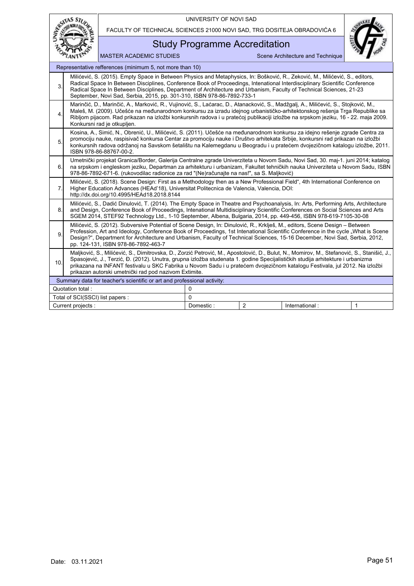|                       |                                                                                                                                                                                                                                                                                                                                                                                                                                                                     |                                                                                                                                                                                                                                                                                                                                                                                                                                                             | UNIVERSITY OF NOVI SAD               |                |                                  |              |  |  |
|-----------------------|---------------------------------------------------------------------------------------------------------------------------------------------------------------------------------------------------------------------------------------------------------------------------------------------------------------------------------------------------------------------------------------------------------------------------------------------------------------------|-------------------------------------------------------------------------------------------------------------------------------------------------------------------------------------------------------------------------------------------------------------------------------------------------------------------------------------------------------------------------------------------------------------------------------------------------------------|--------------------------------------|----------------|----------------------------------|--------------|--|--|
| RSITAS STU            |                                                                                                                                                                                                                                                                                                                                                                                                                                                                     | FACULTY OF TECHNICAL SCIENCES 21000 NOVI SAD, TRG DOSITEJA OBRADOVIĆA 6                                                                                                                                                                                                                                                                                                                                                                                     |                                      |                |                                  |              |  |  |
|                       |                                                                                                                                                                                                                                                                                                                                                                                                                                                                     |                                                                                                                                                                                                                                                                                                                                                                                                                                                             | <b>Study Programme Accreditation</b> |                |                                  |              |  |  |
|                       |                                                                                                                                                                                                                                                                                                                                                                                                                                                                     | <b>MASTER ACADEMIC STUDIES</b>                                                                                                                                                                                                                                                                                                                                                                                                                              |                                      |                | Scene Architecture and Technique |              |  |  |
|                       |                                                                                                                                                                                                                                                                                                                                                                                                                                                                     | Representative refferences (minimum 5, not more than 10)                                                                                                                                                                                                                                                                                                                                                                                                    |                                      |                |                                  |              |  |  |
| 3                     |                                                                                                                                                                                                                                                                                                                                                                                                                                                                     | Milićević, S. (2015). Empty Space in Between Physics and Metaphysics, In: Bošković, R., Zeković, M., Milićević, S., editors,<br>Radical Space In Between Disciplines, Conference Book of Proceedings, Intenational Interdisciplinary Scientific Conference<br>Radical Space In Between Disciplines, Department of Architecture and Urbanism, Faculty of Technical Sciences, 21-23<br>September, Novi Sad, Serbia, 2015, pp. 301-310, ISBN 978-86-7892-733-1 |                                      |                |                                  |              |  |  |
| $\overline{4}$ .      | Marinčić, D., Marinčić, A., Marković, R., Vujinović, S., Laćarac, D., Atanacković, S., Madžgalj, A., Milićević, S., Stojković, M.,<br>Maleš, M. (2009). Učešće na međunarodnom konkursu za izradu idejnog urbanističko-arhitektonskog rešenja Trga Republike sa<br>Ribljom pijacom. Rad prikazan na izložbi konkursnih radova i u pratećoj publikaciji izložbe na srpskom jeziku, 16 - 22. maja 2009.<br>Konkursni rad je otkupljen.                                |                                                                                                                                                                                                                                                                                                                                                                                                                                                             |                                      |                |                                  |              |  |  |
| 5.                    | Kosina, A., Simić, N., Obrenić, U., Milićević, S. (2011). Učešće na međunarodnom konkursu za idejno rešenje zgrade Centra za<br>promociju nauke, raspisivač konkursa Centar za promociju nauke i Društvo arhitekata Srbije, konkursni rad prikazan na izložbi<br>konkursnih radova održanoj na Savskom šetalištu na Kalemegdanu u Beogradu i u pratećem dvojezičnom katalogu izložbe, 2011.<br>ISBN 978-86-88767-00-2.                                              |                                                                                                                                                                                                                                                                                                                                                                                                                                                             |                                      |                |                                  |              |  |  |
| 6.                    |                                                                                                                                                                                                                                                                                                                                                                                                                                                                     | Umetnički projekat Granica/Border, Galerija Centralne zgrade Univerziteta u Novom Sadu, Novi Sad, 30. maj-1. juni 2014; katalog<br>na srpskom i engleskom jeziku, Departman za arhitekturu i urbanizam, Fakultet tehničkih nauka Univerziteta u Novom Sadu, ISBN<br>978-86-7892-671-6. (rukovodilac radionice za rad "(Ne)računajte na nas!", sa S. Maljković)                                                                                              |                                      |                |                                  |              |  |  |
| 7.                    |                                                                                                                                                                                                                                                                                                                                                                                                                                                                     | Milićević, S. (2018). Scene Design: First as a Methodology then as a New Professional Field", 4th International Conference on<br>Higher Education Advances (HEAd'18), Universitat Politecnica de Valencia, Valencia, DOI:<br>http://dx.doi.org/10.4995/HEAd18.2018.8144                                                                                                                                                                                     |                                      |                |                                  |              |  |  |
| 8.                    | Milićević, S., Dadić Dinulović, T. (2014). The Empty Space in Theatre and Psychoanalysis, In: Arts, Performing Arts, Architecture<br>and Design, Conference Book of Proceedings, Intenational Multidisciplinary Scientific Conferences on Social Sciences and Arts<br>SGEM 2014, STEF92 Technology Ltd., 1-10 September, Albena, Bulgaria, 2014, pp. 449-456, ISBN 978-619-7105-30-08                                                                               |                                                                                                                                                                                                                                                                                                                                                                                                                                                             |                                      |                |                                  |              |  |  |
| 9.                    | Milićević, S. (2012). Subversive Potential of Scene Design, In: Dinulović, R., Krklješ, M., editors, Scene Design – Between<br>Profession, Art and Ideology, Conference Book of Proceedings, 1st Intenational Scientific Conference in the cycle "What is Scene<br>Design?", Department for Architecture and Urbanism, Faculty of Technical Sciences, 15-16 December, Novi Sad, Serbia, 2012,<br>pp. 124-131, ISBN 978-86-7892-463-7                                |                                                                                                                                                                                                                                                                                                                                                                                                                                                             |                                      |                |                                  |              |  |  |
| 10.                   | Maljković, S., Milićević, S., Dimitrovska, D., Zorzić Petrović, M., Apostolović, D., Bulut, N., Momirov, M., Stefanović, S., Stanišić, J.,<br>Spasojević, J., Terzić, Đ. (2012). Unutra, grupna izložba studenata 1. godine Specijalističkih studija arhitekture i urbanizma<br>prikazana na INFANT festivalu u SKC Fabrika u Novom Sadu i u pratećem dvojezičnom katalogu Festivala, jul 2012. Na izložbi<br>prikazan autorski umetnički rad pod nazivom Extimite. |                                                                                                                                                                                                                                                                                                                                                                                                                                                             |                                      |                |                                  |              |  |  |
|                       |                                                                                                                                                                                                                                                                                                                                                                                                                                                                     | Summary data for teacher's scientific or art and professional activity:                                                                                                                                                                                                                                                                                                                                                                                     |                                      |                |                                  |              |  |  |
| Quotation total:<br>0 |                                                                                                                                                                                                                                                                                                                                                                                                                                                                     |                                                                                                                                                                                                                                                                                                                                                                                                                                                             |                                      |                |                                  |              |  |  |
|                       | Total of SCI(SSCI) list papers :                                                                                                                                                                                                                                                                                                                                                                                                                                    |                                                                                                                                                                                                                                                                                                                                                                                                                                                             | $\Omega$                             |                |                                  |              |  |  |
|                       | Current projects :                                                                                                                                                                                                                                                                                                                                                                                                                                                  |                                                                                                                                                                                                                                                                                                                                                                                                                                                             | Domestic:                            | $\overline{2}$ | International:                   | $\mathbf{1}$ |  |  |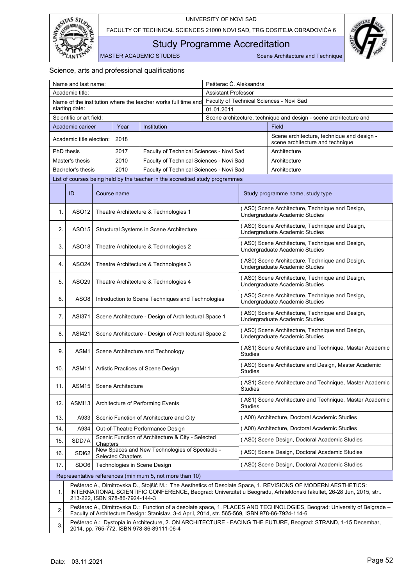



<span id="page-53-0"></span>Study Programme Accreditation

MASTER ACADEMIC STUDIES Scene Architecture and Technique

| Name and last name:                                           |                          |                                                      |                                 |                                                                                                  | Pešterac Č. Aleksandra                   |                |                                                                                                                                                                                                                                     |
|---------------------------------------------------------------|--------------------------|------------------------------------------------------|---------------------------------|--------------------------------------------------------------------------------------------------|------------------------------------------|----------------|-------------------------------------------------------------------------------------------------------------------------------------------------------------------------------------------------------------------------------------|
| Academic title:                                               |                          |                                                      | <b>Assistant Professor</b>      |                                                                                                  |                                          |                |                                                                                                                                                                                                                                     |
| Name of the institution where the teacher works full time and |                          |                                                      |                                 |                                                                                                  | Faculty of Technical Sciences - Novi Sad |                |                                                                                                                                                                                                                                     |
| starting date:                                                |                          |                                                      | 01.01.2011                      |                                                                                                  |                                          |                |                                                                                                                                                                                                                                     |
|                                                               | Scientific or art field: |                                                      |                                 |                                                                                                  |                                          |                | Scene architecture, technique and design - scene architecture and                                                                                                                                                                   |
|                                                               | Academic carieer         |                                                      | Year                            | Institution                                                                                      |                                          |                | <b>Field</b>                                                                                                                                                                                                                        |
|                                                               | Academic title election: |                                                      | 2018                            |                                                                                                  |                                          |                | Scene architecture, technique and design -<br>scene architecture and technique                                                                                                                                                      |
|                                                               | PhD thesis               |                                                      | 2017                            | Faculty of Technical Sciences - Novi Sad                                                         |                                          |                | Architecture                                                                                                                                                                                                                        |
|                                                               | Master's thesis          |                                                      | 2010                            | Faculty of Technical Sciences - Novi Sad                                                         |                                          |                | Architecture                                                                                                                                                                                                                        |
|                                                               | Bachelor's thesis        |                                                      | 2010                            | Faculty of Technical Sciences - Novi Sad                                                         |                                          |                | Architecture                                                                                                                                                                                                                        |
|                                                               |                          |                                                      |                                 | List of courses being held by the teacher in the accredited study programmes                     |                                          |                |                                                                                                                                                                                                                                     |
|                                                               | ID                       |                                                      | Course name                     |                                                                                                  |                                          |                | Study programme name, study type                                                                                                                                                                                                    |
| 1.                                                            | ASO <sub>12</sub>        |                                                      |                                 | Theatre Architecture & Technologies 1                                                            |                                          |                | (AS0) Scene Architecture, Technique and Design,<br>Undergraduate Academic Studies                                                                                                                                                   |
| 2.                                                            | ASO15                    |                                                      |                                 | Structural Systems in Scene Architecture                                                         |                                          |                | (AS0) Scene Architecture, Technique and Design,<br>Undergraduate Academic Studies                                                                                                                                                   |
| 3.                                                            | ASO18                    |                                                      |                                 | Theatre Architecture & Technologies 2                                                            |                                          |                | (AS0) Scene Architecture, Technique and Design,<br>Undergraduate Academic Studies                                                                                                                                                   |
| 4.                                                            | ASO <sub>24</sub>        | Theatre Architecture & Technologies 3                |                                 |                                                                                                  |                                          |                | (AS0) Scene Architecture, Technique and Design,<br>Undergraduate Academic Studies                                                                                                                                                   |
| 5.                                                            | ASO <sub>29</sub>        | Theatre Architecture & Technologies 4                |                                 |                                                                                                  |                                          |                | (AS0) Scene Architecture, Technique and Design,<br>Undergraduate Academic Studies                                                                                                                                                   |
| 6.                                                            | ASO <sub>8</sub>         | Introduction to Scene Techniques and Technologies    |                                 |                                                                                                  |                                          |                | (AS0) Scene Architecture, Technique and Design,<br>Undergraduate Academic Studies                                                                                                                                                   |
| 7.                                                            | ASI371                   | Scene Architecture - Design of Architectural Space 1 |                                 |                                                                                                  |                                          |                | (AS0) Scene Architecture, Technique and Design,<br>Undergraduate Academic Studies                                                                                                                                                   |
| 8.                                                            | ASI421                   |                                                      |                                 | Scene Architecture - Design of Architectural Space 2                                             |                                          |                | (AS0) Scene Architecture, Technique and Design,<br>Undergraduate Academic Studies                                                                                                                                                   |
| 9.                                                            | ASM1                     |                                                      |                                 | Scene Architecture and Technology                                                                |                                          | <b>Studies</b> | (AS1) Scene Architecture and Technique, Master Academic                                                                                                                                                                             |
| 10.                                                           | ASM11                    |                                                      |                                 | Artistic Practices of Scene Design                                                               |                                          | <b>Studies</b> | (AS0) Scene Architecture and Design, Master Academic                                                                                                                                                                                |
| 11.                                                           | ASM <sub>15</sub>        |                                                      | Scene Architecture              |                                                                                                  |                                          | <b>Studies</b> | (AS1) Scene Architecture and Technique, Master Academic                                                                                                                                                                             |
| 12.                                                           | ASMI13                   |                                                      |                                 | Architecture of Performing Events                                                                |                                          | <b>Studies</b> | (AS1) Scene Architecture and Technique, Master Academic                                                                                                                                                                             |
| 13.                                                           | A933                     |                                                      |                                 | Scenic Function of Architecture and City                                                         |                                          |                | (A00) Architecture, Doctoral Academic Studies                                                                                                                                                                                       |
| 14.                                                           | A934                     |                                                      |                                 | Out-of-Theatre Performance Design                                                                |                                          |                | (A00) Architecture, Doctoral Academic Studies                                                                                                                                                                                       |
| 15.                                                           | SDD7A                    | Chapters                                             |                                 | Scenic Function of Architecture & City - Selected                                                |                                          |                | (AS0) Scene Design, Doctoral Academic Studies                                                                                                                                                                                       |
| 16.                                                           | SDI62                    |                                                      | <b>Selected Chapters</b>        | New Spaces and New Technologies of Spectacle -                                                   |                                          |                | (AS0) Scene Design, Doctoral Academic Studies                                                                                                                                                                                       |
| 17.                                                           | SDO <sub>6</sub>         |                                                      |                                 | Technologies in Scene Design                                                                     |                                          |                | (AS0) Scene Design, Doctoral Academic Studies                                                                                                                                                                                       |
|                                                               |                          |                                                      |                                 | Representative refferences (minimum 5, not more than 10)                                         |                                          |                |                                                                                                                                                                                                                                     |
| 1.                                                            |                          |                                                      | 213-222, ISBN 978-86-7924-144-3 |                                                                                                  |                                          |                | Pešterac A., Dimitrovska D., Stojšić M.: The Aesthetics of Desolate Space, 1. REVISIONS OF MODERN AESTHETICS:<br>INTERNATIONAL SCIENTIFIC CONFERENCE, Beograd: Univerzitet u Beogradu, Arhitektonski fakultet, 26-28 Jun, 2015, str |
| 2.                                                            |                          |                                                      |                                 | Faculty of Architecture Design: Stanislav, 3-4 April, 2014, str. 565-569, ISBN 978-86-7924-114-6 |                                          |                | Pešterac A., Dimitrovska D.: Function of a desolate space, 1. PLACES AND TECHNOLOGIES, Beograd: University of Belgrade –                                                                                                            |
| 3.                                                            |                          |                                                      |                                 | 2014, pp. 765-772, ISBN 978-86-89111-06-4                                                        |                                          |                | Pešterac A.: Dystopia in Architecture, 2. ON ARCHITECTURE - FACING THE FUTURE, Beograd: STRAND, 1-15 Decembar,                                                                                                                      |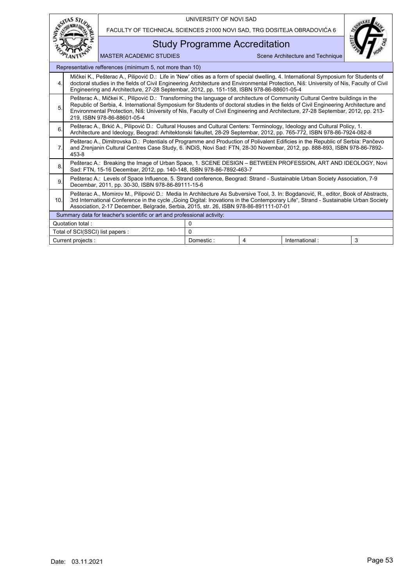|                                                             |                                                                                                                                                                                                                                                                                                                                                                                                                                         |                                                                                                                                                                                                                                                                                                                                                                             | UNIVERSITY OF NOVI SAD |  |                                  |  |
|-------------------------------------------------------------|-----------------------------------------------------------------------------------------------------------------------------------------------------------------------------------------------------------------------------------------------------------------------------------------------------------------------------------------------------------------------------------------------------------------------------------------|-----------------------------------------------------------------------------------------------------------------------------------------------------------------------------------------------------------------------------------------------------------------------------------------------------------------------------------------------------------------------------|------------------------|--|----------------------------------|--|
|                                                             |                                                                                                                                                                                                                                                                                                                                                                                                                                         | FACULTY OF TECHNICAL SCIENCES 21000 NOVI SAD, TRG DOSITEJA OBRADOVIĆA 6                                                                                                                                                                                                                                                                                                     |                        |  |                                  |  |
|                                                             |                                                                                                                                                                                                                                                                                                                                                                                                                                         | <b>Study Programme Accreditation</b>                                                                                                                                                                                                                                                                                                                                        |                        |  |                                  |  |
|                                                             |                                                                                                                                                                                                                                                                                                                                                                                                                                         | <b>MASTER ACADEMIC STUDIES</b>                                                                                                                                                                                                                                                                                                                                              |                        |  | Scene Architecture and Technique |  |
|                                                             |                                                                                                                                                                                                                                                                                                                                                                                                                                         | Representative refferences (minimum 5, not more than 10)                                                                                                                                                                                                                                                                                                                    |                        |  |                                  |  |
| $\overline{4}$ .                                            |                                                                                                                                                                                                                                                                                                                                                                                                                                         | Mičkei K., Pešterac A., Pilipović D.: Life in 'New' cities as a form of special dwelling, 4. International Symposium for Students of<br>doctoral studies in the fields of Civil Engineering Architecture and Environmental Protection, Niš: University of Nis, Faculty of Civil<br>Engineering and Architecture, 27-28 Septembar, 2012, pp. 151-158, ISBN 978-86-88601-05-4 |                        |  |                                  |  |
| 5.                                                          | Pešterac A., Mičkei K., Pilipović D.: Transforming the language of architecture of Community Cultural Centre buildings in the<br>Republic of Serbia, 4. International Symposium for Students of doctoral studies in the fields of Civil Engineering Architecture and<br>Environmental Protection, Niš: University of Nis, Faculty of Civil Engineering and Architecture, 27-28 Septembar, 2012, pp. 213-<br>219. ISBN 978-86-88601-05-4 |                                                                                                                                                                                                                                                                                                                                                                             |                        |  |                                  |  |
| 6                                                           |                                                                                                                                                                                                                                                                                                                                                                                                                                         | Pešterac A., Brkić A., Pilipović D.: Cultural Houses and Cultural Centers: Terminology, Ideology and Cultural Policy, 1.<br>Architecture and Ideology, Beograd: Arhitektonski fakultet, 28-29 Septembar, 2012, pp. 765-772, ISBN 978-86-7924-082-8                                                                                                                          |                        |  |                                  |  |
| 7.                                                          | 453-8                                                                                                                                                                                                                                                                                                                                                                                                                                   | Pešterac A., Dimitrovska D.: Potentials of Programme and Production of Polivalent Edificies in the Republic of Serbia: Pančevo<br>and Zrenjanin Cultural Centres Case Study, 6. iNDiS, Novi Sad: FTN, 28-30 Novembar, 2012, pp. 888-893, ISBN 978-86-7892-                                                                                                                  |                        |  |                                  |  |
| 8.                                                          |                                                                                                                                                                                                                                                                                                                                                                                                                                         | Pešterac A.: Breaking the Image of Urban Space, 1. SCENE DESIGN - BETWEEN PROFESSION, ART AND IDEOLOGY, Novi<br>Sad: FTN, 15-16 Decembar, 2012, pp. 140-148, ISBN 978-86-7892-463-7                                                                                                                                                                                         |                        |  |                                  |  |
| 9.                                                          | Pešterac A.: Levels of Space Influence, 5. Strand conference, Beograd: Strand - Sustainable Urban Society Association, 7-9<br>Decembar, 2011, pp. 30-30, ISBN 978-86-89111-15-6                                                                                                                                                                                                                                                         |                                                                                                                                                                                                                                                                                                                                                                             |                        |  |                                  |  |
| 10.                                                         | Pešterac A., Momirov M., Pilipović D.: Media In Architecture As Subversive Tool, 3. In: Bogdanović, R., editor, Book of Abstracts,<br>3rd International Conference in the cycle "Going Digital: Inovations in the Contemporary Life", Strand - Sustainable Urban Society<br>Association, 2-17 December, Belgrade, Serbia, 2015, str. 26, ISBN 978-86-891111-07-01                                                                       |                                                                                                                                                                                                                                                                                                                                                                             |                        |  |                                  |  |
|                                                             | Summary data for teacher's scientific or art and professional activity:                                                                                                                                                                                                                                                                                                                                                                 |                                                                                                                                                                                                                                                                                                                                                                             |                        |  |                                  |  |
| Quotation total:<br>0                                       |                                                                                                                                                                                                                                                                                                                                                                                                                                         |                                                                                                                                                                                                                                                                                                                                                                             |                        |  |                                  |  |
|                                                             | $\Omega$<br>Total of SCI(SSCI) list papers :                                                                                                                                                                                                                                                                                                                                                                                            |                                                                                                                                                                                                                                                                                                                                                                             |                        |  |                                  |  |
| Domestic:<br>International:<br>3<br>Current projects :<br>4 |                                                                                                                                                                                                                                                                                                                                                                                                                                         |                                                                                                                                                                                                                                                                                                                                                                             |                        |  |                                  |  |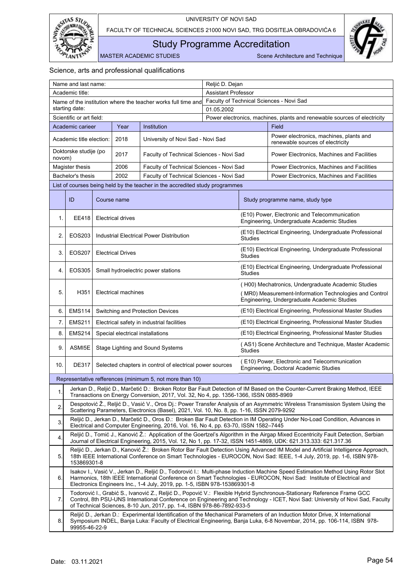



<span id="page-55-0"></span>Study Programme Accreditation

MASTER ACADEMIC STUDIES Scene Architecture and Technique

| Name and last name:                                           |                                                                                                                                                                                                                                                                                                                                    |                                  |                                          |                                                                                            | Reljić D. Dejan            |                                                                                                              |                                                                                                                                                                                                                                                         |  |
|---------------------------------------------------------------|------------------------------------------------------------------------------------------------------------------------------------------------------------------------------------------------------------------------------------------------------------------------------------------------------------------------------------|----------------------------------|------------------------------------------|--------------------------------------------------------------------------------------------|----------------------------|--------------------------------------------------------------------------------------------------------------|---------------------------------------------------------------------------------------------------------------------------------------------------------------------------------------------------------------------------------------------------------|--|
|                                                               | Academic title:                                                                                                                                                                                                                                                                                                                    |                                  |                                          |                                                                                            | <b>Assistant Professor</b> |                                                                                                              |                                                                                                                                                                                                                                                         |  |
| Name of the institution where the teacher works full time and |                                                                                                                                                                                                                                                                                                                                    |                                  | Faculty of Technical Sciences - Novi Sad |                                                                                            |                            |                                                                                                              |                                                                                                                                                                                                                                                         |  |
| starting date:                                                |                                                                                                                                                                                                                                                                                                                                    |                                  | 01.05.2002                               |                                                                                            |                            |                                                                                                              |                                                                                                                                                                                                                                                         |  |
|                                                               | Scientific or art field:                                                                                                                                                                                                                                                                                                           |                                  |                                          |                                                                                            |                            |                                                                                                              | Power electronics, machines, plants and renewable sources of electricity                                                                                                                                                                                |  |
|                                                               | Academic carieer                                                                                                                                                                                                                                                                                                                   |                                  | Year                                     | Institution                                                                                |                            |                                                                                                              | Field                                                                                                                                                                                                                                                   |  |
|                                                               | Academic title election:                                                                                                                                                                                                                                                                                                           |                                  | 2018                                     | University of Novi Sad - Novi Sad                                                          |                            |                                                                                                              | Power electronics, machines, plants and<br>renewable sources of electricity                                                                                                                                                                             |  |
| novom)                                                        | Doktorske studije (po                                                                                                                                                                                                                                                                                                              |                                  | 2017                                     | Faculty of Technical Sciences - Novi Sad                                                   |                            |                                                                                                              | Power Electronics, Machines and Facilities                                                                                                                                                                                                              |  |
|                                                               | Magister thesis                                                                                                                                                                                                                                                                                                                    |                                  | 2006                                     | Faculty of Technical Sciences - Novi Sad                                                   |                            |                                                                                                              | Power Electronics, Machines and Facilities                                                                                                                                                                                                              |  |
|                                                               | Bachelor's thesis                                                                                                                                                                                                                                                                                                                  |                                  | 2002                                     | Faculty of Technical Sciences - Novi Sad                                                   |                            |                                                                                                              | Power Electronics, Machines and Facilities                                                                                                                                                                                                              |  |
|                                                               |                                                                                                                                                                                                                                                                                                                                    |                                  |                                          | List of courses being held by the teacher in the accredited study programmes               |                            |                                                                                                              |                                                                                                                                                                                                                                                         |  |
|                                                               | ID                                                                                                                                                                                                                                                                                                                                 |                                  | Course name                              |                                                                                            |                            |                                                                                                              | Study programme name, study type                                                                                                                                                                                                                        |  |
| 1.                                                            | EE418                                                                                                                                                                                                                                                                                                                              |                                  | <b>Electrical drives</b>                 |                                                                                            |                            |                                                                                                              | (E10) Power, Electronic and Telecommunication<br>Engineering, Undergraduate Academic Studies                                                                                                                                                            |  |
| 2.                                                            | EOS203                                                                                                                                                                                                                                                                                                                             |                                  |                                          | Industrial Electrical Power Distribution                                                   |                            | <b>Studies</b>                                                                                               | (E10) Electrical Engineering, Undergraduate Professional                                                                                                                                                                                                |  |
| 3.                                                            | <b>EOS207</b>                                                                                                                                                                                                                                                                                                                      |                                  | <b>Electrical Drives</b>                 |                                                                                            |                            | <b>Studies</b>                                                                                               | (E10) Electrical Engineering, Undergraduate Professional                                                                                                                                                                                                |  |
| 4.                                                            | <b>EOS305</b>                                                                                                                                                                                                                                                                                                                      |                                  |                                          | Small hydroelectric power stations                                                         |                            | Studies                                                                                                      | (E10) Electrical Engineering, Undergraduate Professional                                                                                                                                                                                                |  |
| 5.                                                            | H351                                                                                                                                                                                                                                                                                                                               |                                  |                                          |                                                                                            |                            | (H00) Mechatronics, Undergraduate Academic Studies<br>(MR0) Measurement-Information Technologies and Control |                                                                                                                                                                                                                                                         |  |
|                                                               |                                                                                                                                                                                                                                                                                                                                    | <b>Electrical machines</b>       |                                          |                                                                                            |                            | Engineering, Undergraduate Academic Studies                                                                  |                                                                                                                                                                                                                                                         |  |
| 6.                                                            | <b>EMS114</b>                                                                                                                                                                                                                                                                                                                      | Switching and Protection Devices |                                          |                                                                                            |                            |                                                                                                              | (E10) Electrical Engineering, Professional Master Studies                                                                                                                                                                                               |  |
| 7.                                                            | <b>EMS211</b>                                                                                                                                                                                                                                                                                                                      |                                  |                                          | Electrical safety in industrial facilities                                                 |                            | (E10) Electrical Engineering, Professional Master Studies                                                    |                                                                                                                                                                                                                                                         |  |
| 8.                                                            | <b>EMS214</b>                                                                                                                                                                                                                                                                                                                      |                                  |                                          | Special electrical installations                                                           |                            | (E10) Electrical Engineering, Professional Master Studies                                                    |                                                                                                                                                                                                                                                         |  |
| 9.                                                            | ASMI5E                                                                                                                                                                                                                                                                                                                             |                                  |                                          | Stage Lighting and Sound Systems                                                           |                            | (AS1) Scene Architecture and Technique, Master Academic<br><b>Studies</b>                                    |                                                                                                                                                                                                                                                         |  |
| 10.                                                           | <b>DE317</b>                                                                                                                                                                                                                                                                                                                       |                                  |                                          | Selected chapters in control of electrical power sources                                   |                            |                                                                                                              | E10) Power, Electronic and Telecommunication<br>Engineering, Doctoral Academic Studies                                                                                                                                                                  |  |
|                                                               |                                                                                                                                                                                                                                                                                                                                    |                                  |                                          | Representative refferences (minimum 5, not more than 10)                                   |                            |                                                                                                              |                                                                                                                                                                                                                                                         |  |
| 1.                                                            |                                                                                                                                                                                                                                                                                                                                    |                                  |                                          | Transactions on Energy Conversion, 2017, Vol. 32, No 4, pp. 1356-1366, ISSN 0885-8969      |                            |                                                                                                              | Jerkan D., Reljić D., Marčetić D.: Broken Rotor Bar Fault Detection of IM Based on the Counter-Current Braking Method, IEEE                                                                                                                             |  |
| 2.                                                            |                                                                                                                                                                                                                                                                                                                                    |                                  |                                          | Scattering Parameters, Electronics (Basel), 2021, Vol. 10, No. 8, pp. 1-16, ISSN 2079-9292 |                            |                                                                                                              | Despotović Ž., Reljić D., Vasić V., Oros Dj.: Power Transfer Analysis of an Asymmetric Wireless Transmission System Using the                                                                                                                           |  |
| 3.                                                            |                                                                                                                                                                                                                                                                                                                                    |                                  |                                          | Electrical and Computer Engineering, 2016, Vol. 16, No 4, pp. 63-70, ISSN 1582-7445        |                            |                                                                                                              | Reljić D., Jerkan D., Marčetić D., Oros Đ.: Broken Bar Fault Detection in IM Operating Under No-Load Condition, Advances in                                                                                                                             |  |
| 4.                                                            |                                                                                                                                                                                                                                                                                                                                    |                                  |                                          |                                                                                            |                            |                                                                                                              | Reljić D., Tomić J., Kanović Ž.: Application of the Goertzel's Algorithm in the Airgap Mixed Eccentricity Fault Detection, Serbian<br>Journal of Electrical Engineering, 2015, Vol. 12, No 1, pp. 17-32, ISSN 1451-4869, UDK: 621.313.333: 621.317.36   |  |
| 5.                                                            | Reljić D., Jerkan D., Kanović Ž.: Broken Rotor Bar Fault Detection Using Advanced IM Model and Artificial Intelligence Approach,<br>18th IEEE International Conference on Smart Technologies - EUROCON, Novi Sad: IEEE, 1-4 July, 2019, pp. 1-6, ISBN 978-<br>153869301-8                                                          |                                  |                                          |                                                                                            |                            |                                                                                                              |                                                                                                                                                                                                                                                         |  |
| 6.                                                            |                                                                                                                                                                                                                                                                                                                                    |                                  |                                          | Electronics Engineers Inc., 1-4 July, 2019, pp. 1-5, ISBN 978-153869301-8                  |                            |                                                                                                              | Isakov I., Vasić V., Jerkan D., Reljić D., Todorović I.: Multi-phase Induction Machine Speed Estimation Method Using Rotor Slot<br>Harmonics, 18th IEEE International Conference on Smart Technologies - EUROCON, Novi Sad: Institute of Electrical and |  |
| 7.                                                            | Todorović I., Grabić S., Ivanović Z., Reljić D., Popović V.: Flexible Hybrid Synchronous-Stationary Reference Frame GCC<br>Control, 8th PSU-UNS International Conference on Engineering and Technology - ICET, Novi Sad: University of Novi Sad, Faculty<br>of Technical Sciences, 8-10 Jun, 2017, pp. 1-4, ISBN 978-86-7892-933-5 |                                  |                                          |                                                                                            |                            |                                                                                                              |                                                                                                                                                                                                                                                         |  |
| 8.                                                            | 99955-46-22-9                                                                                                                                                                                                                                                                                                                      |                                  |                                          |                                                                                            |                            |                                                                                                              | Reljić D., Jerkan D.: Experimental Identification of the Mechanical Parameters of an Induction Motor Drive, X International<br>Symposium INDEL, Banja Luka: Faculty of Electrical Engineering, Banja Luka, 6-8 Novembar, 2014, pp. 106-114, ISBN 978-   |  |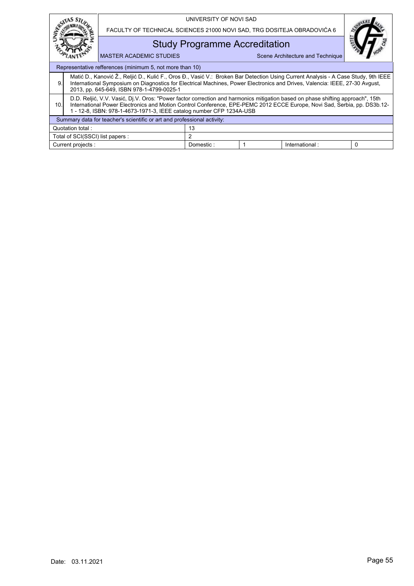|                                                                         |                                                                                                                                                                                                                                                                                                                                    |                                                                                                                                                                                                                                                                                                                | UNIVERSITY OF NOVI SAD               |  |                                  |          |  |  |  |
|-------------------------------------------------------------------------|------------------------------------------------------------------------------------------------------------------------------------------------------------------------------------------------------------------------------------------------------------------------------------------------------------------------------------|----------------------------------------------------------------------------------------------------------------------------------------------------------------------------------------------------------------------------------------------------------------------------------------------------------------|--------------------------------------|--|----------------------------------|----------|--|--|--|
|                                                                         |                                                                                                                                                                                                                                                                                                                                    | FACULTY OF TECHNICAL SCIENCES 21000 NOVI SAD, TRG DOSITEJA OBRADOVIĆA 6                                                                                                                                                                                                                                        |                                      |  |                                  |          |  |  |  |
|                                                                         |                                                                                                                                                                                                                                                                                                                                    |                                                                                                                                                                                                                                                                                                                | <b>Study Programme Accreditation</b> |  |                                  |          |  |  |  |
| <b>MASTER ACADEMIC STUDIES</b>                                          |                                                                                                                                                                                                                                                                                                                                    |                                                                                                                                                                                                                                                                                                                |                                      |  | Scene Architecture and Technique |          |  |  |  |
|                                                                         | Representative refferences (minimum 5, not more than 10)                                                                                                                                                                                                                                                                           |                                                                                                                                                                                                                                                                                                                |                                      |  |                                  |          |  |  |  |
| 9.                                                                      |                                                                                                                                                                                                                                                                                                                                    | Matić D., Kanović Ž., Reljić D., Kulić F., Oros Đ., Vasić V.: Broken Bar Detection Using Current Analysis - A Case Study, 9th IEEE<br>International Symposium on Diagnostics for Electrical Machines, Power Electronics and Drives, Valencia: IEEE, 27-30 Avgust,<br>2013, pp. 645-649, ISBN 978-1-4799-0025-1 |                                      |  |                                  |          |  |  |  |
| 10.                                                                     | D.D. Reljić, V.V. Vasić, Dj.V. Oros: "Power factor correction and harmonics mitigation based on phase shifting approach", 15th<br>International Power Electronics and Motion Control Conference, EPE-PEMC 2012 ECCE Europe, Novi Sad, Serbia, pp. DS3b.12-<br>1 - 12-8, ISBN: 978-1-4673-1971-3, IEEE catalog number CFP 1234A-USB |                                                                                                                                                                                                                                                                                                                |                                      |  |                                  |          |  |  |  |
| Summary data for teacher's scientific or art and professional activity: |                                                                                                                                                                                                                                                                                                                                    |                                                                                                                                                                                                                                                                                                                |                                      |  |                                  |          |  |  |  |
|                                                                         | Quotation total :<br>13                                                                                                                                                                                                                                                                                                            |                                                                                                                                                                                                                                                                                                                |                                      |  |                                  |          |  |  |  |
| $\overline{2}$<br>Total of SCI(SSCI) list papers :                      |                                                                                                                                                                                                                                                                                                                                    |                                                                                                                                                                                                                                                                                                                |                                      |  |                                  |          |  |  |  |
| Current projects :                                                      |                                                                                                                                                                                                                                                                                                                                    |                                                                                                                                                                                                                                                                                                                | Domestic:                            |  | International:                   | $\Omega$ |  |  |  |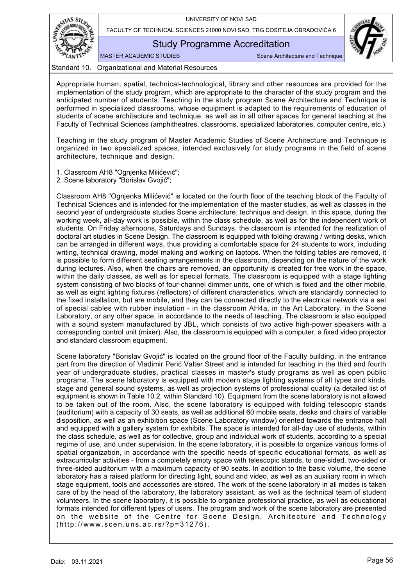

Study Programme Accreditation

MASTER ACADEMIC STUDIES SCENE Architecture and Technique

Standard 10. Organizational and Material Resources

<span id="page-57-0"></span>Appropriate human, spatial, technical-technological, library and other resources are provided for the implementation of the study program, which are appropriate to the character of the study program and the anticipated number of students. Teaching in the study program Scene Architecture and Technique is performed in specialized classrooms, whose equipment is adapted to the requirements of education of students of scene architecture and technique, as well as in all other spaces for general teaching at the Faculty of Technical Sciences (amphitheatres, classrooms, specialized laboratories, computer centre, etc.).

Teaching in the study program of Master Academic Studies of Scene Architecture and Technique is organized in two specialized spaces, intended exclusively for study programs in the field of scene architecture, technique and design.

1. Classroom AH8 "Ognjenka Milićević";

2. Scene laboratory "Borislav Gvojić";

Classroom AH8 "Ognjenka Milićević" is located on the fourth floor of the teaching block of the Faculty of Technical Sciences and is intended for the implementation of the master studies, as well as classes in the second year of undergraduate studies Scene architecture, technique and design. In this space, during the working week, all-day work is possible, within the class schedule, as well as for the independent work of students. On Friday afternoons, Saturdays and Sundays, the classroom is intended for the realization of doctoral art studies in Scene Design. The classroom is equipped with folding drawing / writing desks, which can be arranged in different ways, thus providing a comfortable space for 24 students to work, including writing, technical drawing, model making and working on laptops. When the folding tables are removed, it is possible to form different seating arrangements in the classroom, depending on the nature of the work during lectures. Also, when the chairs are removed, an opportunity is created for free work in the space, within the daily classes, as well as for special formats. The classroom is equipped with a stage lighting system consisting of two blocks of four-channel dimmer units, one of which is fixed and the other mobile, as well as eight lighting fixtures (reflectors) of different characteristics, which are standardly connected to the fixed installation, but are mobile, and they can be connected directly to the electrical network via a set of special cables with rubber insulation - in the classroom AH4a, in the Art Laboratory, in the Scene Laboratory, or any other space, in accordance to the needs of teaching. The classroom is also equipped with a sound system manufactured by JBL, which consists of two active high-power speakers with a corresponding control unit (mixer). Also, the classroom is equipped with a computer, a fixed video projector and standard classroom equipment.

Scene laboratory "Borislav Gvojić" is located on the ground floor of the Faculty building, in the entrance part from the direction of Vladimir Perić Valter Street and is intended for teaching in the third and fourth year of undergraduate studies, practical classes in master's study programs as well as open public programs. The scene laboratory is equipped with modern stage lighting systems of all types and kinds, stage and general sound systems, as well as projection systems of professional quality (a detailed list of equipment is shown in Table 10.2, within Standard 10). Equipment from the scene laboratory is not allowed to be taken out of the room. Also, the scene laboratory is equipped with folding telescopic stands (auditorium) with a capacity of 30 seats, as well as additional 60 mobile seats, desks and chairs of variable disposition, as well as an exhibition space (Scene Laboratory window) oriented towards the entrance hall and equipped with a gallery system for exhibits. The space is intended for all-day use of students, within the class schedule, as well as for collective, group and individual work of students, according to a special regime of use, and under supervision. In the scene laboratory, it is possible to organize various forms of spatial organization, in accordance with the specific needs of specific educational formats, as well as extracurricular activities - from a completely empty space with telescopic stands, to one-sided, two-sided or three-sided auditorium with a maximum capacity of 90 seats. In addition to the basic volume, the scene laboratory has a raised platform for directing light, sound and video, as well as an auxiliary room in which stage equipment, tools and accessories are stored. The work of the scene laboratory in all modes is taken care of by the head of the laboratory, the laboratory assistant, as well as the technical team of student volunteers. In the scene laboratory, it is possible to organize professional practice, as well as educational formats intended for different types of users. The program and work of the scene laboratory are presented on the website of the Centre for Scene Design, Architecture and Technology (http://www.scen.uns.ac.rs/?p=31276).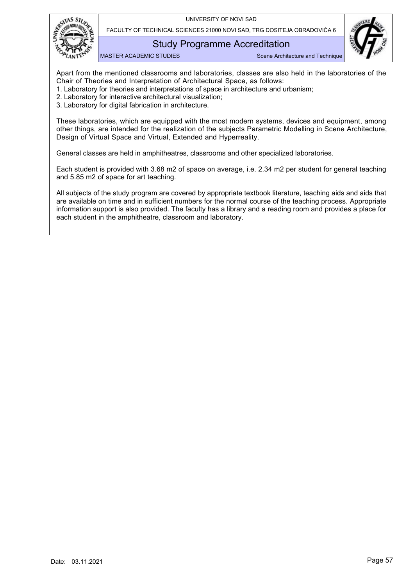

FACULTY OF TECHNICAL SCIENCES 21000 NOVI SAD, TRG DOSITEJA OBRADOVIĆA 6

## Study Programme Accreditation

MASTER ACADEMIC STUDIES SCENE Architecture and Technique

Apart from the mentioned classrooms and laboratories, classes are also held in the laboratories of the Chair of Theories and Interpretation of Architectural Space, as follows:

- 1. Laboratory for theories and interpretations of space in architecture and urbanism;
- 2. Laboratory for interactive architectural visualization;
- 3. Laboratory for digital fabrication in architecture.

These laboratories, which are equipped with the most modern systems, devices and equipment, among other things, are intended for the realization of the subjects Parametric Modelling in Scene Architecture, Design of Virtual Space and Virtual, Extended and Hyperreality.

General classes are held in amphitheatres, classrooms and other specialized laboratories.

Each student is provided with 3.68 m2 of space on average, i.e. 2.34 m2 per student for general teaching and 5.85 m2 of space for art teaching.

All subjects of the study program are covered by appropriate textbook literature, teaching aids and aids that are available on time and in sufficient numbers for the normal course of the teaching process. Appropriate information support is also provided. The faculty has a library and a reading room and provides a place for each student in the amphitheatre, classroom and laboratory.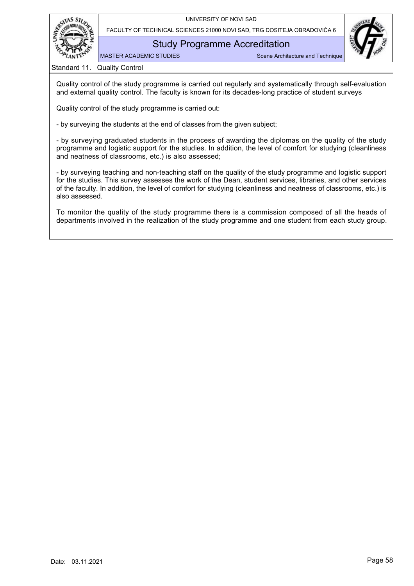



Study Programme Accreditation

MASTER ACADEMIC STUDIES Scene Architecture and Technique

Standard 11. Quality Control

<span id="page-59-0"></span>Quality control of the study programme is carried out regularly and systematically through self-evaluation and external quality control. The faculty is known for its decades-long practice of student surveys

Quality control of the study programme is carried out:

- by surveying the students at the end of classes from the given subject;

- by surveying graduated students in the process of awarding the diplomas on the quality of the study programme and logistic support for the studies. In addition, the level of comfort for studying (cleanliness and neatness of classrooms, etc.) is also assessed;

- by surveying teaching and non-teaching staff on the quality of the study programme and logistic support for the studies. This survey assesses the work of the Dean, student services, libraries, and other services of the faculty. In addition, the level of comfort for studying (cleanliness and neatness of classrooms, etc.) is also assessed.

To monitor the quality of the study programme there is a commission composed of all the heads of departments involved in the realization of the study programme and one student from each study group.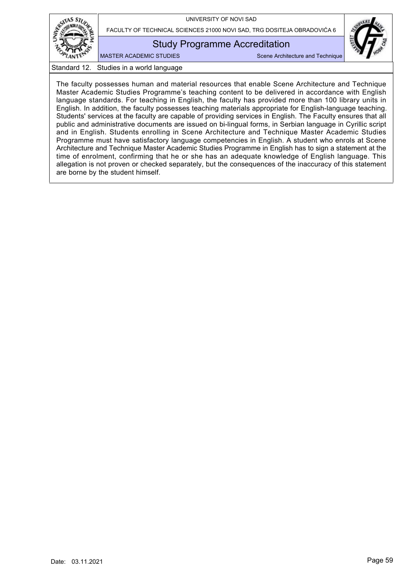

FACULTY OF TECHNICAL SCIENCES 21000 NOVI SAD, TRG DOSITEJA OBRADOVIĆA 6

## Study Programme Accreditation

MASTER ACADEMIC STUDIES SCENE Architecture and Technique

Standard 12. Studies in a world language

<span id="page-60-0"></span>The faculty possesses human and material resources that enable Scene Architecture and Technique Master Academic Studies Programme's teaching content to be delivered in accordance with English language standards. For teaching in English, the faculty has provided more than 100 library units in English. In addition, the faculty possesses teaching materials appropriate for English-language teaching. Students' services at the faculty are capable of providing services in English. The Faculty ensures that all public and administrative documents are issued on bi-lingual forms, in Serbian language in Cyrillic script and in English. Students enrolling in Scene Architecture and Technique Master Academic Studies Programme must have satisfactory language competencies in English. A student who enrols at Scene Architecture and Technique Master Academic Studies Programme in English has to sign a statement at the time of enrolment, confirming that he or she has an adequate knowledge of English language. This allegation is not proven or checked separately, but the consequences of the inaccuracy of this statement are borne by the student himself.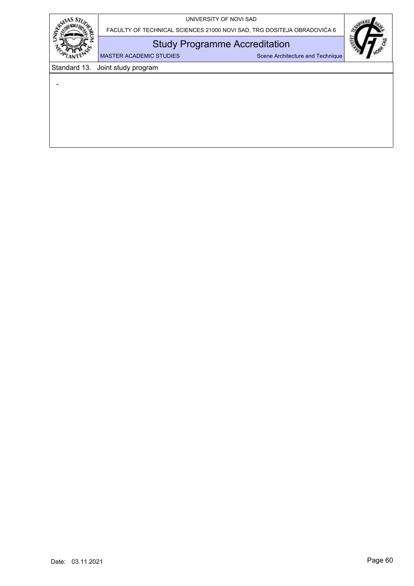| UNIVERSITY OF NOVI SAD |  |  |  |
|------------------------|--|--|--|
|------------------------|--|--|--|



<span id="page-61-0"></span>-

FACULTY OF TECHNICAL SCIENCES 21000 NOVI SAD, TRG DOSITEJA OBRADOVIĆA 6

## Study Programme Accreditation

MASTER ACADEMIC STUDIES Scene Architecture and Technique

Standard 13. Joint study program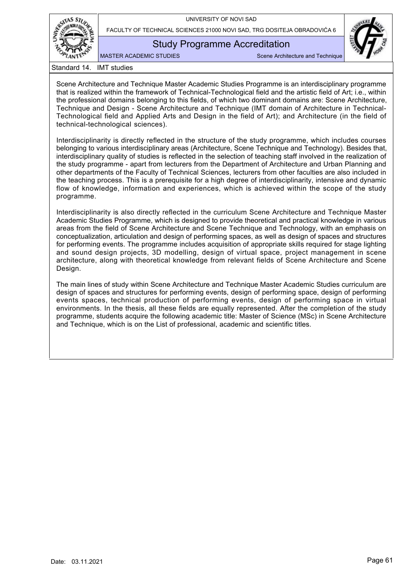

FACULTY OF TECHNICAL SCIENCES 21000 NOVI SAD, TRG DOSITEJA OBRADOVIĆA 6

## Study Programme Accreditation

MASTER ACADEMIC STUDIES Scene Architecture and Technique

Standard 14. IMT studies

<span id="page-62-0"></span>Scene Architecture and Technique Master Academic Studies Programme is an interdisciplinary programme that is realized within the framework of Technical-Technological field and the artistic field of Art; i.e., within the professional domains belonging to this fields, of which two dominant domains are: Scene Architecture, Technique and Design - Scene Architecture and Technique (IMT domain of Architecture in Technical-Technological field and Applied Arts and Design in the field of Art); and Architecture (in the field of technical-technological sciences).

Interdisciplinarity is directly reflected in the structure of the study programme, which includes courses belonging to various interdisciplinary areas (Architecture, Scene Technique and Technology). Besides that, interdisciplinary quality of studies is reflected in the selection of teaching staff involved in the realization of the study programme - apart from lecturers from the Department of Architecture and Urban Planning and other departments of the Faculty of Technical Sciences, lecturers from other faculties are also included in the teaching process. This is a prerequisite for a high degree of interdisciplinarity, intensive and dynamic flow of knowledge, information and experiences, which is achieved within the scope of the study programme.

Interdisciplinarity is also directly reflected in the curriculum Scene Architecture and Technique Master Academic Studies Programme, which is designed to provide theoretical and practical knowledge in various areas from the field of Scene Architecture and Scene Technique and Technology, with an emphasis on conceptualization, articulation and design of performing spaces, as well as design of spaces and structures for performing events. The programme includes acquisition of appropriate skills required for stage lighting and sound design projects, 3D modelling, design of virtual space, project management in scene architecture, along with theoretical knowledge from relevant fields of Scene Architecture and Scene Design.

The main lines of study within Scene Architecture and Technique Master Academic Studies curriculum are design of spaces and structures for performing events, design of performing space, design of performing events spaces, technical production of performing events, design of performing space in virtual environments. In the thesis, all these fields are equally represented. After the completion of the study programme, students acquire the following academic title: Master of Science (MSc) in Scene Architecture and Technique, which is on the List of professional, academic and scientific titles.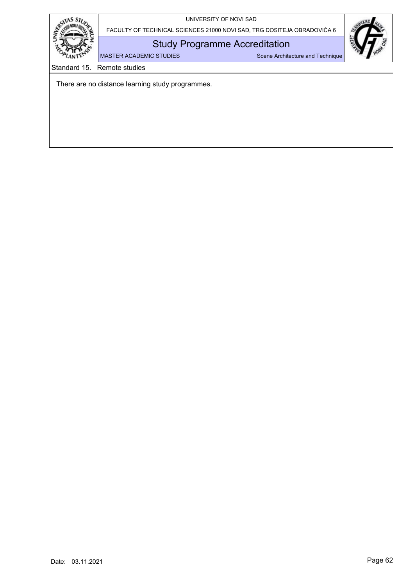

Study Programme Accreditation

MASTER ACADEMIC STUDIES Scene Architecture and Technique

Standard 15. Remote studies

<span id="page-63-0"></span>There are no distance learning study programmes.